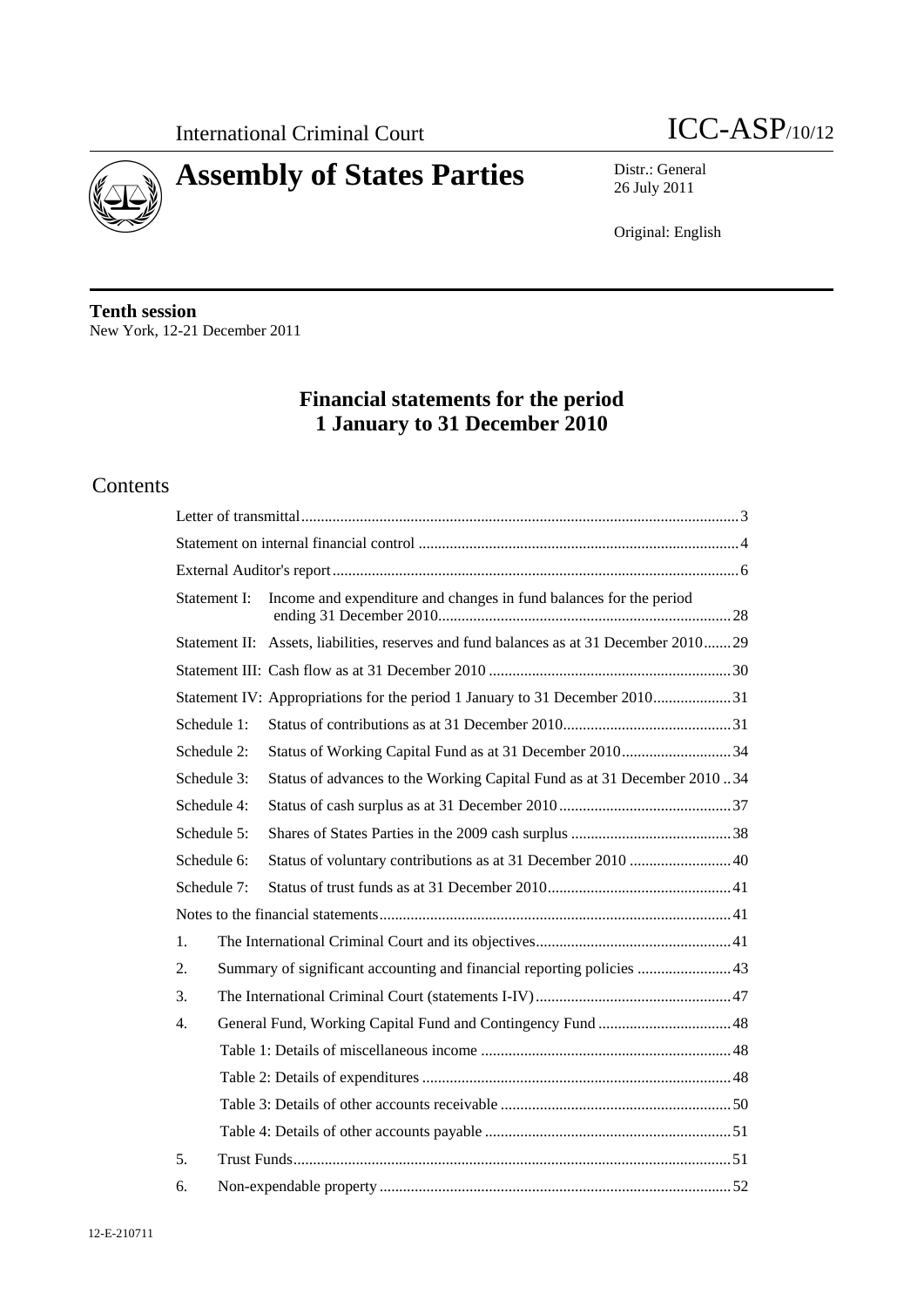



26 July 2011

Original: English

**Tenth session**  New York, 12-21 December 2011

# **Financial statements for the period 1 January to 31 December 2010**

# Contents

| Statement I:     | Income and expenditure and changes in fund balances for the period                      |
|------------------|-----------------------------------------------------------------------------------------|
|                  | Statement II: Assets, liabilities, reserves and fund balances as at 31 December 2010 29 |
|                  |                                                                                         |
|                  | Statement IV: Appropriations for the period 1 January to 31 December 201031             |
| Schedule 1:      |                                                                                         |
| Schedule 2:      | Status of Working Capital Fund as at 31 December 201034                                 |
| Schedule 3:      | Status of advances to the Working Capital Fund as at 31 December 201034                 |
| Schedule 4:      |                                                                                         |
| Schedule 5:      |                                                                                         |
| Schedule 6:      | Status of voluntary contributions as at 31 December 2010 40                             |
| Schedule 7:      |                                                                                         |
|                  |                                                                                         |
| 1.               |                                                                                         |
| 2.               | Summary of significant accounting and financial reporting policies  43                  |
| 3.               |                                                                                         |
| $\overline{4}$ . |                                                                                         |
|                  |                                                                                         |
|                  |                                                                                         |
|                  |                                                                                         |
|                  |                                                                                         |
| 5.               |                                                                                         |
| 6.               |                                                                                         |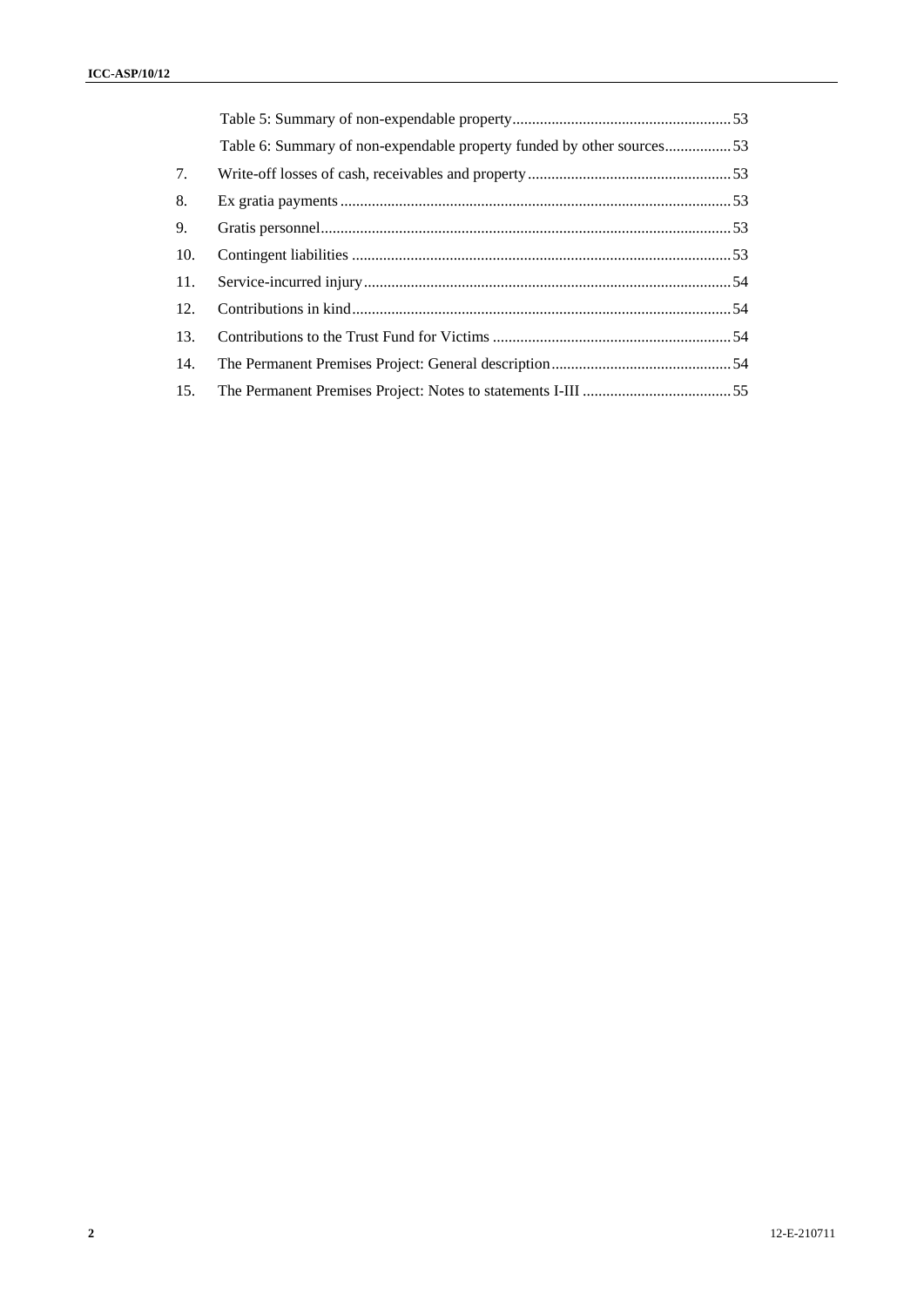|     | Table 6: Summary of non-expendable property funded by other sources53 |  |
|-----|-----------------------------------------------------------------------|--|
| 7.  |                                                                       |  |
| 8.  |                                                                       |  |
| 9.  |                                                                       |  |
| 10. |                                                                       |  |
| 11. |                                                                       |  |
| 12. |                                                                       |  |
| 13. |                                                                       |  |
| 14. |                                                                       |  |
| 15. |                                                                       |  |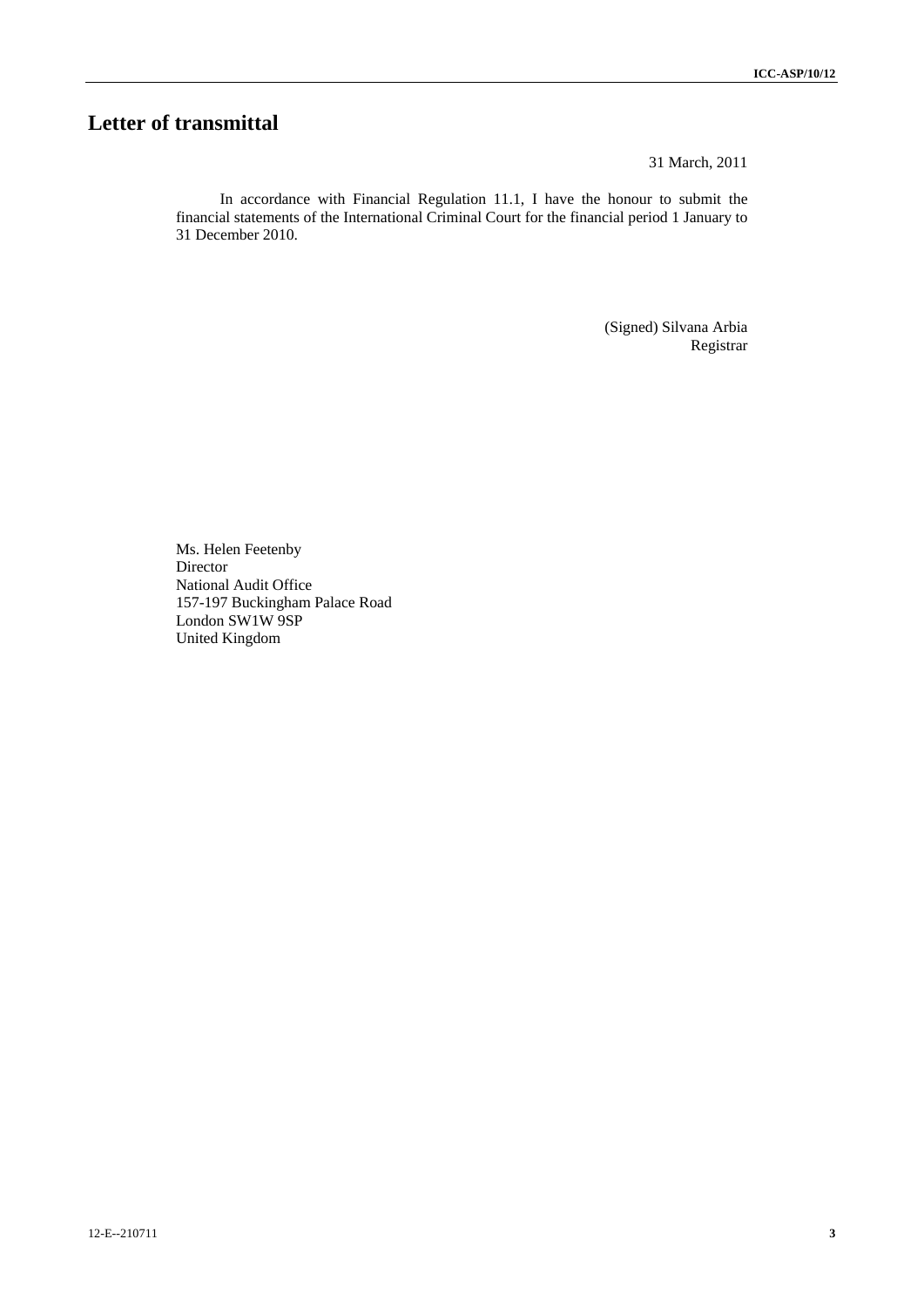# **Letter of transmittal**

31 March, 2011

In accordance with Financial Regulation 11.1, I have the honour to submit the financial statements of the International Criminal Court for the financial period 1 January to 31 December 2010.

> (Signed) Silvana Arbia Registrar

Ms. Helen Feetenby Director National Audit Office 157-197 Buckingham Palace Road London SW1W 9SP United Kingdom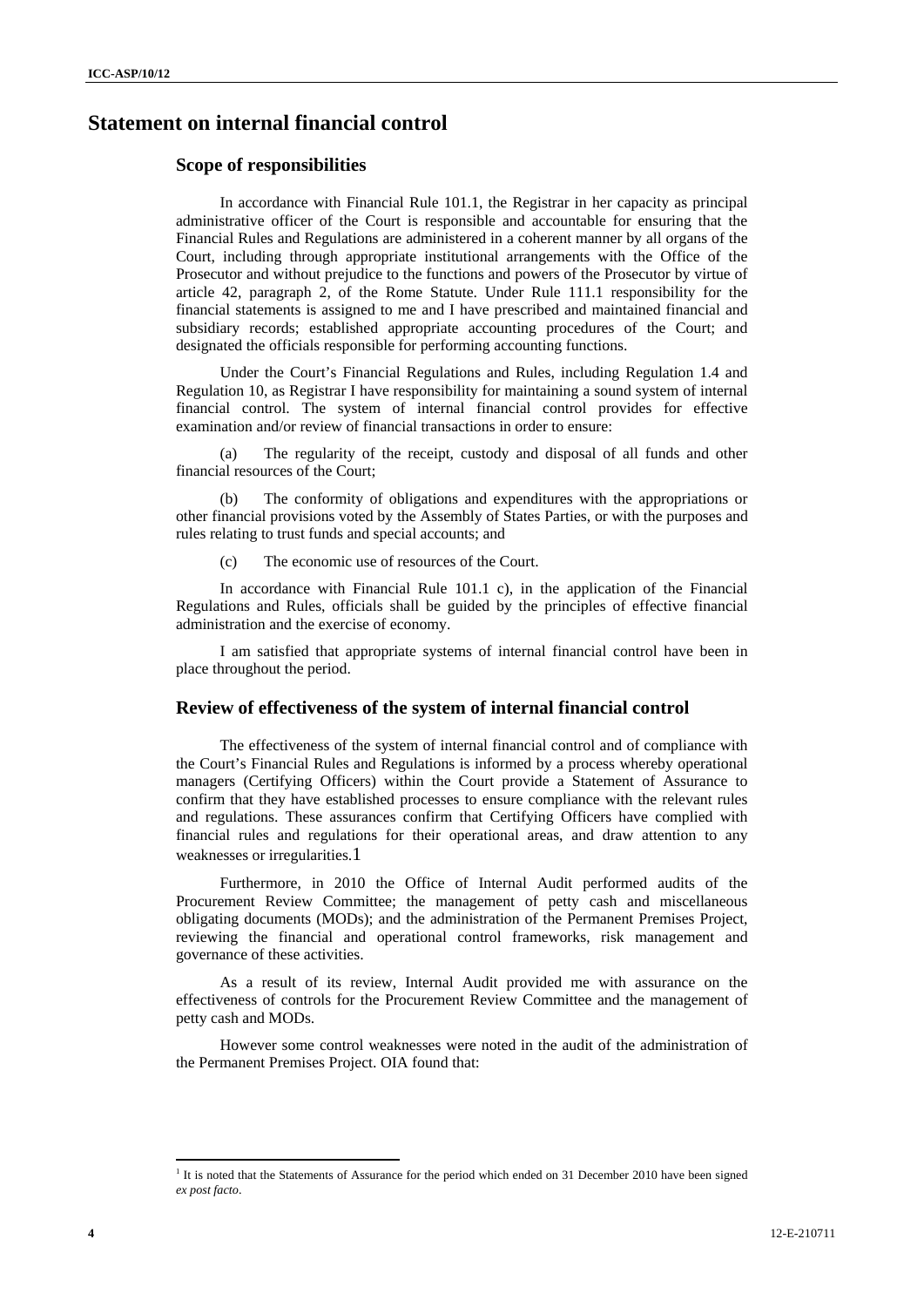# **Statement on internal financial control**

### **Scope of responsibilities**

In accordance with Financial Rule 101.1, the Registrar in her capacity as principal administrative officer of the Court is responsible and accountable for ensuring that the Financial Rules and Regulations are administered in a coherent manner by all organs of the Court, including through appropriate institutional arrangements with the Office of the Prosecutor and without prejudice to the functions and powers of the Prosecutor by virtue of article 42, paragraph 2, of the Rome Statute. Under Rule 111.1 responsibility for the financial statements is assigned to me and I have prescribed and maintained financial and subsidiary records; established appropriate accounting procedures of the Court; and designated the officials responsible for performing accounting functions.

Under the Court's Financial Regulations and Rules, including Regulation 1.4 and Regulation 10, as Registrar I have responsibility for maintaining a sound system of internal financial control. The system of internal financial control provides for effective examination and/or review of financial transactions in order to ensure:

(a) The regularity of the receipt, custody and disposal of all funds and other financial resources of the Court;

(b) The conformity of obligations and expenditures with the appropriations or other financial provisions voted by the Assembly of States Parties, or with the purposes and rules relating to trust funds and special accounts; and

(c) The economic use of resources of the Court.

In accordance with Financial Rule 101.1 c), in the application of the Financial Regulations and Rules, officials shall be guided by the principles of effective financial administration and the exercise of economy.

I am satisfied that appropriate systems of internal financial control have been in place throughout the period.

## **Review of effectiveness of the system of internal financial control**

The effectiveness of the system of internal financial control and of compliance with the Court's Financial Rules and Regulations is informed by a process whereby operational managers (Certifying Officers) within the Court provide a Statement of Assurance to confirm that they have established processes to ensure compliance with the relevant rules and regulations. These assurances confirm that Certifying Officers have complied with financial rules and regulations for their operational areas, and draw attention to any weaknesses or irregularities.1

Furthermore, in 2010 the Office of Internal Audit performed audits of the Procurement Review Committee; the management of petty cash and miscellaneous obligating documents (MODs); and the administration of the Permanent Premises Project, reviewing the financial and operational control frameworks, risk management and governance of these activities.

As a result of its review, Internal Audit provided me with assurance on the effectiveness of controls for the Procurement Review Committee and the management of petty cash and MODs.

However some control weaknesses were noted in the audit of the administration of the Permanent Premises Project. OIA found that:

 $\overline{a}$ 

<sup>&</sup>lt;sup>1</sup> It is noted that the Statements of Assurance for the period which ended on 31 December 2010 have been signed *ex post facto*.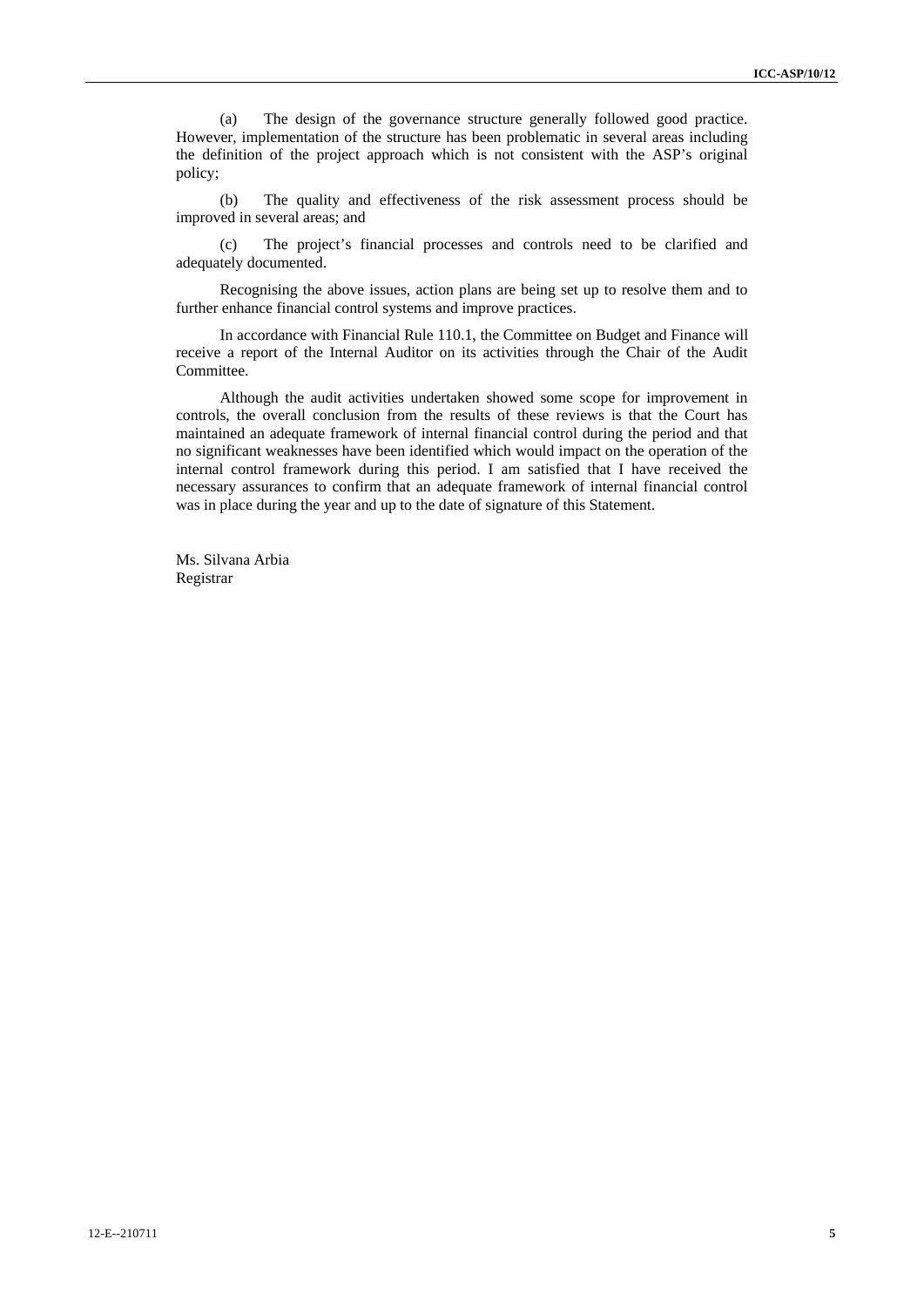(a) The design of the governance structure generally followed good practice. However, implementation of the structure has been problematic in several areas including the definition of the project approach which is not consistent with the ASP's original policy;

(b) The quality and effectiveness of the risk assessment process should be improved in several areas; and

(c) The project's financial processes and controls need to be clarified and adequately documented.

Recognising the above issues, action plans are being set up to resolve them and to further enhance financial control systems and improve practices.

In accordance with Financial Rule 110.1, the Committee on Budget and Finance will receive a report of the Internal Auditor on its activities through the Chair of the Audit Committee.

Although the audit activities undertaken showed some scope for improvement in controls, the overall conclusion from the results of these reviews is that the Court has maintained an adequate framework of internal financial control during the period and that no significant weaknesses have been identified which would impact on the operation of the internal control framework during this period. I am satisfied that I have received the necessary assurances to confirm that an adequate framework of internal financial control was in place during the year and up to the date of signature of this Statement.

Ms. Silvana Arbia Registrar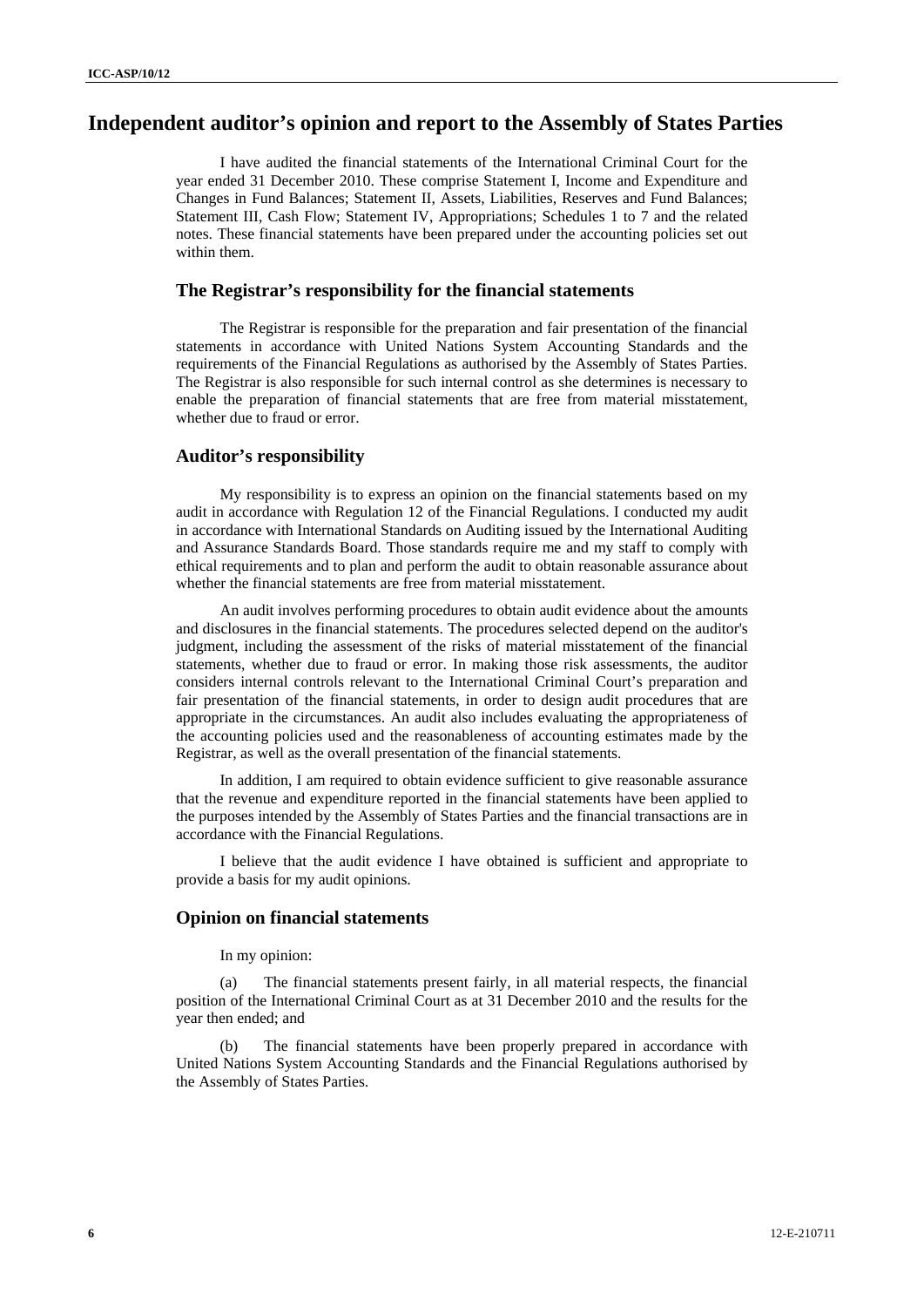# **Independent auditor's opinion and report to the Assembly of States Parties**

I have audited the financial statements of the International Criminal Court for the year ended 31 December 2010. These comprise Statement I, Income and Expenditure and Changes in Fund Balances; Statement II, Assets, Liabilities, Reserves and Fund Balances; Statement III, Cash Flow; Statement IV, Appropriations; Schedules 1 to 7 and the related notes. These financial statements have been prepared under the accounting policies set out within them.

### **The Registrar's responsibility for the financial statements**

The Registrar is responsible for the preparation and fair presentation of the financial statements in accordance with United Nations System Accounting Standards and the requirements of the Financial Regulations as authorised by the Assembly of States Parties. The Registrar is also responsible for such internal control as she determines is necessary to enable the preparation of financial statements that are free from material misstatement, whether due to fraud or error.

### **Auditor's responsibility**

My responsibility is to express an opinion on the financial statements based on my audit in accordance with Regulation 12 of the Financial Regulations. I conducted my audit in accordance with International Standards on Auditing issued by the International Auditing and Assurance Standards Board. Those standards require me and my staff to comply with ethical requirements and to plan and perform the audit to obtain reasonable assurance about whether the financial statements are free from material misstatement.

An audit involves performing procedures to obtain audit evidence about the amounts and disclosures in the financial statements. The procedures selected depend on the auditor's judgment, including the assessment of the risks of material misstatement of the financial statements, whether due to fraud or error. In making those risk assessments, the auditor considers internal controls relevant to the International Criminal Court's preparation and fair presentation of the financial statements, in order to design audit procedures that are appropriate in the circumstances. An audit also includes evaluating the appropriateness of the accounting policies used and the reasonableness of accounting estimates made by the Registrar, as well as the overall presentation of the financial statements.

In addition, I am required to obtain evidence sufficient to give reasonable assurance that the revenue and expenditure reported in the financial statements have been applied to the purposes intended by the Assembly of States Parties and the financial transactions are in accordance with the Financial Regulations.

I believe that the audit evidence I have obtained is sufficient and appropriate to provide a basis for my audit opinions.

# **Opinion on financial statements**

In my opinion:

(a) The financial statements present fairly, in all material respects, the financial position of the International Criminal Court as at 31 December 2010 and the results for the year then ended; and

(b) The financial statements have been properly prepared in accordance with United Nations System Accounting Standards and the Financial Regulations authorised by the Assembly of States Parties.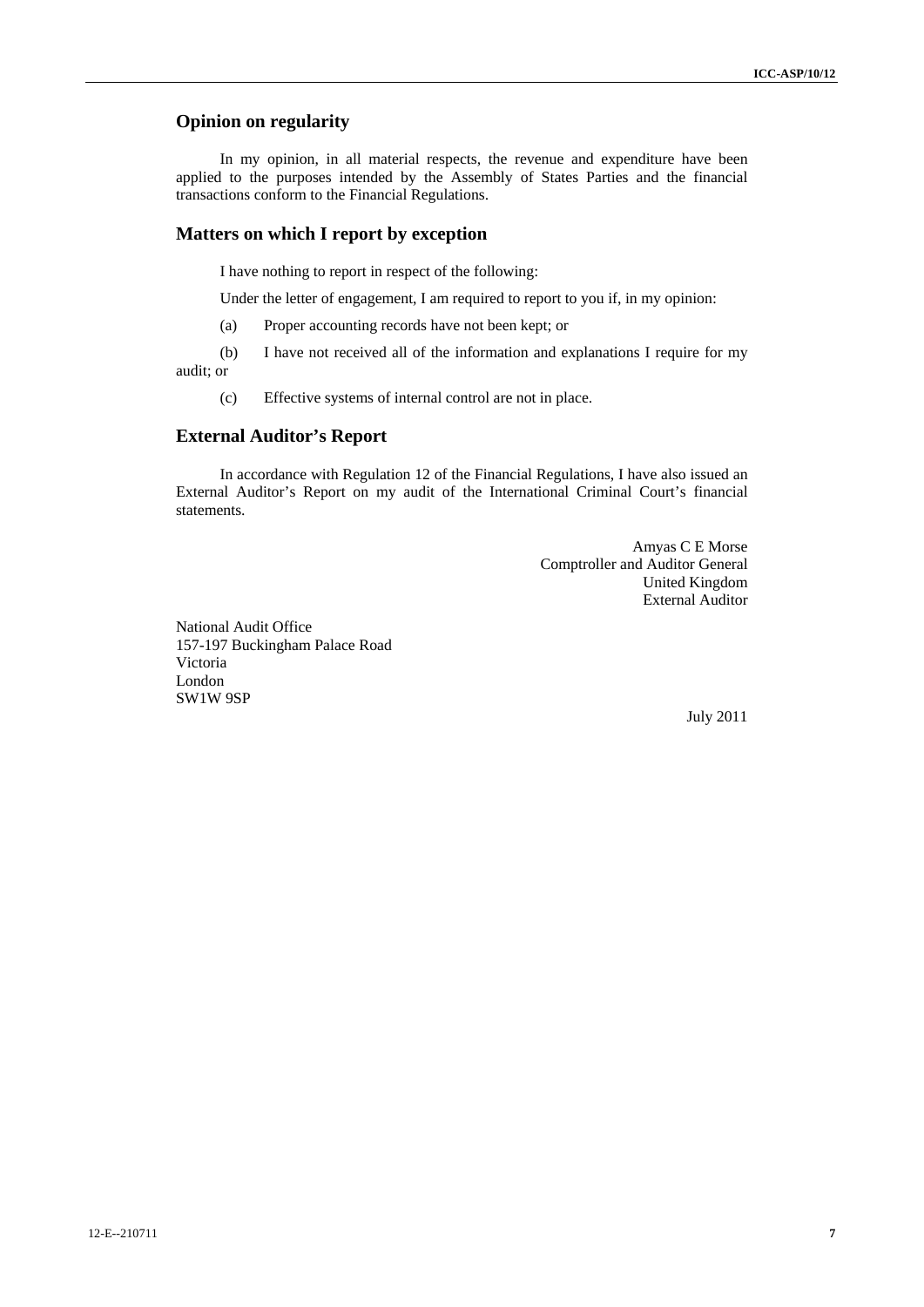# **Opinion on regularity**

In my opinion, in all material respects, the revenue and expenditure have been applied to the purposes intended by the Assembly of States Parties and the financial transactions conform to the Financial Regulations.

# **Matters on which I report by exception**

I have nothing to report in respect of the following:

Under the letter of engagement, I am required to report to you if, in my opinion:

(a) Proper accounting records have not been kept; or

(b) I have not received all of the information and explanations I require for my audit; or

(c) Effective systems of internal control are not in place.

# **External Auditor's Report**

In accordance with Regulation 12 of the Financial Regulations, I have also issued an External Auditor's Report on my audit of the International Criminal Court's financial statements.

> Amyas C E Morse Comptroller and Auditor General United Kingdom External Auditor

National Audit Office 157-197 Buckingham Palace Road Victoria London SW1W 9SP

July 2011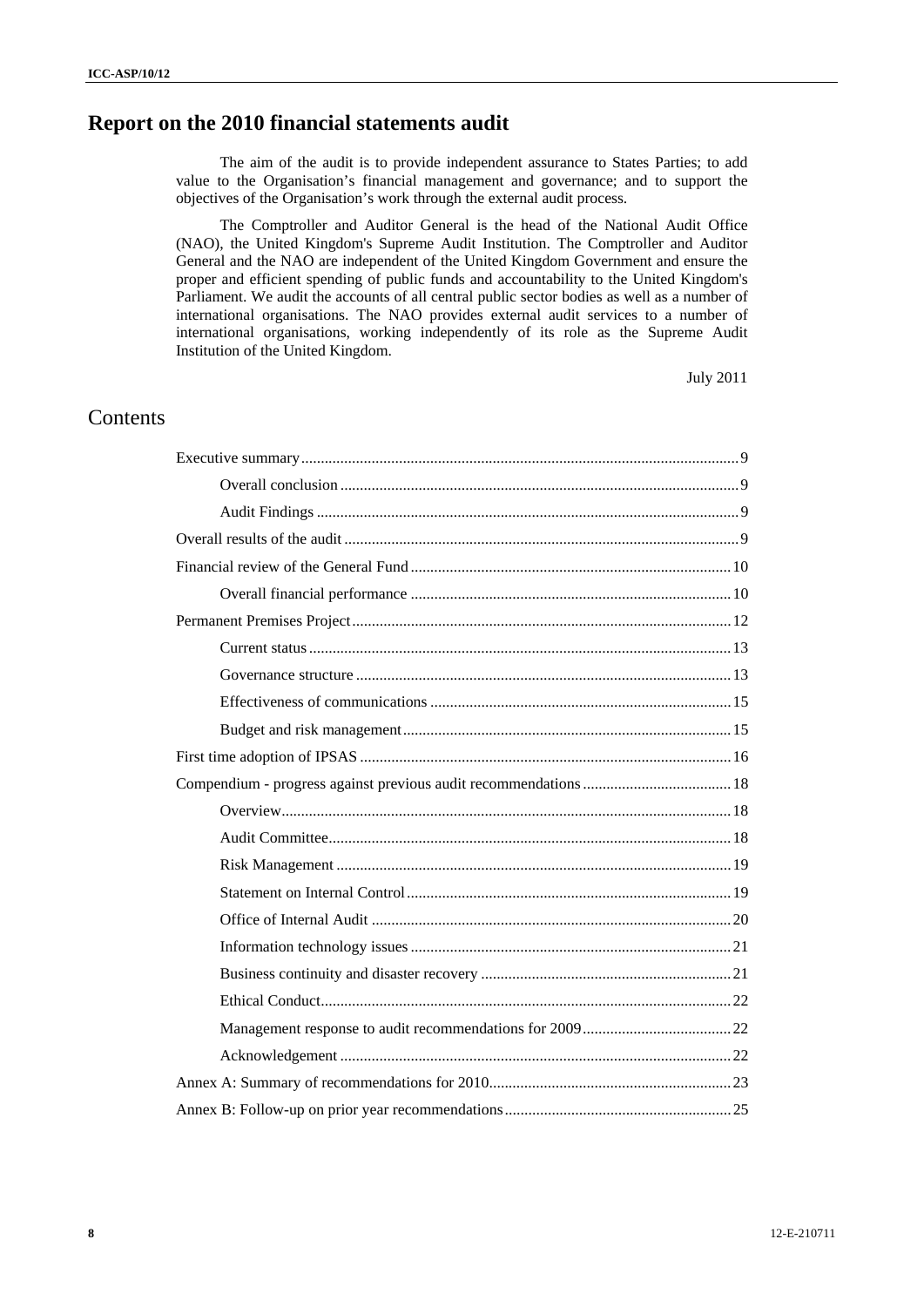# **Report on the 2010 financial statements audit**

The aim of the audit is to provide independent assurance to States Parties; to add value to the Organisation's financial management and governance; and to support the objectives of the Organisation's work through the external audit process.

The Comptroller and Auditor General is the head of the National Audit Office (NAO), the United Kingdom's Supreme Audit Institution. The Comptroller and Auditor General and the NAO are independent of the United Kingdom Government and ensure the proper and efficient spending of public funds and accountability to the United Kingdom's Parliament. We audit the accounts of all central public sector bodies as well as a number of international organisations. The NAO provides external audit services to a number of international organisations, working independently of its role as the Supreme Audit Institution of the United Kingdom.

July 2011

# **Contents**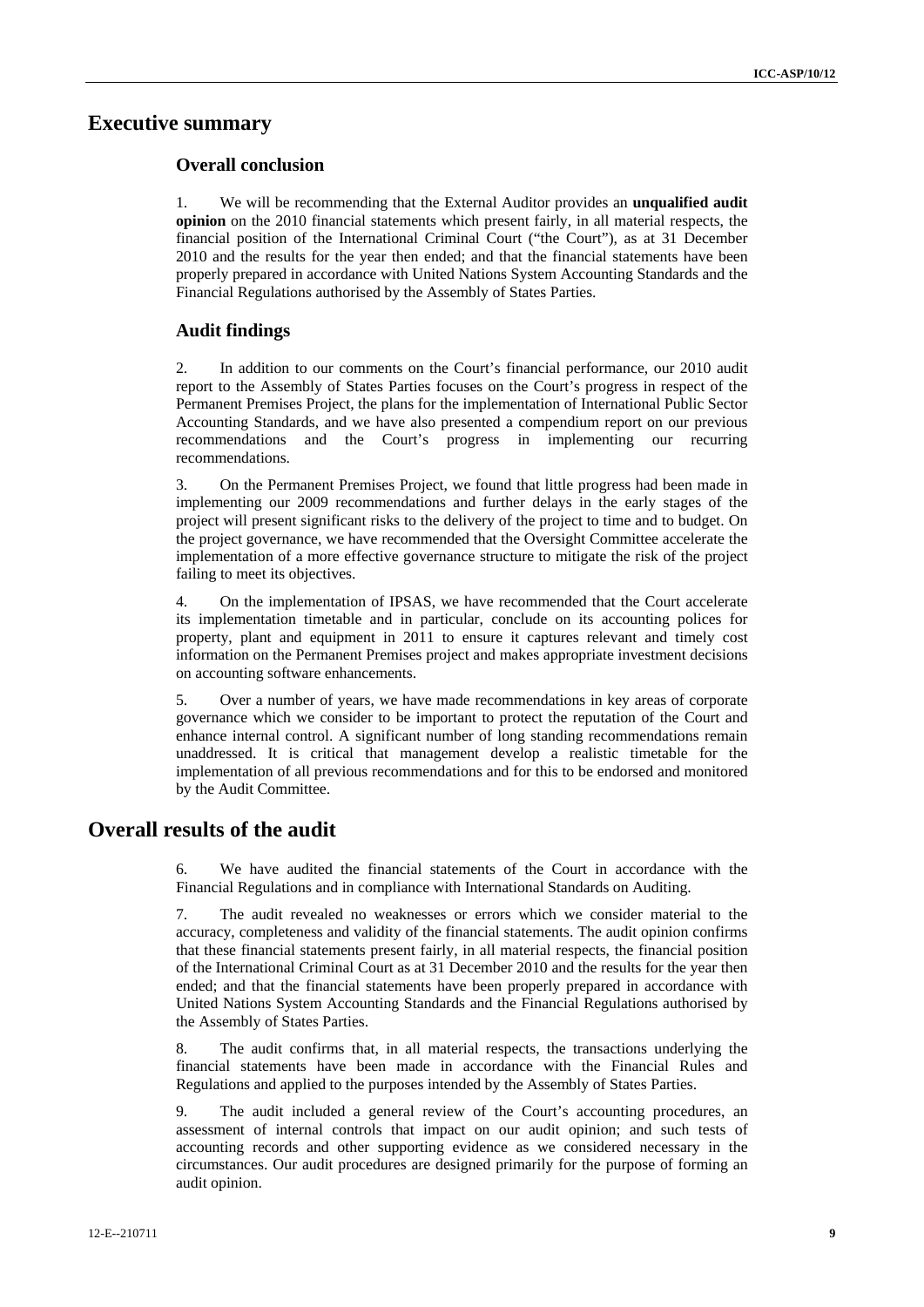# **Executive summary**

# **Overall conclusion**

1. We will be recommending that the External Auditor provides an **unqualified audit opinion** on the 2010 financial statements which present fairly, in all material respects, the financial position of the International Criminal Court ("the Court"), as at 31 December 2010 and the results for the year then ended; and that the financial statements have been properly prepared in accordance with United Nations System Accounting Standards and the Financial Regulations authorised by the Assembly of States Parties.

# **Audit findings**

2. In addition to our comments on the Court's financial performance, our 2010 audit report to the Assembly of States Parties focuses on the Court's progress in respect of the Permanent Premises Project, the plans for the implementation of International Public Sector Accounting Standards, and we have also presented a compendium report on our previous recommendations and the Court's progress in implementing our recurring recommendations.

3. On the Permanent Premises Project, we found that little progress had been made in implementing our 2009 recommendations and further delays in the early stages of the project will present significant risks to the delivery of the project to time and to budget. On the project governance, we have recommended that the Oversight Committee accelerate the implementation of a more effective governance structure to mitigate the risk of the project failing to meet its objectives.

4. On the implementation of IPSAS, we have recommended that the Court accelerate its implementation timetable and in particular, conclude on its accounting polices for property, plant and equipment in 2011 to ensure it captures relevant and timely cost information on the Permanent Premises project and makes appropriate investment decisions on accounting software enhancements.

5. Over a number of years, we have made recommendations in key areas of corporate governance which we consider to be important to protect the reputation of the Court and enhance internal control. A significant number of long standing recommendations remain unaddressed. It is critical that management develop a realistic timetable for the implementation of all previous recommendations and for this to be endorsed and monitored by the Audit Committee.

# **Overall results of the audit**

6. We have audited the financial statements of the Court in accordance with the Financial Regulations and in compliance with International Standards on Auditing.

7. The audit revealed no weaknesses or errors which we consider material to the accuracy, completeness and validity of the financial statements. The audit opinion confirms that these financial statements present fairly, in all material respects, the financial position of the International Criminal Court as at 31 December 2010 and the results for the year then ended; and that the financial statements have been properly prepared in accordance with United Nations System Accounting Standards and the Financial Regulations authorised by the Assembly of States Parties.

8. The audit confirms that, in all material respects, the transactions underlying the financial statements have been made in accordance with the Financial Rules and Regulations and applied to the purposes intended by the Assembly of States Parties.

9. The audit included a general review of the Court's accounting procedures, an assessment of internal controls that impact on our audit opinion; and such tests of accounting records and other supporting evidence as we considered necessary in the circumstances. Our audit procedures are designed primarily for the purpose of forming an audit opinion.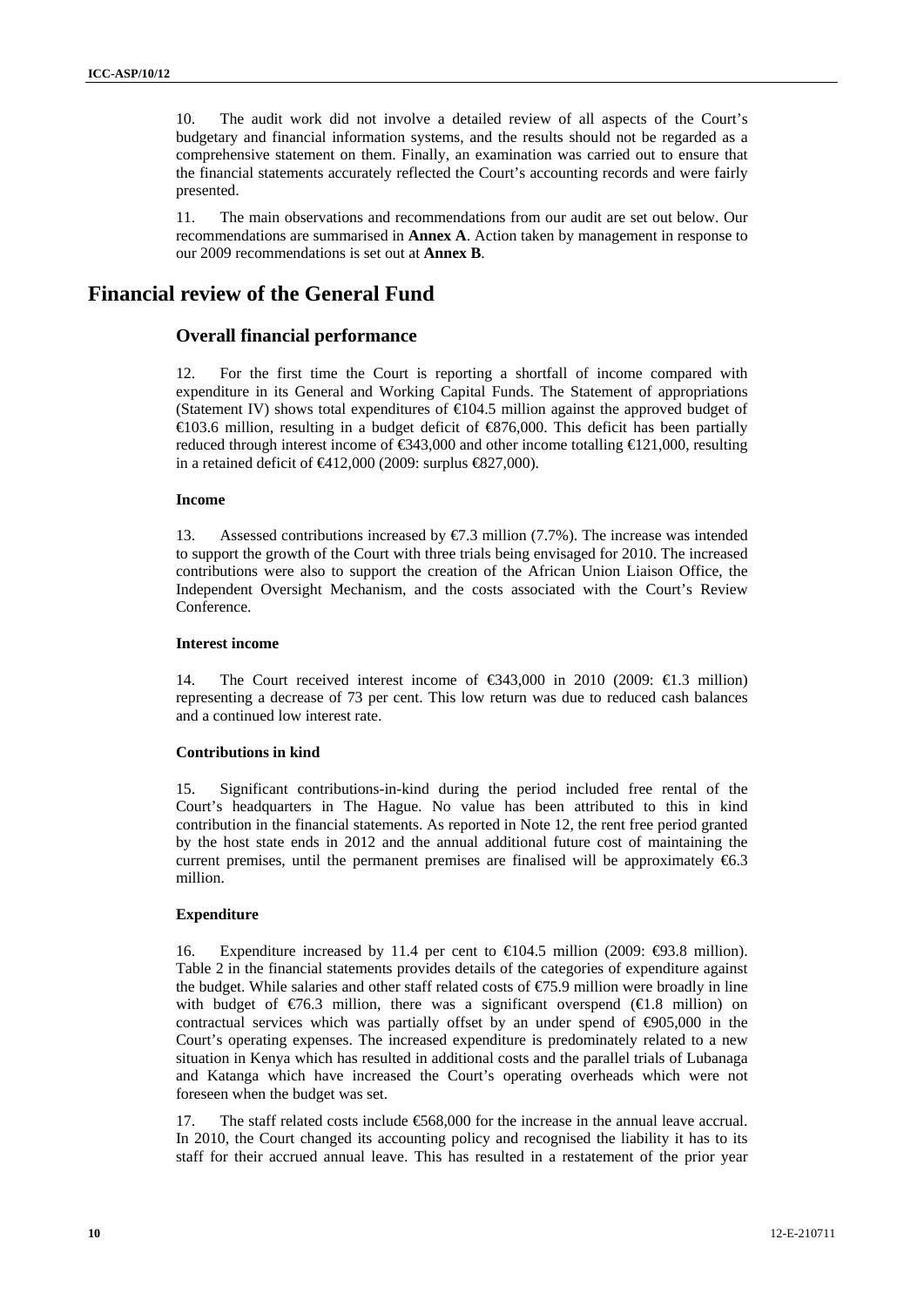10. The audit work did not involve a detailed review of all aspects of the Court's budgetary and financial information systems, and the results should not be regarded as a comprehensive statement on them. Finally, an examination was carried out to ensure that the financial statements accurately reflected the Court's accounting records and were fairly presented.

11. The main observations and recommendations from our audit are set out below. Our recommendations are summarised in **Annex A**. Action taken by management in response to our 2009 recommendations is set out at **Annex B**.

# **Financial review of the General Fund**

# **Overall financial performance**

12. For the first time the Court is reporting a shortfall of income compared with expenditure in its General and Working Capital Funds. The Statement of appropriations (Statement IV) shows total expenditures of  $\text{\textsterling}04.5$  million against the approved budget of  $\in$ 103.6 million, resulting in a budget deficit of  $\in$ 876,000. This deficit has been partially reduced through interest income of  $\epsilon$ 343,000 and other income totalling  $\epsilon$ 121,000, resulting in a retained deficit of  $\bigoplus$  12,000 (2009: surplus  $\bigoplus$  27,000).

#### **Income**

13. Assessed contributions increased by €7.3 million (7.7%). The increase was intended to support the growth of the Court with three trials being envisaged for 2010. The increased contributions were also to support the creation of the African Union Liaison Office, the Independent Oversight Mechanism, and the costs associated with the Court's Review Conference.

#### **Interest income**

14. The Court received interest income of  $\epsilon$ 343,000 in 2010 (2009:  $\epsilon$ 1.3 million) representing a decrease of 73 per cent. This low return was due to reduced cash balances and a continued low interest rate.

#### **Contributions in kind**

15. Significant contributions-in-kind during the period included free rental of the Court's headquarters in The Hague. No value has been attributed to this in kind contribution in the financial statements. As reported in Note 12, the rent free period granted by the host state ends in 2012 and the annual additional future cost of maintaining the current premises, until the permanent premises are finalised will be approximately  $\epsilon$ 6.3 million.

#### **Expenditure**

16. Expenditure increased by 11.4 per cent to  $\in$  04.5 million (2009:  $\in$  93.8 million). Table 2 in the financial statements provides details of the categories of expenditure against the budget. While salaries and other staff related costs of  $\epsilon$ 75.9 million were broadly in line with budget of  $\epsilon/6.3$  million, there was a significant overspend ( $\epsilon/1.8$  million) on contractual services which was partially offset by an under spend of  $\epsilon$ 905,000 in the Court's operating expenses. The increased expenditure is predominately related to a new situation in Kenya which has resulted in additional costs and the parallel trials of Lubanaga and Katanga which have increased the Court's operating overheads which were not foreseen when the budget was set.

17. The staff related costs include €568,000 for the increase in the annual leave accrual. In 2010, the Court changed its accounting policy and recognised the liability it has to its staff for their accrued annual leave. This has resulted in a restatement of the prior year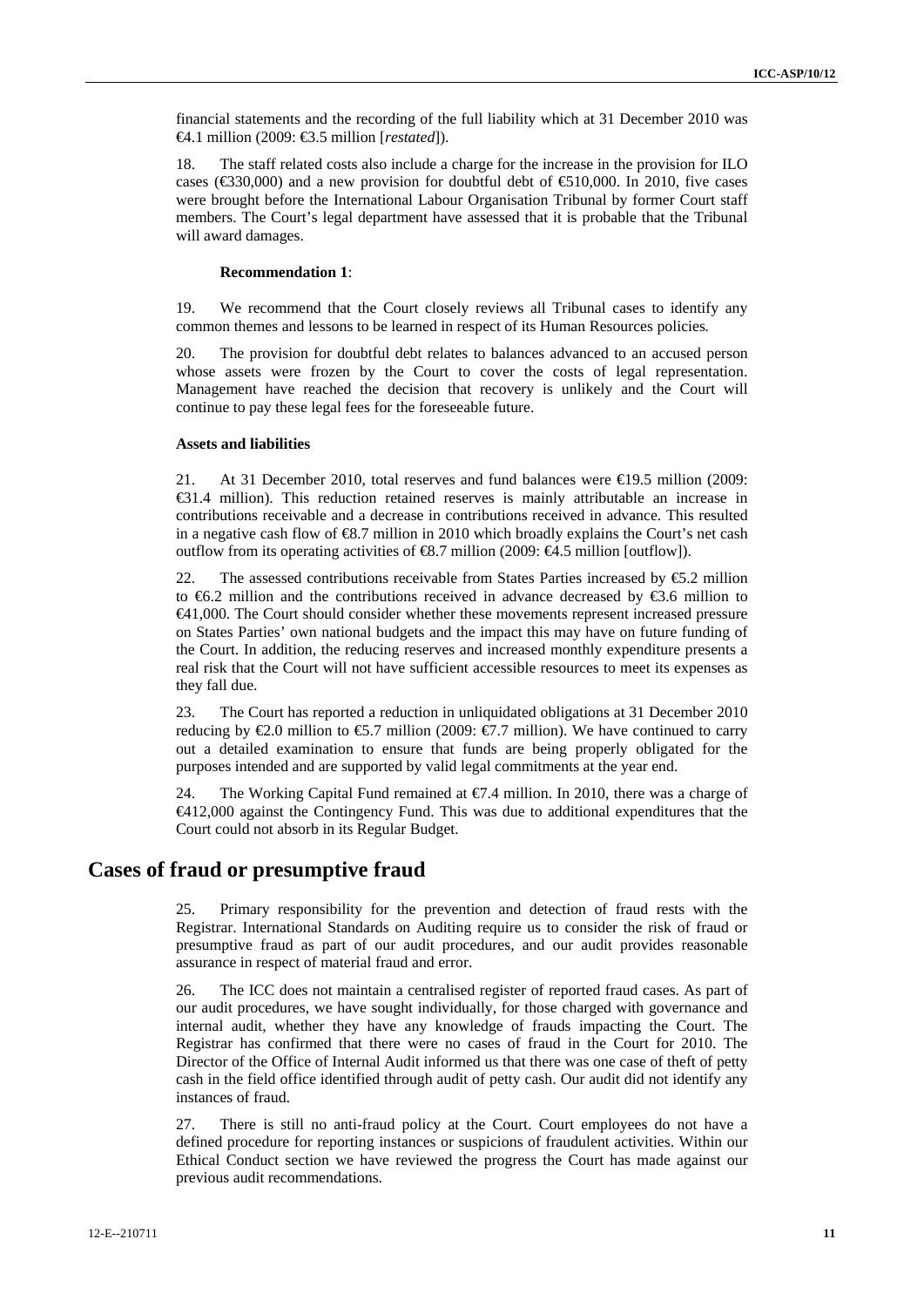financial statements and the recording of the full liability which at 31 December 2010 was €4.1 million (2009: €3.5 million [*restated*]).

18. The staff related costs also include a charge for the increase in the provision for ILO cases ( $\text{\textsterling}30,000$ ) and a new provision for doubtful debt of  $\text{\textsterling}10,000$ . In 2010, five cases were brought before the International Labour Organisation Tribunal by former Court staff members. The Court's legal department have assessed that it is probable that the Tribunal will award damages.

### **Recommendation 1**:

19. We recommend that the Court closely reviews all Tribunal cases to identify any common themes and lessons to be learned in respect of its Human Resources policies*.*

20. The provision for doubtful debt relates to balances advanced to an accused person whose assets were frozen by the Court to cover the costs of legal representation. Management have reached the decision that recovery is unlikely and the Court will continue to pay these legal fees for the foreseeable future.

#### **Assets and liabilities**

21. At 31 December 2010, total reserves and fund balances were €19.5 million (2009: €31.4 million). This reduction retained reserves is mainly attributable an increase in contributions receivable and a decrease in contributions received in advance. This resulted in a negative cash flow of €8.7 million in 2010 which broadly explains the Court's net cash outflow from its operating activities of  $\text{\textsterling}3.7$  million (2009:  $\text{\textsterling}4.5$  million [outflow]).

22. The assessed contributions receivable from States Parties increased by  $\epsilon$ 5.2 million to  $6.2$  million and the contributions received in advance decreased by  $6.6$  million to €41,000. The Court should consider whether these movements represent increased pressure on States Parties' own national budgets and the impact this may have on future funding of the Court. In addition, the reducing reserves and increased monthly expenditure presents a real risk that the Court will not have sufficient accessible resources to meet its expenses as they fall due.

23. The Court has reported a reduction in unliquidated obligations at 31 December 2010 reducing by  $\epsilon 2.0$  million to  $\epsilon 5.7$  million (2009:  $\epsilon 7.7$  million). We have continued to carry out a detailed examination to ensure that funds are being properly obligated for the purposes intended and are supported by valid legal commitments at the year end.

24. The Working Capital Fund remained at  $\epsilon$ . 4 million. In 2010, there was a charge of €412,000 against the Contingency Fund. This was due to additional expenditures that the Court could not absorb in its Regular Budget.

# **Cases of fraud or presumptive fraud**

25. Primary responsibility for the prevention and detection of fraud rests with the Registrar. International Standards on Auditing require us to consider the risk of fraud or presumptive fraud as part of our audit procedures, and our audit provides reasonable assurance in respect of material fraud and error.

26. The ICC does not maintain a centralised register of reported fraud cases. As part of our audit procedures, we have sought individually, for those charged with governance and internal audit, whether they have any knowledge of frauds impacting the Court. The Registrar has confirmed that there were no cases of fraud in the Court for 2010. The Director of the Office of Internal Audit informed us that there was one case of theft of petty cash in the field office identified through audit of petty cash. Our audit did not identify any instances of fraud.

27. There is still no anti-fraud policy at the Court. Court employees do not have a defined procedure for reporting instances or suspicions of fraudulent activities. Within our Ethical Conduct section we have reviewed the progress the Court has made against our previous audit recommendations.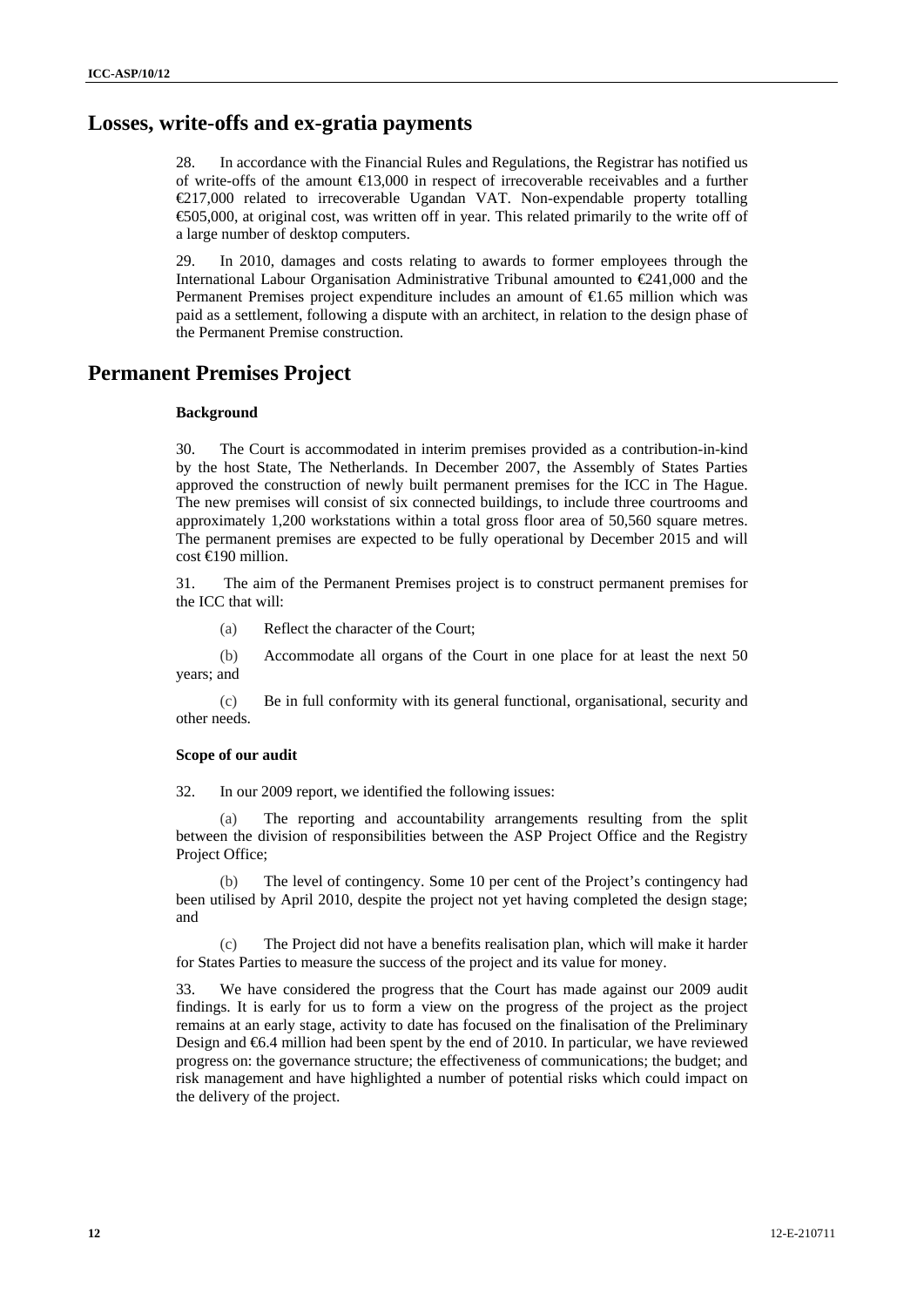# **Losses, write-offs and ex-gratia payments**

28. In accordance with the Financial Rules and Regulations, the Registrar has notified us of write-offs of the amount €13,000 in respect of irrecoverable receivables and a further €217,000 related to irrecoverable Ugandan VAT. Non-expendable property totalling €505,000, at original cost, was written off in year. This related primarily to the write off of a large number of desktop computers.

29. In 2010, damages and costs relating to awards to former employees through the International Labour Organisation Administrative Tribunal amounted to €241,000 and the Permanent Premises project expenditure includes an amount of €1.65 million which was paid as a settlement, following a dispute with an architect, in relation to the design phase of the Permanent Premise construction.

# **Permanent Premises Project**

#### **Background**

30. The Court is accommodated in interim premises provided as a contribution-in-kind by the host State, The Netherlands. In December 2007, the Assembly of States Parties approved the construction of newly built permanent premises for the ICC in The Hague. The new premises will consist of six connected buildings, to include three courtrooms and approximately 1,200 workstations within a total gross floor area of 50,560 square metres. The permanent premises are expected to be fully operational by December 2015 and will cost €190 million.

31. The aim of the Permanent Premises project is to construct permanent premises for the ICC that will:

(a) Reflect the character of the Court;

(b) Accommodate all organs of the Court in one place for at least the next 50 years; and

(c) Be in full conformity with its general functional, organisational, security and other needs.

### **Scope of our audit**

32. In our 2009 report, we identified the following issues:

(a) The reporting and accountability arrangements resulting from the split between the division of responsibilities between the ASP Project Office and the Registry Project Office;

(b) The level of contingency. Some 10 per cent of the Project's contingency had been utilised by April 2010, despite the project not yet having completed the design stage; and

(c) The Project did not have a benefits realisation plan, which will make it harder for States Parties to measure the success of the project and its value for money.

33. We have considered the progress that the Court has made against our 2009 audit findings. It is early for us to form a view on the progress of the project as the project remains at an early stage, activity to date has focused on the finalisation of the Preliminary Design and €6.4 million had been spent by the end of 2010. In particular, we have reviewed progress on: the governance structure; the effectiveness of communications; the budget; and risk management and have highlighted a number of potential risks which could impact on the delivery of the project.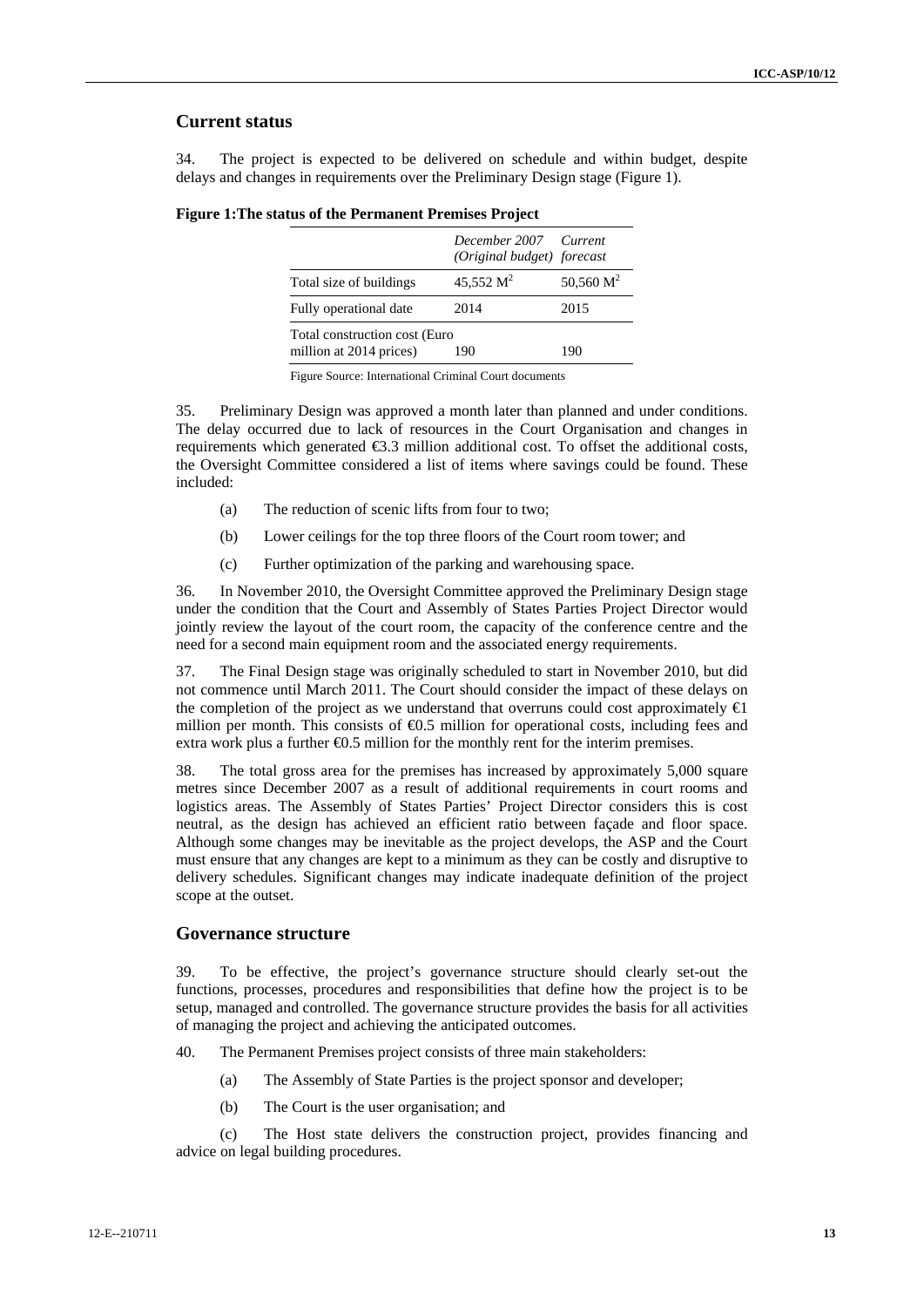# **Current status**

34. The project is expected to be delivered on schedule and within budget, despite delays and changes in requirements over the Preliminary Design stage (Figure 1).

|                                                          | December 2007 Current<br>(Original budget) forecast |              |
|----------------------------------------------------------|-----------------------------------------------------|--------------|
| Total size of buildings                                  | 45,552 $M^2$                                        | 50,560 $M^2$ |
| Fully operational date                                   | 2014                                                | 2015         |
| Total construction cost (Euro<br>million at 2014 prices) | 190                                                 | 190          |

#### **Figure 1:The status of the Permanent Premises Project**

Figure Source: International Criminal Court documents

35. Preliminary Design was approved a month later than planned and under conditions. The delay occurred due to lack of resources in the Court Organisation and changes in requirements which generated €3.3 million additional cost. To offset the additional costs, the Oversight Committee considered a list of items where savings could be found. These included:

- (a) The reduction of scenic lifts from four to two;
- (b) Lower ceilings for the top three floors of the Court room tower; and
- (c) Further optimization of the parking and warehousing space.

36. In November 2010, the Oversight Committee approved the Preliminary Design stage under the condition that the Court and Assembly of States Parties Project Director would jointly review the layout of the court room, the capacity of the conference centre and the need for a second main equipment room and the associated energy requirements.

37. The Final Design stage was originally scheduled to start in November 2010, but did not commence until March 2011. The Court should consider the impact of these delays on the completion of the project as we understand that overruns could cost approximately  $\bigoplus$ million per month. This consists of  $\Theta$ .5 million for operational costs, including fees and extra work plus a further  $\Theta$ .5 million for the monthly rent for the interim premises.

38. The total gross area for the premises has increased by approximately 5,000 square metres since December 2007 as a result of additional requirements in court rooms and logistics areas. The Assembly of States Parties' Project Director considers this is cost neutral, as the design has achieved an efficient ratio between façade and floor space. Although some changes may be inevitable as the project develops, the ASP and the Court must ensure that any changes are kept to a minimum as they can be costly and disruptive to delivery schedules. Significant changes may indicate inadequate definition of the project scope at the outset.

### **Governance structure**

39. To be effective, the project's governance structure should clearly set-out the functions, processes, procedures and responsibilities that define how the project is to be setup, managed and controlled. The governance structure provides the basis for all activities of managing the project and achieving the anticipated outcomes.

- 40. The Permanent Premises project consists of three main stakeholders:
	- (a) The Assembly of State Parties is the project sponsor and developer;
	- (b) The Court is the user organisation; and

(c) The Host state delivers the construction project, provides financing and advice on legal building procedures.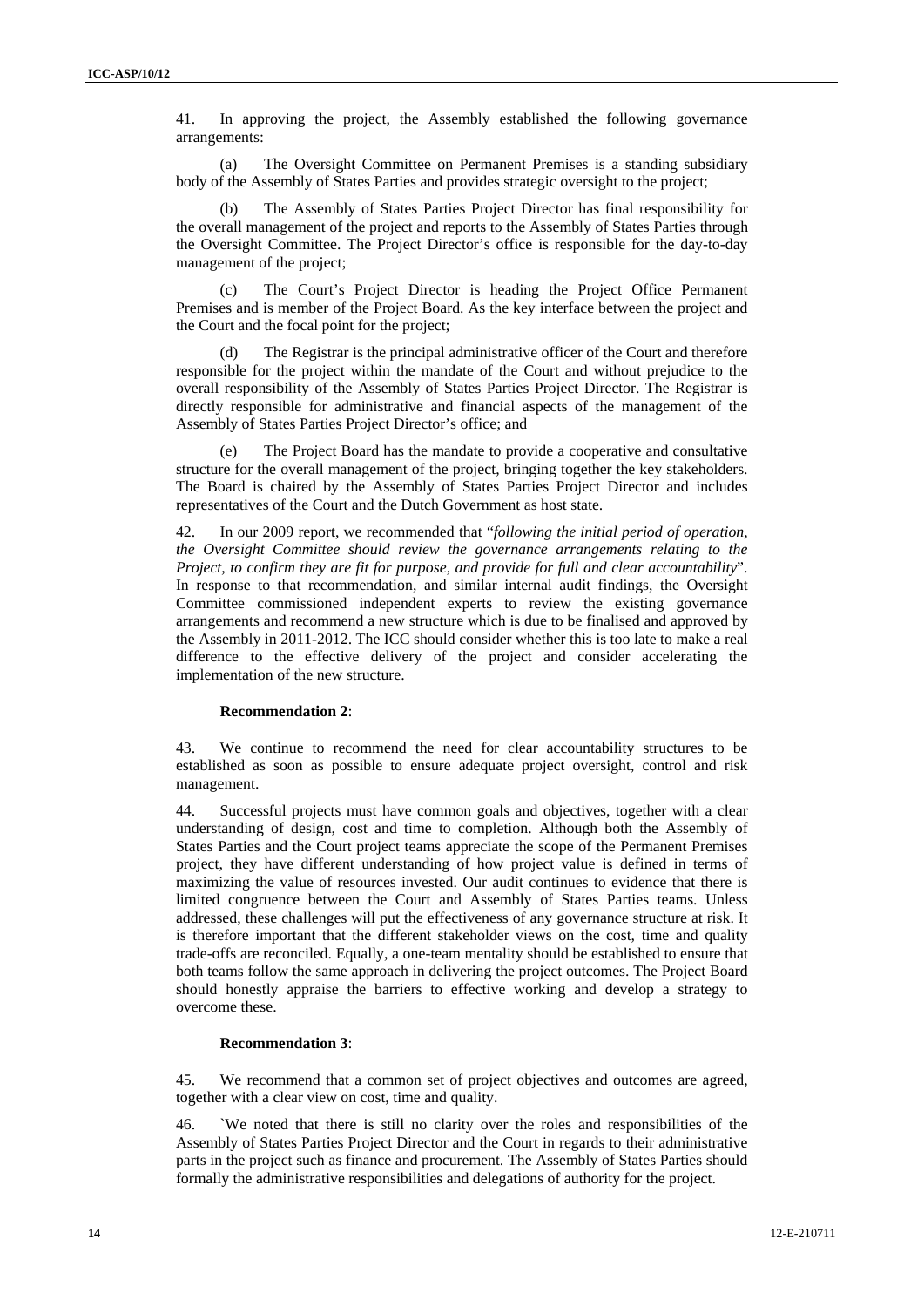41. In approving the project, the Assembly established the following governance arrangements:

(a) The Oversight Committee on Permanent Premises is a standing subsidiary body of the Assembly of States Parties and provides strategic oversight to the project;

(b) The Assembly of States Parties Project Director has final responsibility for the overall management of the project and reports to the Assembly of States Parties through the Oversight Committee. The Project Director's office is responsible for the day-to-day management of the project;

(c) The Court's Project Director is heading the Project Office Permanent Premises and is member of the Project Board. As the key interface between the project and the Court and the focal point for the project;

(d) The Registrar is the principal administrative officer of the Court and therefore responsible for the project within the mandate of the Court and without prejudice to the overall responsibility of the Assembly of States Parties Project Director. The Registrar is directly responsible for administrative and financial aspects of the management of the Assembly of States Parties Project Director's office; and

The Project Board has the mandate to provide a cooperative and consultative structure for the overall management of the project, bringing together the key stakeholders. The Board is chaired by the Assembly of States Parties Project Director and includes representatives of the Court and the Dutch Government as host state.

42. In our 2009 report, we recommended that "*following the initial period of operation, the Oversight Committee should review the governance arrangements relating to the Project, to confirm they are fit for purpose, and provide for full and clear accountability*". In response to that recommendation, and similar internal audit findings, the Oversight Committee commissioned independent experts to review the existing governance arrangements and recommend a new structure which is due to be finalised and approved by the Assembly in 2011-2012. The ICC should consider whether this is too late to make a real difference to the effective delivery of the project and consider accelerating the implementation of the new structure.

#### **Recommendation 2**:

43. We continue to recommend the need for clear accountability structures to be established as soon as possible to ensure adequate project oversight, control and risk management.

44. Successful projects must have common goals and objectives, together with a clear understanding of design, cost and time to completion. Although both the Assembly of States Parties and the Court project teams appreciate the scope of the Permanent Premises project, they have different understanding of how project value is defined in terms of maximizing the value of resources invested. Our audit continues to evidence that there is limited congruence between the Court and Assembly of States Parties teams. Unless addressed, these challenges will put the effectiveness of any governance structure at risk. It is therefore important that the different stakeholder views on the cost, time and quality trade-offs are reconciled. Equally, a one-team mentality should be established to ensure that both teams follow the same approach in delivering the project outcomes. The Project Board should honestly appraise the barriers to effective working and develop a strategy to overcome these.

#### **Recommendation 3**:

45. We recommend that a common set of project objectives and outcomes are agreed, together with a clear view on cost, time and quality.

46. `We noted that there is still no clarity over the roles and responsibilities of the Assembly of States Parties Project Director and the Court in regards to their administrative parts in the project such as finance and procurement. The Assembly of States Parties should formally the administrative responsibilities and delegations of authority for the project.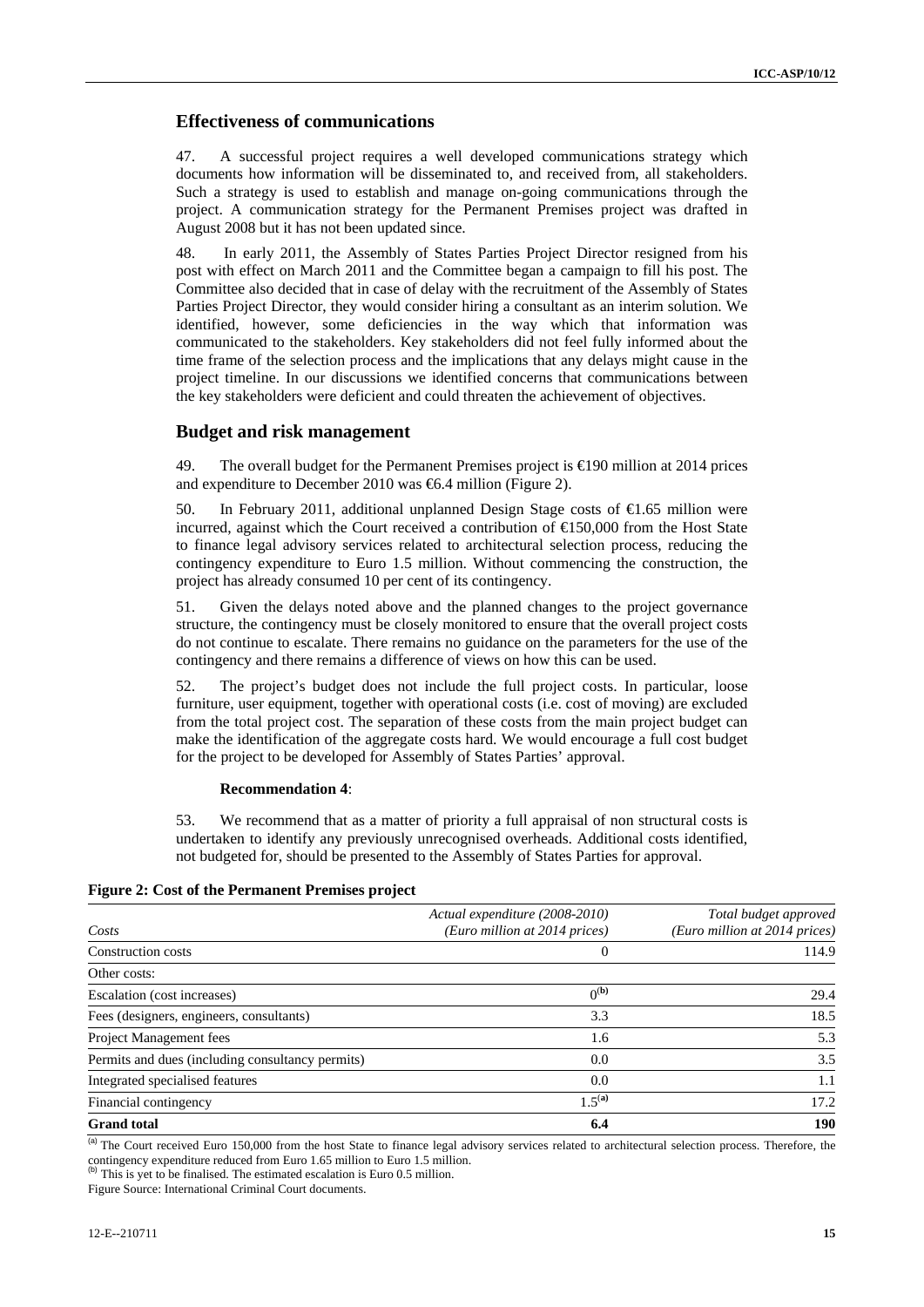# **Effectiveness of communications**

47. A successful project requires a well developed communications strategy which documents how information will be disseminated to, and received from, all stakeholders. Such a strategy is used to establish and manage on-going communications through the project. A communication strategy for the Permanent Premises project was drafted in August 2008 but it has not been updated since.

48. In early 2011, the Assembly of States Parties Project Director resigned from his post with effect on March 2011 and the Committee began a campaign to fill his post. The Committee also decided that in case of delay with the recruitment of the Assembly of States Parties Project Director, they would consider hiring a consultant as an interim solution. We identified, however, some deficiencies in the way which that information was communicated to the stakeholders. Key stakeholders did not feel fully informed about the time frame of the selection process and the implications that any delays might cause in the project timeline. In our discussions we identified concerns that communications between the key stakeholders were deficient and could threaten the achievement of objectives.

# **Budget and risk management**

49. The overall budget for the Permanent Premises project is €190 million at 2014 prices and expenditure to December 2010 was €6.4 million (Figure 2).

50. In February 2011, additional unplanned Design Stage costs of  $\bigoplus$  65 million were incurred, against which the Court received a contribution of  $\bigoplus$  50,000 from the Host State to finance legal advisory services related to architectural selection process, reducing the contingency expenditure to Euro 1.5 million. Without commencing the construction, the project has already consumed 10 per cent of its contingency.

51. Given the delays noted above and the planned changes to the project governance structure, the contingency must be closely monitored to ensure that the overall project costs do not continue to escalate. There remains no guidance on the parameters for the use of the contingency and there remains a difference of views on how this can be used.

52. The project's budget does not include the full project costs. In particular, loose furniture, user equipment, together with operational costs (i.e. cost of moving) are excluded from the total project cost. The separation of these costs from the main project budget can make the identification of the aggregate costs hard. We would encourage a full cost budget for the project to be developed for Assembly of States Parties' approval.

#### **Recommendation 4**:

53. We recommend that as a matter of priority a full appraisal of non structural costs is undertaken to identify any previously unrecognised overheads. Additional costs identified, not budgeted for, should be presented to the Assembly of States Parties for approval.

| <b>Figure 2: Cost of the Permanent Premises project</b> |  |  |  |  |
|---------------------------------------------------------|--|--|--|--|
|---------------------------------------------------------|--|--|--|--|

| Costs                                            | Actual expenditure (2008-2010)<br>(Euro million at 2014 prices) | Total budget approved<br>(Euro million at 2014 prices) |
|--------------------------------------------------|-----------------------------------------------------------------|--------------------------------------------------------|
| Construction costs                               | $\theta$                                                        | 114.9                                                  |
| Other costs:                                     |                                                                 |                                                        |
| Escalation (cost increases)                      | $0^{(b)}$                                                       | 29.4                                                   |
| Fees (designers, engineers, consultants)         | 3.3                                                             | 18.5                                                   |
| Project Management fees                          | 1.6                                                             | 5.3                                                    |
| Permits and dues (including consultancy permits) | 0.0                                                             | 3.5                                                    |
| Integrated specialised features                  | 0.0                                                             | 1.1                                                    |
| Financial contingency                            | $1.5^{(a)}$                                                     | 17.2                                                   |
| <b>Grand</b> total                               | 6.4                                                             | 190                                                    |

(a) The Court received Euro 150,000 from the host State to finance legal advisory services related to architectural selection process. Therefore, the contingency expenditure reduced from Euro 1.65 million to Euro 1.5 million.

This is yet to be finalised. The estimated escalation is Euro 0.5 million.

Figure Source: International Criminal Court documents.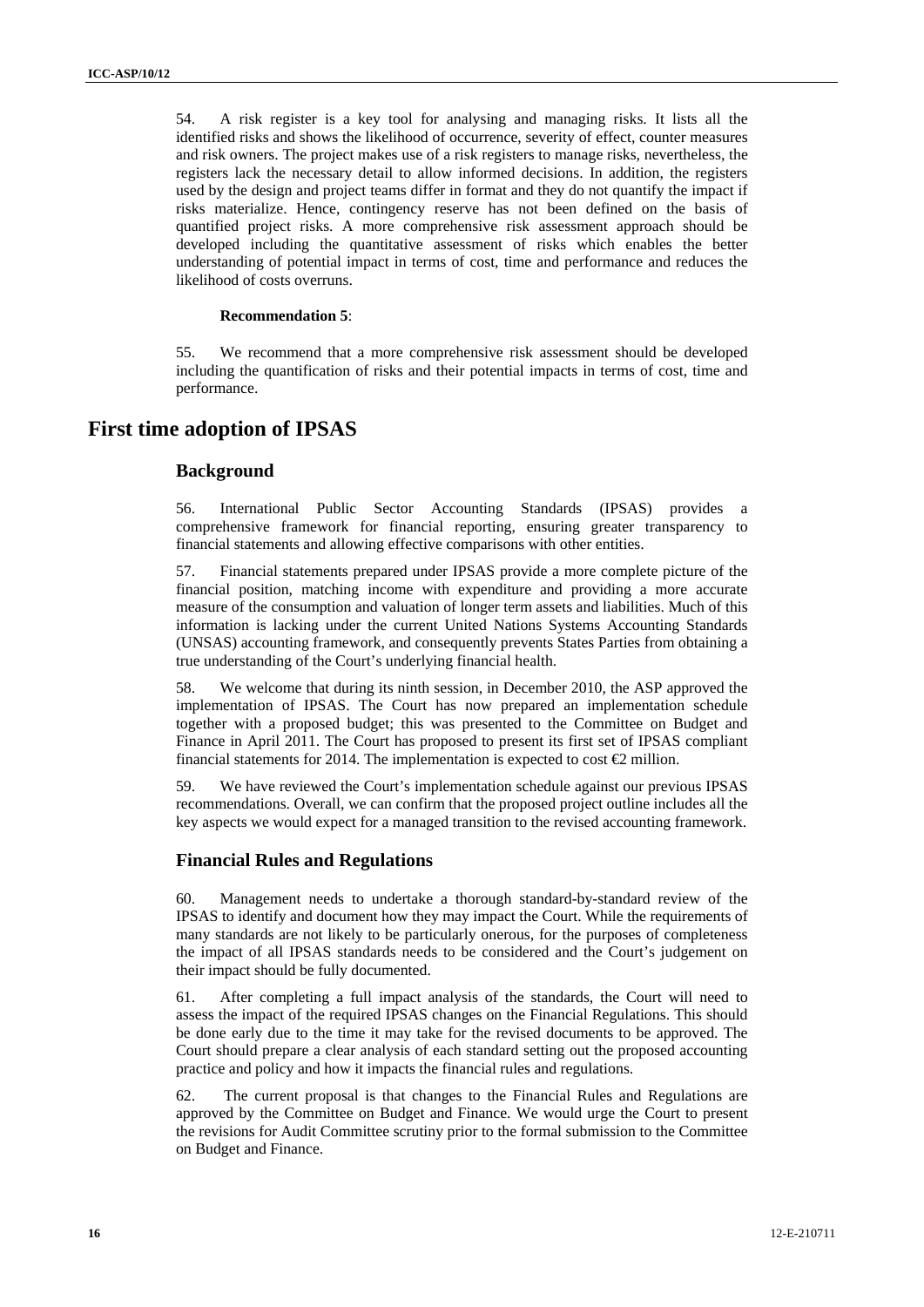54. A risk register is a key tool for analysing and managing risks. It lists all the identified risks and shows the likelihood of occurrence, severity of effect, counter measures and risk owners. The project makes use of a risk registers to manage risks, nevertheless, the registers lack the necessary detail to allow informed decisions. In addition, the registers used by the design and project teams differ in format and they do not quantify the impact if risks materialize. Hence, contingency reserve has not been defined on the basis of quantified project risks. A more comprehensive risk assessment approach should be developed including the quantitative assessment of risks which enables the better understanding of potential impact in terms of cost, time and performance and reduces the likelihood of costs overruns.

#### **Recommendation 5**:

55. We recommend that a more comprehensive risk assessment should be developed including the quantification of risks and their potential impacts in terms of cost, time and performance.

# **First time adoption of IPSAS**

# **Background**

56. International Public Sector Accounting Standards (IPSAS) provides a comprehensive framework for financial reporting, ensuring greater transparency to financial statements and allowing effective comparisons with other entities.

57. Financial statements prepared under IPSAS provide a more complete picture of the financial position, matching income with expenditure and providing a more accurate measure of the consumption and valuation of longer term assets and liabilities. Much of this information is lacking under the current United Nations Systems Accounting Standards (UNSAS) accounting framework, and consequently prevents States Parties from obtaining a true understanding of the Court's underlying financial health.

58. We welcome that during its ninth session, in December 2010, the ASP approved the implementation of IPSAS. The Court has now prepared an implementation schedule together with a proposed budget; this was presented to the Committee on Budget and Finance in April 2011. The Court has proposed to present its first set of IPSAS compliant financial statements for 2014. The implementation is expected to cost  $\bigoplus$  million.

59. We have reviewed the Court's implementation schedule against our previous IPSAS recommendations. Overall, we can confirm that the proposed project outline includes all the key aspects we would expect for a managed transition to the revised accounting framework.

### **Financial Rules and Regulations**

60. Management needs to undertake a thorough standard-by-standard review of the IPSAS to identify and document how they may impact the Court. While the requirements of many standards are not likely to be particularly onerous, for the purposes of completeness the impact of all IPSAS standards needs to be considered and the Court's judgement on their impact should be fully documented.

61. After completing a full impact analysis of the standards, the Court will need to assess the impact of the required IPSAS changes on the Financial Regulations. This should be done early due to the time it may take for the revised documents to be approved. The Court should prepare a clear analysis of each standard setting out the proposed accounting practice and policy and how it impacts the financial rules and regulations.

62. The current proposal is that changes to the Financial Rules and Regulations are approved by the Committee on Budget and Finance. We would urge the Court to present the revisions for Audit Committee scrutiny prior to the formal submission to the Committee on Budget and Finance.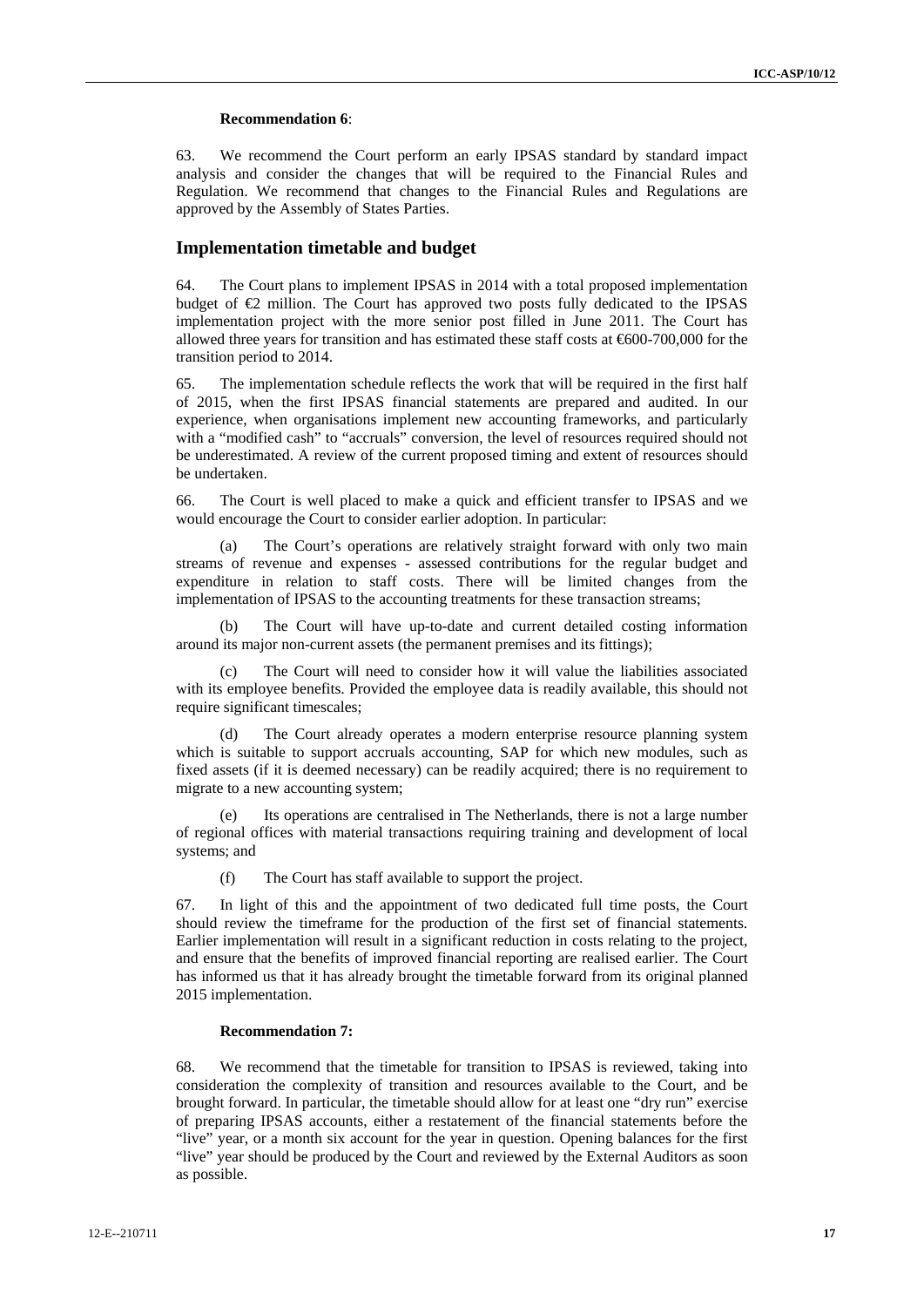#### **Recommendation 6**:

63. We recommend the Court perform an early IPSAS standard by standard impact analysis and consider the changes that will be required to the Financial Rules and Regulation. We recommend that changes to the Financial Rules and Regulations are approved by the Assembly of States Parties.

### **Implementation timetable and budget**

64. The Court plans to implement IPSAS in 2014 with a total proposed implementation budget of  $\bigoplus$  million. The Court has approved two posts fully dedicated to the IPSAS implementation project with the more senior post filled in June 2011. The Court has allowed three years for transition and has estimated these staff costs at €600-700,000 for the transition period to 2014.

65. The implementation schedule reflects the work that will be required in the first half of 2015, when the first IPSAS financial statements are prepared and audited. In our experience, when organisations implement new accounting frameworks, and particularly with a "modified cash" to "accruals" conversion, the level of resources required should not be underestimated. A review of the current proposed timing and extent of resources should be undertaken.

66. The Court is well placed to make a quick and efficient transfer to IPSAS and we would encourage the Court to consider earlier adoption. In particular:

(a) The Court's operations are relatively straight forward with only two main streams of revenue and expenses - assessed contributions for the regular budget and expenditure in relation to staff costs. There will be limited changes from the implementation of IPSAS to the accounting treatments for these transaction streams;

The Court will have up-to-date and current detailed costing information around its major non-current assets (the permanent premises and its fittings);

(c) The Court will need to consider how it will value the liabilities associated with its employee benefits. Provided the employee data is readily available, this should not require significant timescales;

(d) The Court already operates a modern enterprise resource planning system which is suitable to support accruals accounting, SAP for which new modules, such as fixed assets (if it is deemed necessary) can be readily acquired; there is no requirement to migrate to a new accounting system;

(e) Its operations are centralised in The Netherlands, there is not a large number of regional offices with material transactions requiring training and development of local systems; and

(f) The Court has staff available to support the project.

67. In light of this and the appointment of two dedicated full time posts, the Court should review the timeframe for the production of the first set of financial statements. Earlier implementation will result in a significant reduction in costs relating to the project, and ensure that the benefits of improved financial reporting are realised earlier. The Court has informed us that it has already brought the timetable forward from its original planned 2015 implementation.

## **Recommendation 7:**

68. We recommend that the timetable for transition to IPSAS is reviewed, taking into consideration the complexity of transition and resources available to the Court, and be brought forward. In particular, the timetable should allow for at least one "dry run" exercise of preparing IPSAS accounts, either a restatement of the financial statements before the "live" year, or a month six account for the year in question. Opening balances for the first "live" year should be produced by the Court and reviewed by the External Auditors as soon as possible.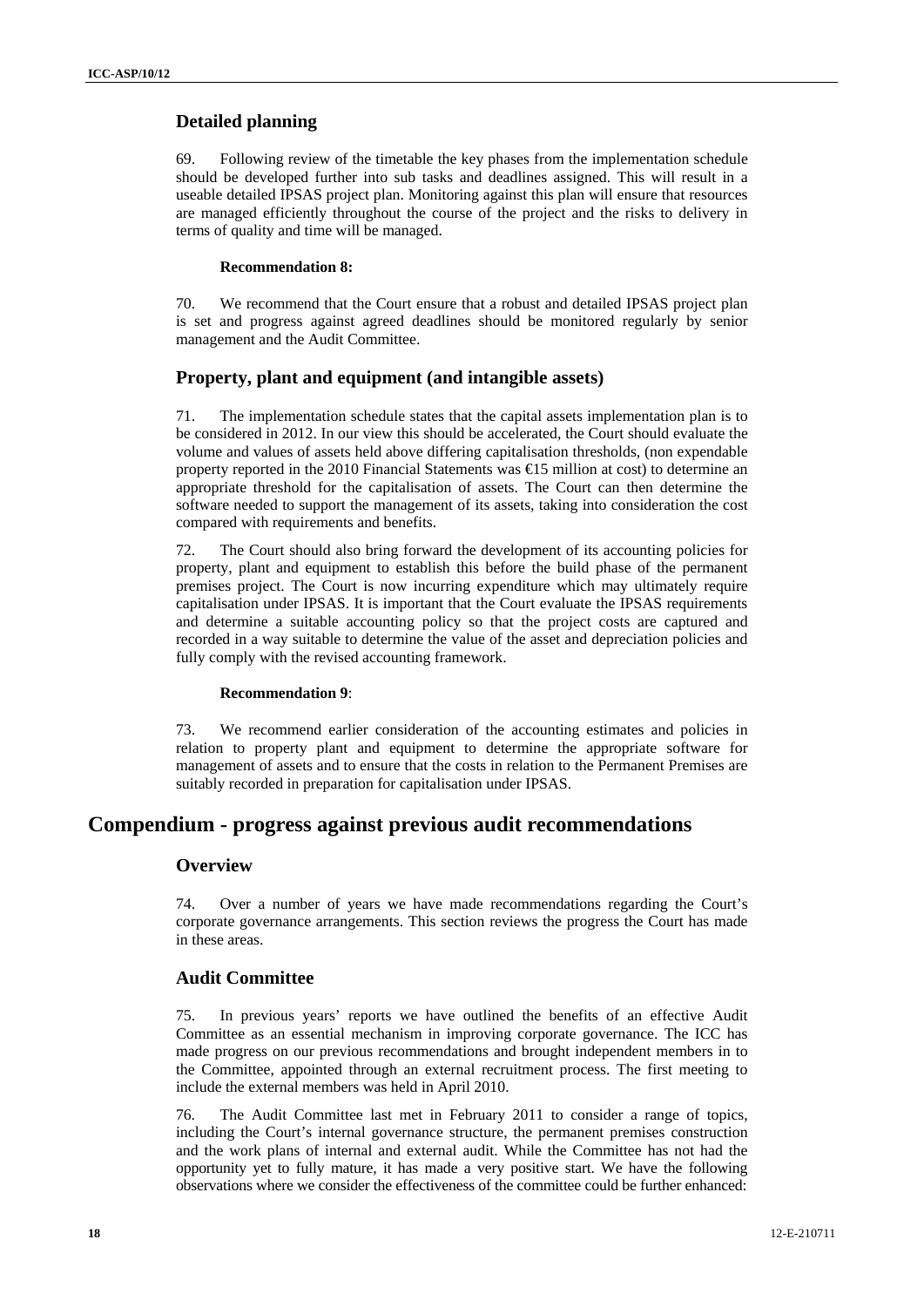# **Detailed planning**

69. Following review of the timetable the key phases from the implementation schedule should be developed further into sub tasks and deadlines assigned. This will result in a useable detailed IPSAS project plan. Monitoring against this plan will ensure that resources are managed efficiently throughout the course of the project and the risks to delivery in terms of quality and time will be managed.

# **Recommendation 8:**

70. We recommend that the Court ensure that a robust and detailed IPSAS project plan is set and progress against agreed deadlines should be monitored regularly by senior management and the Audit Committee.

# **Property, plant and equipment (and intangible assets)**

71. The implementation schedule states that the capital assets implementation plan is to be considered in 2012. In our view this should be accelerated, the Court should evaluate the volume and values of assets held above differing capitalisation thresholds, (non expendable property reported in the 2010 Financial Statements was €15 million at cost) to determine an appropriate threshold for the capitalisation of assets. The Court can then determine the software needed to support the management of its assets, taking into consideration the cost compared with requirements and benefits.

72. The Court should also bring forward the development of its accounting policies for property, plant and equipment to establish this before the build phase of the permanent premises project. The Court is now incurring expenditure which may ultimately require capitalisation under IPSAS. It is important that the Court evaluate the IPSAS requirements and determine a suitable accounting policy so that the project costs are captured and recorded in a way suitable to determine the value of the asset and depreciation policies and fully comply with the revised accounting framework.

# **Recommendation 9**:

73. We recommend earlier consideration of the accounting estimates and policies in relation to property plant and equipment to determine the appropriate software for management of assets and to ensure that the costs in relation to the Permanent Premises are suitably recorded in preparation for capitalisation under IPSAS.

# **Compendium - progress against previous audit recommendations**

# **Overview**

74. Over a number of years we have made recommendations regarding the Court's corporate governance arrangements. This section reviews the progress the Court has made in these areas.

# **Audit Committee**

75. In previous years' reports we have outlined the benefits of an effective Audit Committee as an essential mechanism in improving corporate governance. The ICC has made progress on our previous recommendations and brought independent members in to the Committee, appointed through an external recruitment process. The first meeting to include the external members was held in April 2010.

76. The Audit Committee last met in February 2011 to consider a range of topics, including the Court's internal governance structure, the permanent premises construction and the work plans of internal and external audit. While the Committee has not had the opportunity yet to fully mature, it has made a very positive start. We have the following observations where we consider the effectiveness of the committee could be further enhanced: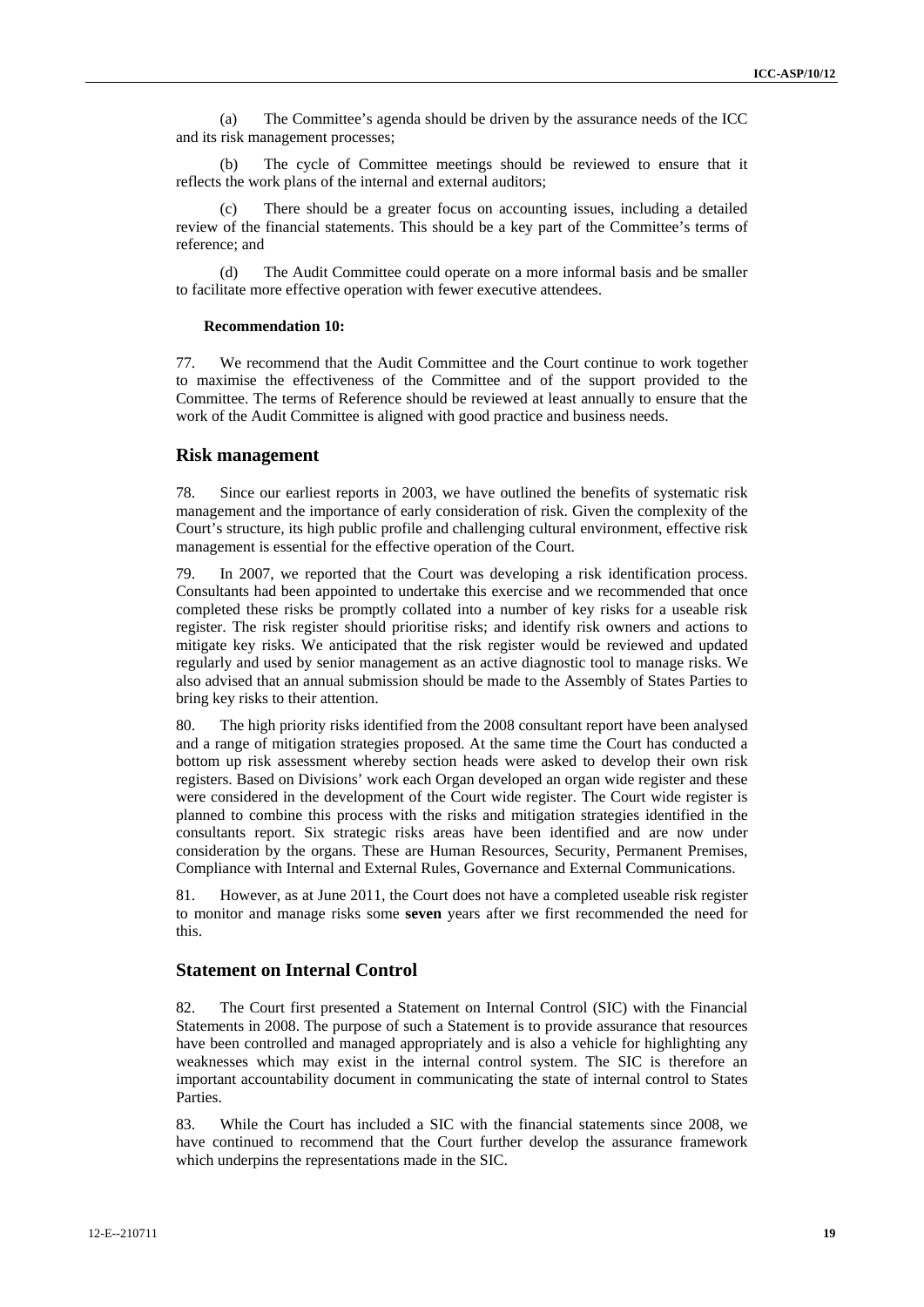(a) The Committee's agenda should be driven by the assurance needs of the ICC and its risk management processes;

(b) The cycle of Committee meetings should be reviewed to ensure that it reflects the work plans of the internal and external auditors;

(c) There should be a greater focus on accounting issues, including a detailed review of the financial statements. This should be a key part of the Committee's terms of reference; and

(d) The Audit Committee could operate on a more informal basis and be smaller to facilitate more effective operation with fewer executive attendees.

#### **Recommendation 10:**

77. We recommend that the Audit Committee and the Court continue to work together to maximise the effectiveness of the Committee and of the support provided to the Committee. The terms of Reference should be reviewed at least annually to ensure that the work of the Audit Committee is aligned with good practice and business needs.

#### **Risk management**

78. Since our earliest reports in 2003, we have outlined the benefits of systematic risk management and the importance of early consideration of risk. Given the complexity of the Court's structure, its high public profile and challenging cultural environment, effective risk management is essential for the effective operation of the Court.

79. In 2007, we reported that the Court was developing a risk identification process. Consultants had been appointed to undertake this exercise and we recommended that once completed these risks be promptly collated into a number of key risks for a useable risk register. The risk register should prioritise risks; and identify risk owners and actions to mitigate key risks. We anticipated that the risk register would be reviewed and updated regularly and used by senior management as an active diagnostic tool to manage risks. We also advised that an annual submission should be made to the Assembly of States Parties to bring key risks to their attention.

80. The high priority risks identified from the 2008 consultant report have been analysed and a range of mitigation strategies proposed. At the same time the Court has conducted a bottom up risk assessment whereby section heads were asked to develop their own risk registers. Based on Divisions' work each Organ developed an organ wide register and these were considered in the development of the Court wide register. The Court wide register is planned to combine this process with the risks and mitigation strategies identified in the consultants report. Six strategic risks areas have been identified and are now under consideration by the organs. These are Human Resources, Security, Permanent Premises, Compliance with Internal and External Rules, Governance and External Communications.

81. However, as at June 2011, the Court does not have a completed useable risk register to monitor and manage risks some **seven** years after we first recommended the need for this.

## **Statement on Internal Control**

82. The Court first presented a Statement on Internal Control (SIC) with the Financial Statements in 2008. The purpose of such a Statement is to provide assurance that resources have been controlled and managed appropriately and is also a vehicle for highlighting any weaknesses which may exist in the internal control system. The SIC is therefore an important accountability document in communicating the state of internal control to States Parties.

83. While the Court has included a SIC with the financial statements since 2008, we have continued to recommend that the Court further develop the assurance framework which underpins the representations made in the SIC.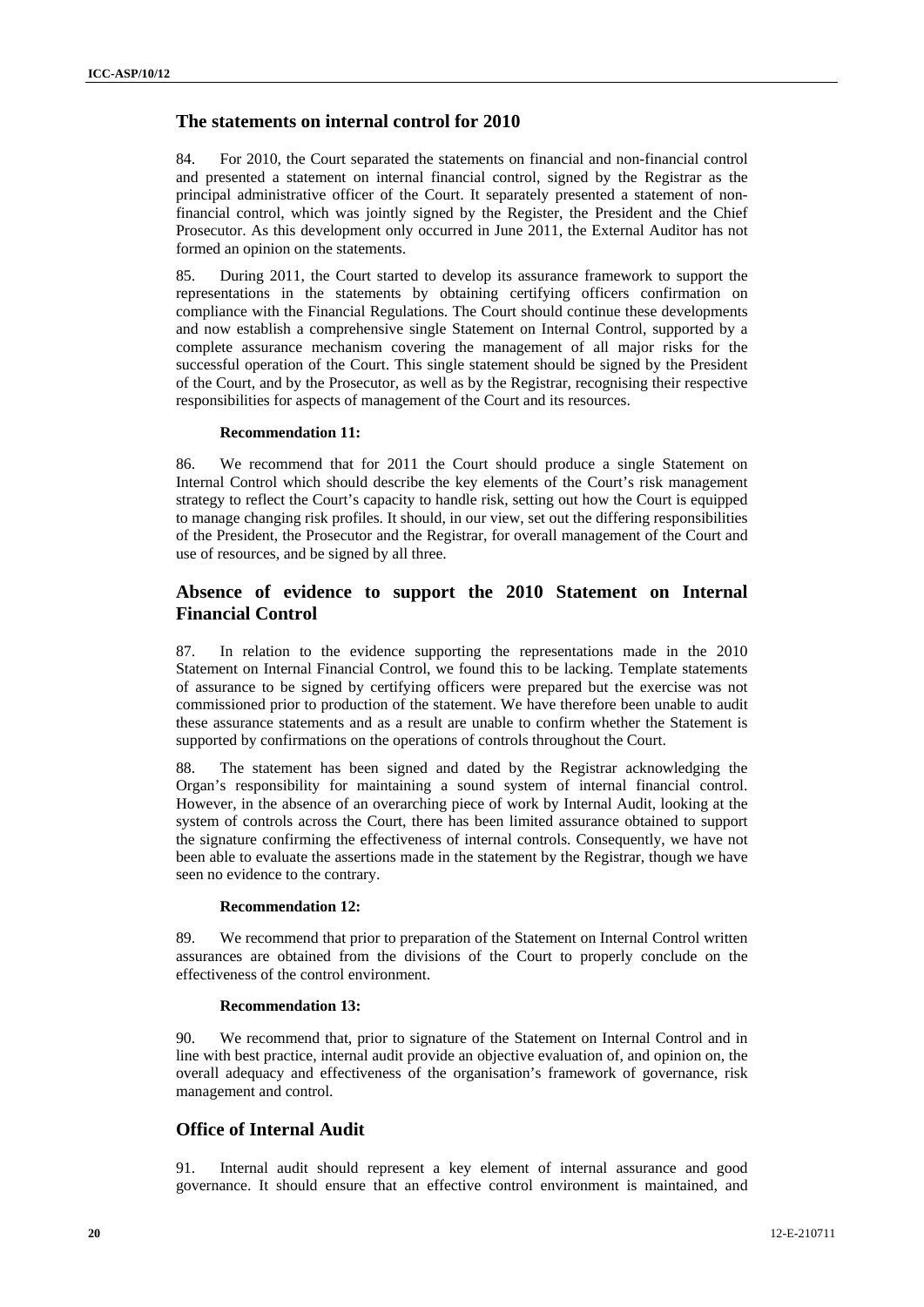# **The statements on internal control for 2010**

84. For 2010, the Court separated the statements on financial and non-financial control and presented a statement on internal financial control, signed by the Registrar as the principal administrative officer of the Court. It separately presented a statement of nonfinancial control, which was jointly signed by the Register, the President and the Chief Prosecutor. As this development only occurred in June 2011, the External Auditor has not formed an opinion on the statements.

85. During 2011, the Court started to develop its assurance framework to support the representations in the statements by obtaining certifying officers confirmation on compliance with the Financial Regulations. The Court should continue these developments and now establish a comprehensive single Statement on Internal Control, supported by a complete assurance mechanism covering the management of all major risks for the successful operation of the Court. This single statement should be signed by the President of the Court, and by the Prosecutor, as well as by the Registrar, recognising their respective responsibilities for aspects of management of the Court and its resources.

#### **Recommendation 11:**

86. We recommend that for 2011 the Court should produce a single Statement on Internal Control which should describe the key elements of the Court's risk management strategy to reflect the Court's capacity to handle risk, setting out how the Court is equipped to manage changing risk profiles. It should, in our view, set out the differing responsibilities of the President, the Prosecutor and the Registrar, for overall management of the Court and use of resources, and be signed by all three.

# **Absence of evidence to support the 2010 Statement on Internal Financial Control**

87. In relation to the evidence supporting the representations made in the 2010 Statement on Internal Financial Control, we found this to be lacking. Template statements of assurance to be signed by certifying officers were prepared but the exercise was not commissioned prior to production of the statement. We have therefore been unable to audit these assurance statements and as a result are unable to confirm whether the Statement is supported by confirmations on the operations of controls throughout the Court.

88. The statement has been signed and dated by the Registrar acknowledging the Organ's responsibility for maintaining a sound system of internal financial control. However, in the absence of an overarching piece of work by Internal Audit, looking at the system of controls across the Court, there has been limited assurance obtained to support the signature confirming the effectiveness of internal controls. Consequently, we have not been able to evaluate the assertions made in the statement by the Registrar, though we have seen no evidence to the contrary.

#### **Recommendation 12:**

89. We recommend that prior to preparation of the Statement on Internal Control written assurances are obtained from the divisions of the Court to properly conclude on the effectiveness of the control environment.

#### **Recommendation 13:**

90. We recommend that, prior to signature of the Statement on Internal Control and in line with best practice, internal audit provide an objective evaluation of, and opinion on, the overall adequacy and effectiveness of the organisation's framework of governance, risk management and control.

# **Office of Internal Audit**

91. Internal audit should represent a key element of internal assurance and good governance. It should ensure that an effective control environment is maintained, and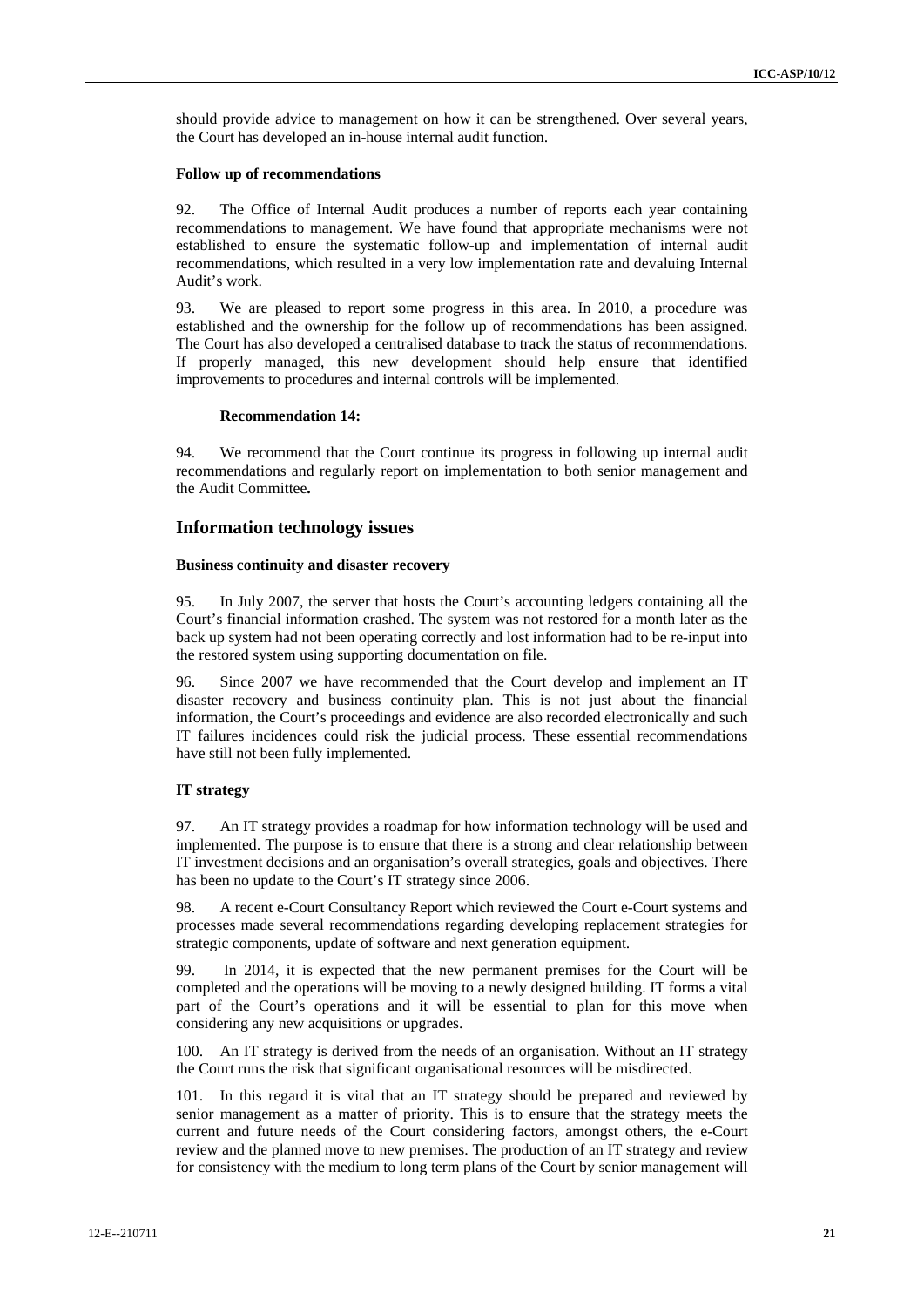should provide advice to management on how it can be strengthened. Over several years, the Court has developed an in-house internal audit function.

#### **Follow up of recommendations**

92. The Office of Internal Audit produces a number of reports each year containing recommendations to management. We have found that appropriate mechanisms were not established to ensure the systematic follow-up and implementation of internal audit recommendations, which resulted in a very low implementation rate and devaluing Internal Audit's work.

93. We are pleased to report some progress in this area. In 2010, a procedure was established and the ownership for the follow up of recommendations has been assigned. The Court has also developed a centralised database to track the status of recommendations. If properly managed, this new development should help ensure that identified improvements to procedures and internal controls will be implemented.

#### **Recommendation 14:**

94. We recommend that the Court continue its progress in following up internal audit recommendations and regularly report on implementation to both senior management and the Audit Committee**.** 

### **Information technology issues**

#### **Business continuity and disaster recovery**

95. In July 2007, the server that hosts the Court's accounting ledgers containing all the Court's financial information crashed. The system was not restored for a month later as the back up system had not been operating correctly and lost information had to be re-input into the restored system using supporting documentation on file.

96. Since 2007 we have recommended that the Court develop and implement an IT disaster recovery and business continuity plan. This is not just about the financial information, the Court's proceedings and evidence are also recorded electronically and such IT failures incidences could risk the judicial process. These essential recommendations have still not been fully implemented.

# **IT strategy**

97. An IT strategy provides a roadmap for how information technology will be used and implemented. The purpose is to ensure that there is a strong and clear relationship between IT investment decisions and an organisation's overall strategies, goals and objectives. There has been no update to the Court's IT strategy since 2006.

98. A recent e-Court Consultancy Report which reviewed the Court e-Court systems and processes made several recommendations regarding developing replacement strategies for strategic components, update of software and next generation equipment.

99. In 2014, it is expected that the new permanent premises for the Court will be completed and the operations will be moving to a newly designed building. IT forms a vital part of the Court's operations and it will be essential to plan for this move when considering any new acquisitions or upgrades.

100. An IT strategy is derived from the needs of an organisation. Without an IT strategy the Court runs the risk that significant organisational resources will be misdirected.

101. In this regard it is vital that an IT strategy should be prepared and reviewed by senior management as a matter of priority. This is to ensure that the strategy meets the current and future needs of the Court considering factors, amongst others, the e-Court review and the planned move to new premises. The production of an IT strategy and review for consistency with the medium to long term plans of the Court by senior management will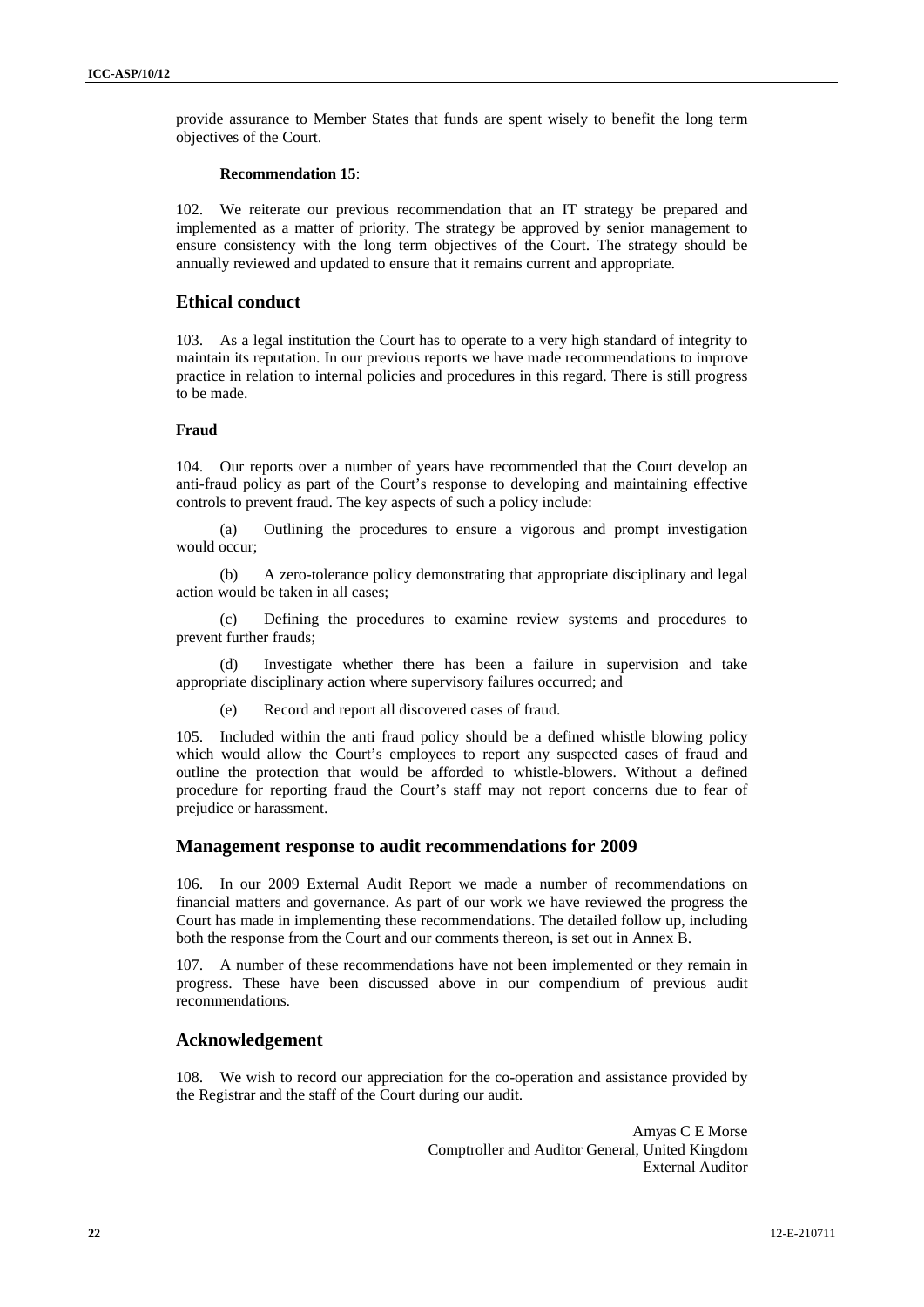provide assurance to Member States that funds are spent wisely to benefit the long term objectives of the Court.

#### **Recommendation 15**:

102. We reiterate our previous recommendation that an IT strategy be prepared and implemented as a matter of priority. The strategy be approved by senior management to ensure consistency with the long term objectives of the Court. The strategy should be annually reviewed and updated to ensure that it remains current and appropriate.

# **Ethical conduct**

103. As a legal institution the Court has to operate to a very high standard of integrity to maintain its reputation. In our previous reports we have made recommendations to improve practice in relation to internal policies and procedures in this regard. There is still progress to be made.

#### **Fraud**

104. Our reports over a number of years have recommended that the Court develop an anti-fraud policy as part of the Court's response to developing and maintaining effective controls to prevent fraud. The key aspects of such a policy include:

(a) Outlining the procedures to ensure a vigorous and prompt investigation would occur;

(b) A zero-tolerance policy demonstrating that appropriate disciplinary and legal action would be taken in all cases;

(c) Defining the procedures to examine review systems and procedures to prevent further frauds;

(d) Investigate whether there has been a failure in supervision and take appropriate disciplinary action where supervisory failures occurred; and

(e) Record and report all discovered cases of fraud.

105. Included within the anti fraud policy should be a defined whistle blowing policy which would allow the Court's employees to report any suspected cases of fraud and outline the protection that would be afforded to whistle-blowers. Without a defined procedure for reporting fraud the Court's staff may not report concerns due to fear of prejudice or harassment.

# **Management response to audit recommendations for 2009**

106. In our 2009 External Audit Report we made a number of recommendations on financial matters and governance. As part of our work we have reviewed the progress the Court has made in implementing these recommendations. The detailed follow up, including both the response from the Court and our comments thereon, is set out in Annex B.

107. A number of these recommendations have not been implemented or they remain in progress. These have been discussed above in our compendium of previous audit recommendations.

### **Acknowledgement**

108. We wish to record our appreciation for the co-operation and assistance provided by the Registrar and the staff of the Court during our audit.

> Amyas C E Morse Comptroller and Auditor General, United Kingdom External Auditor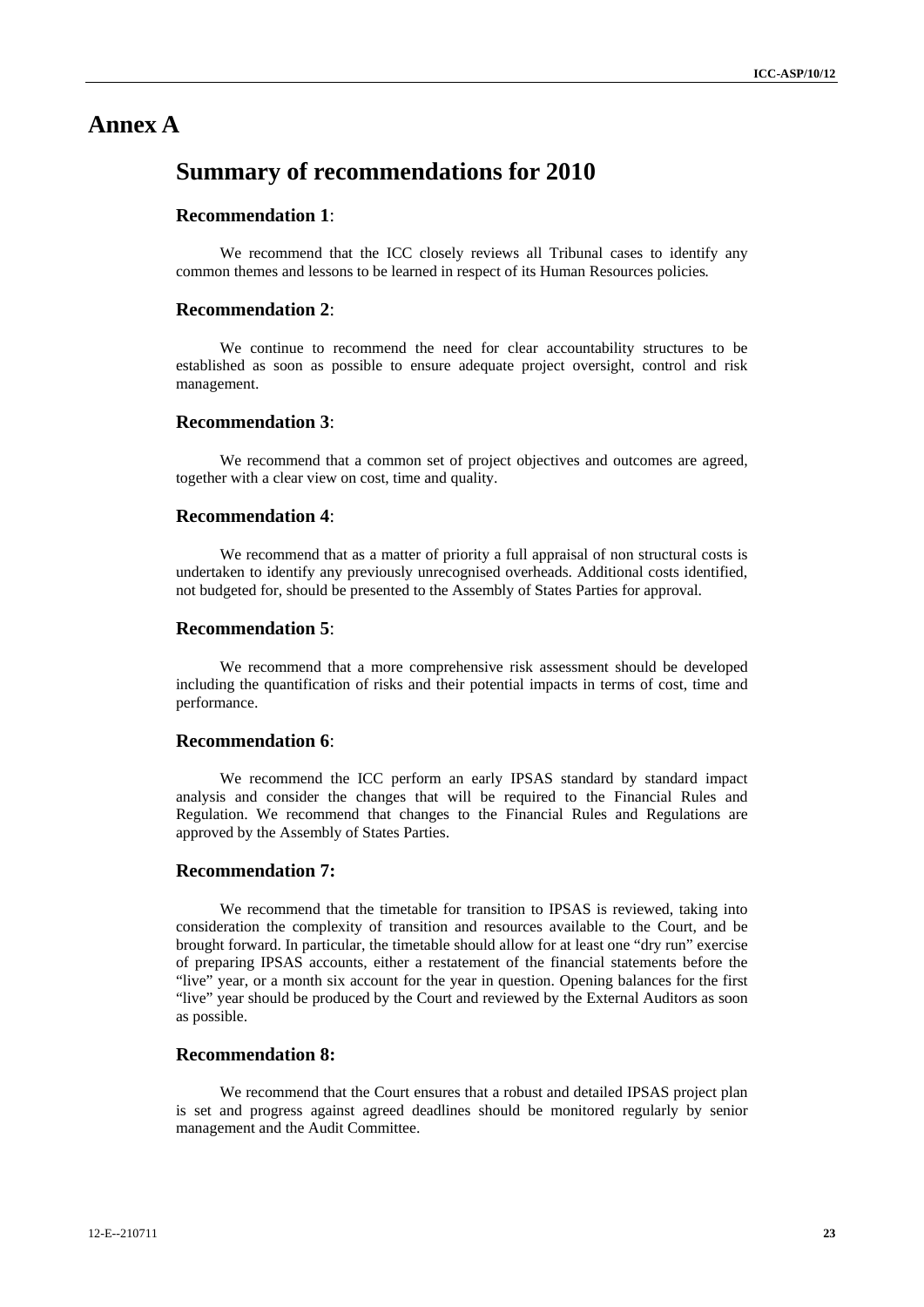# **Annex A**

# **Summary of recommendations for 2010**

# **Recommendation 1**:

We recommend that the ICC closely reviews all Tribunal cases to identify any common themes and lessons to be learned in respect of its Human Resources policies*.*

### **Recommendation 2**:

We continue to recommend the need for clear accountability structures to be established as soon as possible to ensure adequate project oversight, control and risk management.

# **Recommendation 3**:

We recommend that a common set of project objectives and outcomes are agreed, together with a clear view on cost, time and quality.

# **Recommendation 4**:

We recommend that as a matter of priority a full appraisal of non structural costs is undertaken to identify any previously unrecognised overheads. Additional costs identified, not budgeted for, should be presented to the Assembly of States Parties for approval.

# **Recommendation 5**:

We recommend that a more comprehensive risk assessment should be developed including the quantification of risks and their potential impacts in terms of cost, time and performance.

# **Recommendation 6**:

We recommend the ICC perform an early IPSAS standard by standard impact analysis and consider the changes that will be required to the Financial Rules and Regulation. We recommend that changes to the Financial Rules and Regulations are approved by the Assembly of States Parties.

### **Recommendation 7:**

We recommend that the timetable for transition to IPSAS is reviewed, taking into consideration the complexity of transition and resources available to the Court, and be brought forward. In particular, the timetable should allow for at least one "dry run" exercise of preparing IPSAS accounts, either a restatement of the financial statements before the "live" year, or a month six account for the year in question. Opening balances for the first "live" year should be produced by the Court and reviewed by the External Auditors as soon as possible.

# **Recommendation 8:**

We recommend that the Court ensures that a robust and detailed IPSAS project plan is set and progress against agreed deadlines should be monitored regularly by senior management and the Audit Committee.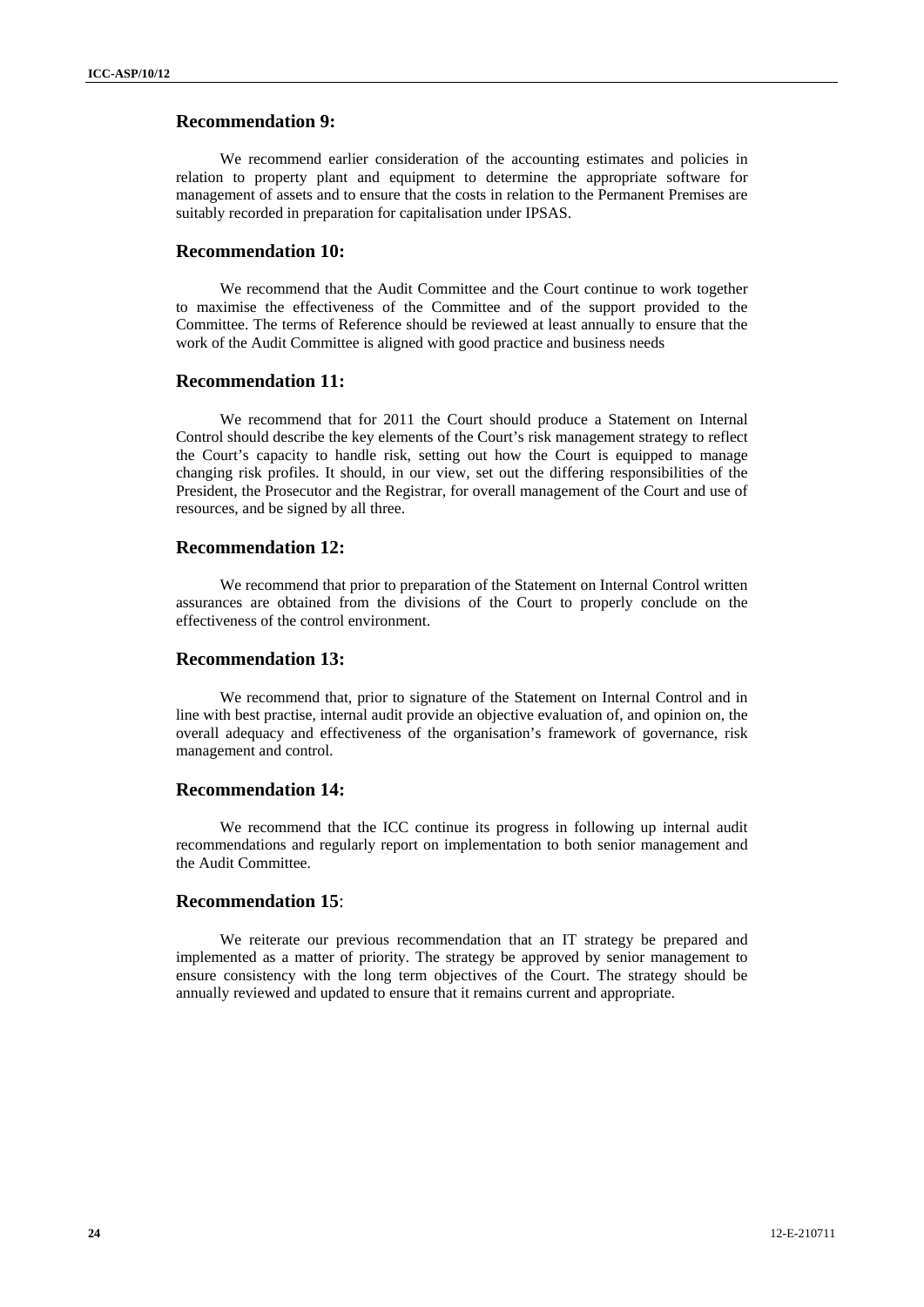# **Recommendation 9:**

We recommend earlier consideration of the accounting estimates and policies in relation to property plant and equipment to determine the appropriate software for management of assets and to ensure that the costs in relation to the Permanent Premises are suitably recorded in preparation for capitalisation under IPSAS.

# **Recommendation 10:**

We recommend that the Audit Committee and the Court continue to work together to maximise the effectiveness of the Committee and of the support provided to the Committee. The terms of Reference should be reviewed at least annually to ensure that the work of the Audit Committee is aligned with good practice and business needs

# **Recommendation 11:**

We recommend that for 2011 the Court should produce a Statement on Internal Control should describe the key elements of the Court's risk management strategy to reflect the Court's capacity to handle risk, setting out how the Court is equipped to manage changing risk profiles. It should, in our view, set out the differing responsibilities of the President, the Prosecutor and the Registrar, for overall management of the Court and use of resources, and be signed by all three.

### **Recommendation 12:**

We recommend that prior to preparation of the Statement on Internal Control written assurances are obtained from the divisions of the Court to properly conclude on the effectiveness of the control environment.

### **Recommendation 13:**

We recommend that, prior to signature of the Statement on Internal Control and in line with best practise, internal audit provide an objective evaluation of, and opinion on, the overall adequacy and effectiveness of the organisation's framework of governance, risk management and control.

### **Recommendation 14:**

We recommend that the ICC continue its progress in following up internal audit recommendations and regularly report on implementation to both senior management and the Audit Committee.

#### **Recommendation 15**:

We reiterate our previous recommendation that an IT strategy be prepared and implemented as a matter of priority. The strategy be approved by senior management to ensure consistency with the long term objectives of the Court. The strategy should be annually reviewed and updated to ensure that it remains current and appropriate.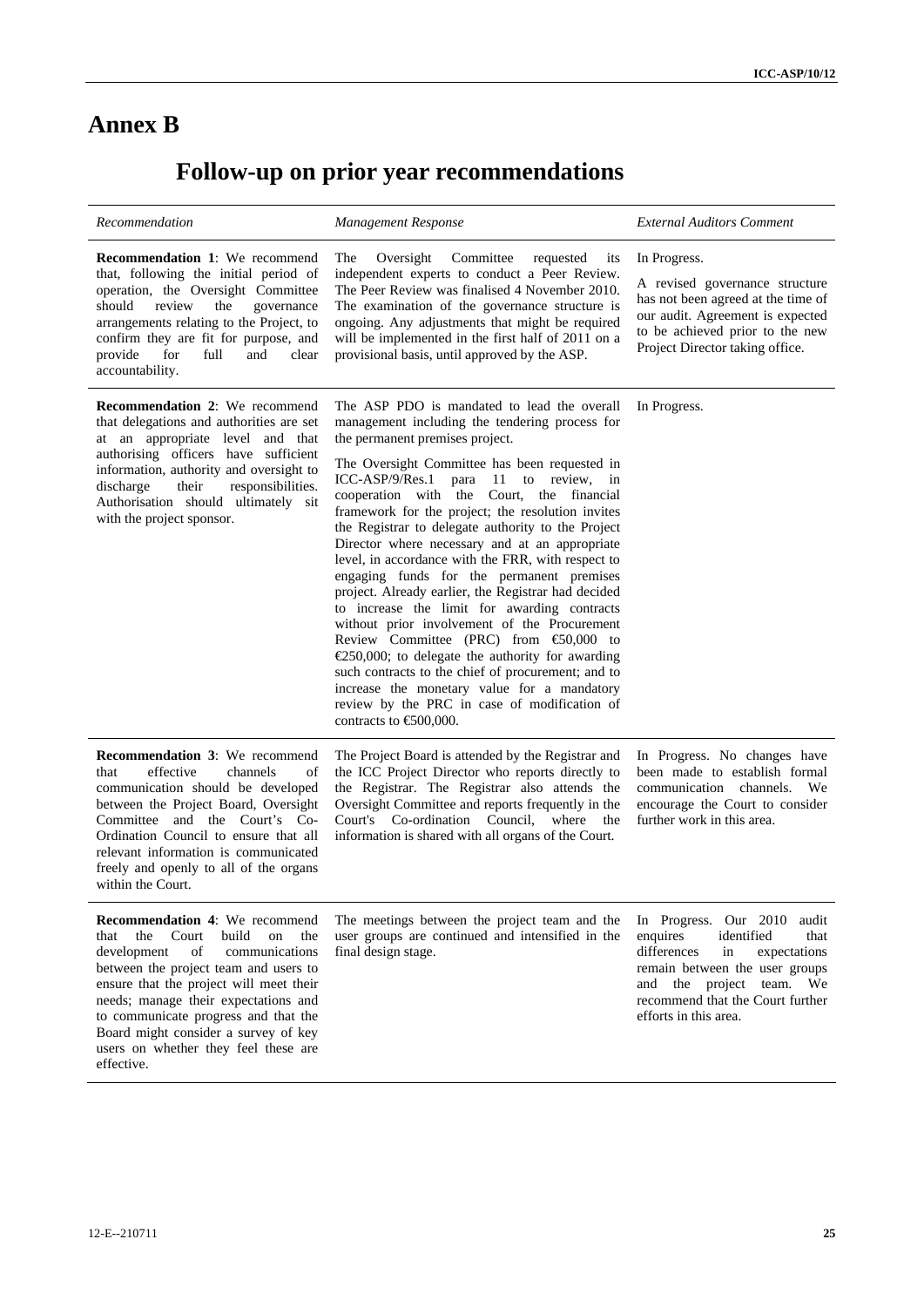# **Annex B**

# **Follow-up on prior year recommendations**

| Recommendation                                                                                                                                                                                                                                                                                                                                                                               | <b>Management Response</b>                                                                                                                                                                                                                                                                                                                                                                                                                                                                                                                                                                                                                                                                                                                                                                                                                                                                                                                                                                                      | <b>External Auditors Comment</b>                                                                                                                                                                                                 |  |  |  |
|----------------------------------------------------------------------------------------------------------------------------------------------------------------------------------------------------------------------------------------------------------------------------------------------------------------------------------------------------------------------------------------------|-----------------------------------------------------------------------------------------------------------------------------------------------------------------------------------------------------------------------------------------------------------------------------------------------------------------------------------------------------------------------------------------------------------------------------------------------------------------------------------------------------------------------------------------------------------------------------------------------------------------------------------------------------------------------------------------------------------------------------------------------------------------------------------------------------------------------------------------------------------------------------------------------------------------------------------------------------------------------------------------------------------------|----------------------------------------------------------------------------------------------------------------------------------------------------------------------------------------------------------------------------------|--|--|--|
| <b>Recommendation 1:</b> We recommend<br>that, following the initial period of<br>operation, the Oversight Committee<br>review<br>should<br>the<br>governance<br>arrangements relating to the Project, to<br>confirm they are fit for purpose, and<br>provide<br>for<br>full<br>and<br>clear<br>accountability.                                                                              | The<br>Oversight<br>Committee<br>requested<br>its<br>independent experts to conduct a Peer Review.<br>The Peer Review was finalised 4 November 2010.<br>The examination of the governance structure is<br>ongoing. Any adjustments that might be required<br>will be implemented in the first half of 2011 on a<br>provisional basis, until approved by the ASP.                                                                                                                                                                                                                                                                                                                                                                                                                                                                                                                                                                                                                                                | In Progress.<br>A revised governance structure<br>has not been agreed at the time of<br>our audit. Agreement is expected<br>to be achieved prior to the new<br>Project Director taking office.                                   |  |  |  |
| <b>Recommendation 2:</b> We recommend<br>that delegations and authorities are set<br>at an appropriate level and that<br>authorising officers have sufficient<br>information, authority and oversight to<br>responsibilities.<br>discharge<br>their<br>Authorisation should ultimately sit<br>with the project sponsor.                                                                      | The ASP PDO is mandated to lead the overall<br>management including the tendering process for<br>the permanent premises project.<br>The Oversight Committee has been requested in<br>ICC-ASP/9/Res.1<br>para<br>11 to review, in<br>cooperation with the Court, the financial<br>framework for the project; the resolution invites<br>the Registrar to delegate authority to the Project<br>Director where necessary and at an appropriate<br>level, in accordance with the FRR, with respect to<br>engaging funds for the permanent premises<br>project. Already earlier, the Registrar had decided<br>to increase the limit for awarding contracts<br>without prior involvement of the Procurement<br>Review Committee (PRC) from $\bigoplus$ 0,000 to<br>$\epsilon$ 250,000; to delegate the authority for awarding<br>such contracts to the chief of procurement; and to<br>increase the monetary value for a mandatory<br>review by the PRC in case of modification of<br>contracts to $\epsilon$ 500,000. | In Progress.                                                                                                                                                                                                                     |  |  |  |
| <b>Recommendation 3:</b> We recommend<br>that<br>effective<br>channels<br>of<br>communication should be developed<br>between the Project Board, Oversight<br>Committee and the Court's Co-<br>Ordination Council to ensure that all<br>relevant information is communicated<br>freely and openly to all of the organs<br>within the Court.                                                   | The Project Board is attended by the Registrar and<br>the ICC Project Director who reports directly to<br>the Registrar. The Registrar also attends the<br>Oversight Committee and reports frequently in the<br>Court's Co-ordination Council,<br>where the<br>information is shared with all organs of the Court.                                                                                                                                                                                                                                                                                                                                                                                                                                                                                                                                                                                                                                                                                              | In Progress. No changes have<br>been made to establish formal<br>communication channels. We<br>encourage the Court to consider<br>further work in this area.                                                                     |  |  |  |
| <b>Recommendation 4:</b> We recommend<br>the<br>Court<br>build<br>on<br>the<br>that<br>of<br>development<br>communications<br>between the project team and users to<br>ensure that the project will meet their<br>needs; manage their expectations and<br>to communicate progress and that the<br>Board might consider a survey of key<br>users on whether they feel these are<br>effective. | The meetings between the project team and the<br>user groups are continued and intensified in the<br>final design stage.                                                                                                                                                                                                                                                                                                                                                                                                                                                                                                                                                                                                                                                                                                                                                                                                                                                                                        | In Progress. Our 2010<br>audit<br>enquires<br>identified<br>that<br>differences<br>in<br>expectations<br>remain between the user groups<br>and the project team. We<br>recommend that the Court further<br>efforts in this area. |  |  |  |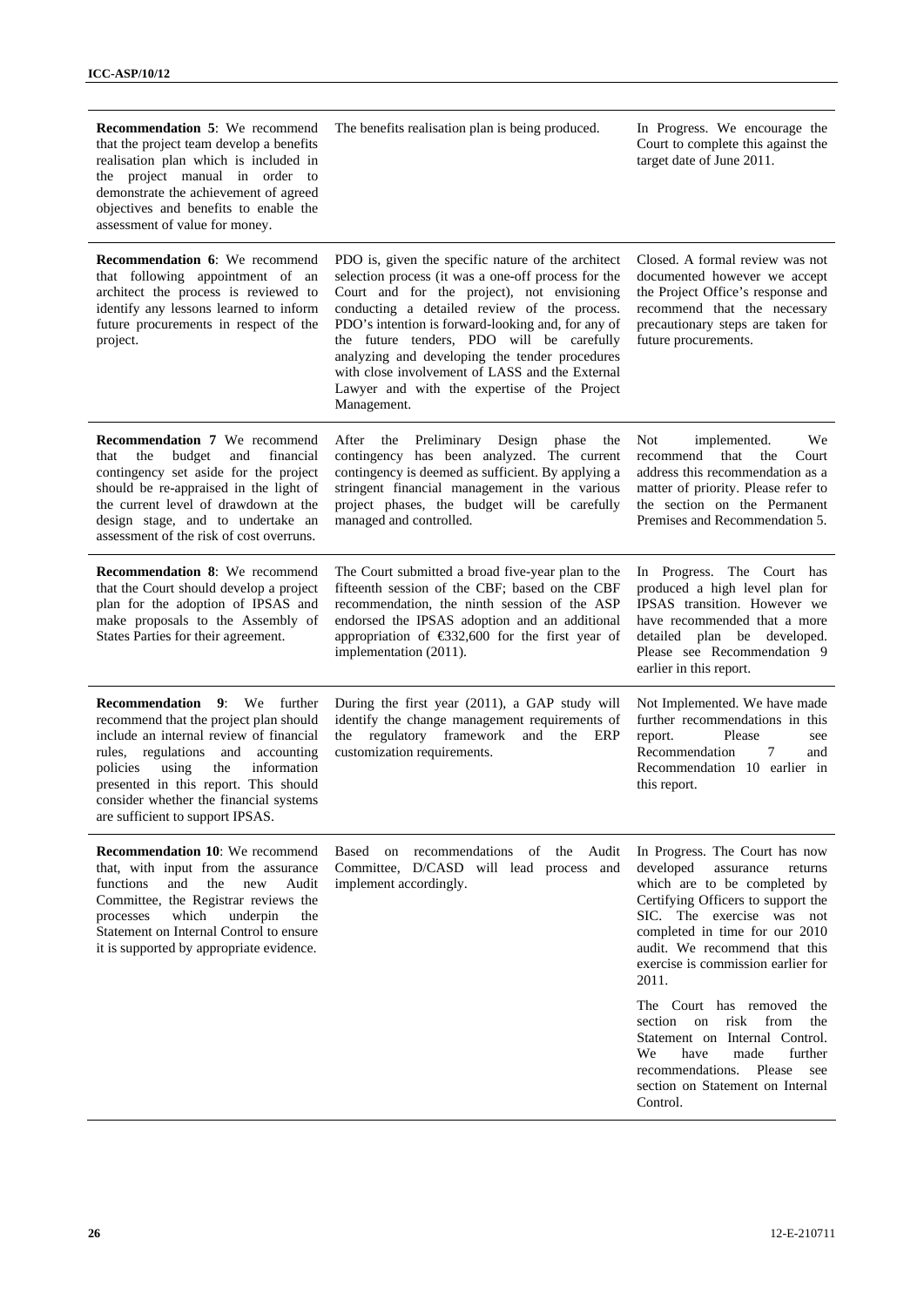| <b>Recommendation 5:</b> We recommend<br>that the project team develop a benefits<br>realisation plan which is included in<br>the project manual in order to<br>demonstrate the achievement of agreed<br>objectives and benefits to enable the<br>assessment of value for money.                                               | The benefits realisation plan is being produced.                                                                                                                                                                                                                                                                                                                                                                                                                                | In Progress. We encourage the<br>Court to complete this against the<br>target date of June 2011.                                                                                                                                                                                         |
|--------------------------------------------------------------------------------------------------------------------------------------------------------------------------------------------------------------------------------------------------------------------------------------------------------------------------------|---------------------------------------------------------------------------------------------------------------------------------------------------------------------------------------------------------------------------------------------------------------------------------------------------------------------------------------------------------------------------------------------------------------------------------------------------------------------------------|------------------------------------------------------------------------------------------------------------------------------------------------------------------------------------------------------------------------------------------------------------------------------------------|
| <b>Recommendation 6:</b> We recommend<br>that following appointment of an<br>architect the process is reviewed to<br>identify any lessons learned to inform<br>future procurements in respect of the<br>project.                                                                                                               | PDO is, given the specific nature of the architect<br>selection process (it was a one-off process for the<br>Court and for the project), not envisioning<br>conducting a detailed review of the process.<br>PDO's intention is forward-looking and, for any of<br>the future tenders, PDO will be carefully<br>analyzing and developing the tender procedures<br>with close involvement of LASS and the External<br>Lawyer and with the expertise of the Project<br>Management. | Closed. A formal review was not<br>documented however we accept<br>the Project Office's response and<br>recommend that the necessary<br>precautionary steps are taken for<br>future procurements.                                                                                        |
| <b>Recommendation 7</b> We recommend<br>the<br>budget<br>and<br>financial<br>that<br>contingency set aside for the project<br>should be re-appraised in the light of<br>the current level of drawdown at the<br>design stage, and to undertake an<br>assessment of the risk of cost overruns.                                  | Preliminary Design phase<br>After<br>the<br>the<br>contingency has been analyzed. The current<br>contingency is deemed as sufficient. By applying a<br>stringent financial management in the various<br>project phases, the budget will be carefully<br>managed and controlled.                                                                                                                                                                                                 | implemented.<br>We<br>Not.<br>recommend that the<br>Court<br>address this recommendation as a<br>matter of priority. Please refer to<br>the section on the Permanent<br>Premises and Recommendation 5.                                                                                   |
| <b>Recommendation 8:</b> We recommend<br>that the Court should develop a project<br>plan for the adoption of IPSAS and<br>make proposals to the Assembly of<br>States Parties for their agreement.                                                                                                                             | The Court submitted a broad five-year plan to the<br>fifteenth session of the CBF; based on the CBF<br>recommendation, the ninth session of the ASP<br>endorsed the IPSAS adoption and an additional<br>appropriation of $$32,600$ for the first year of<br>implementation (2011).                                                                                                                                                                                              | In Progress. The Court has<br>produced a high level plan for<br>IPSAS transition. However we<br>have recommended that a more<br>detailed plan be developed.<br>Please see Recommendation 9<br>earlier in this report.                                                                    |
| Recommendation<br>9: We further<br>recommend that the project plan should<br>include an internal review of financial<br>rules, regulations and<br>accounting<br>policies<br>using<br>the<br>information<br>presented in this report. This should<br>consider whether the financial systems<br>are sufficient to support IPSAS. | During the first year (2011), a GAP study will<br>identify the change management requirements of<br>regulatory framework<br>and<br>the<br>the<br>ERP<br>customization requirements.                                                                                                                                                                                                                                                                                             | Not Implemented. We have made<br>further recommendations in this<br>report.<br>Please<br>see<br>Recommendation<br>7<br>and<br>Recommendation 10 earlier in<br>this report.                                                                                                               |
| <b>Recommendation 10:</b> We recommend<br>that, with input from the assurance<br>functions<br>and<br>the<br>Audit<br>new<br>Committee, the Registrar reviews the<br>which<br>underpin<br>processes<br>the<br>Statement on Internal Control to ensure<br>it is supported by appropriate evidence.                               | Based<br>on<br>recommendations of the Audit<br>Committee, D/CASD will lead process and<br>implement accordingly.                                                                                                                                                                                                                                                                                                                                                                | In Progress. The Court has now<br>developed<br>assurance<br>returns<br>which are to be completed by<br>Certifying Officers to support the<br>SIC. The exercise was not<br>completed in time for our 2010<br>audit. We recommend that this<br>exercise is commission earlier for<br>2011. |
|                                                                                                                                                                                                                                                                                                                                |                                                                                                                                                                                                                                                                                                                                                                                                                                                                                 | The Court has removed the<br>risk<br>from<br>section<br>on<br>the<br>Statement on Internal Control.<br>further<br>We<br>have<br>made<br>recommendations.<br>Please<br>see<br>section on Statement on Internal<br>Control.                                                                |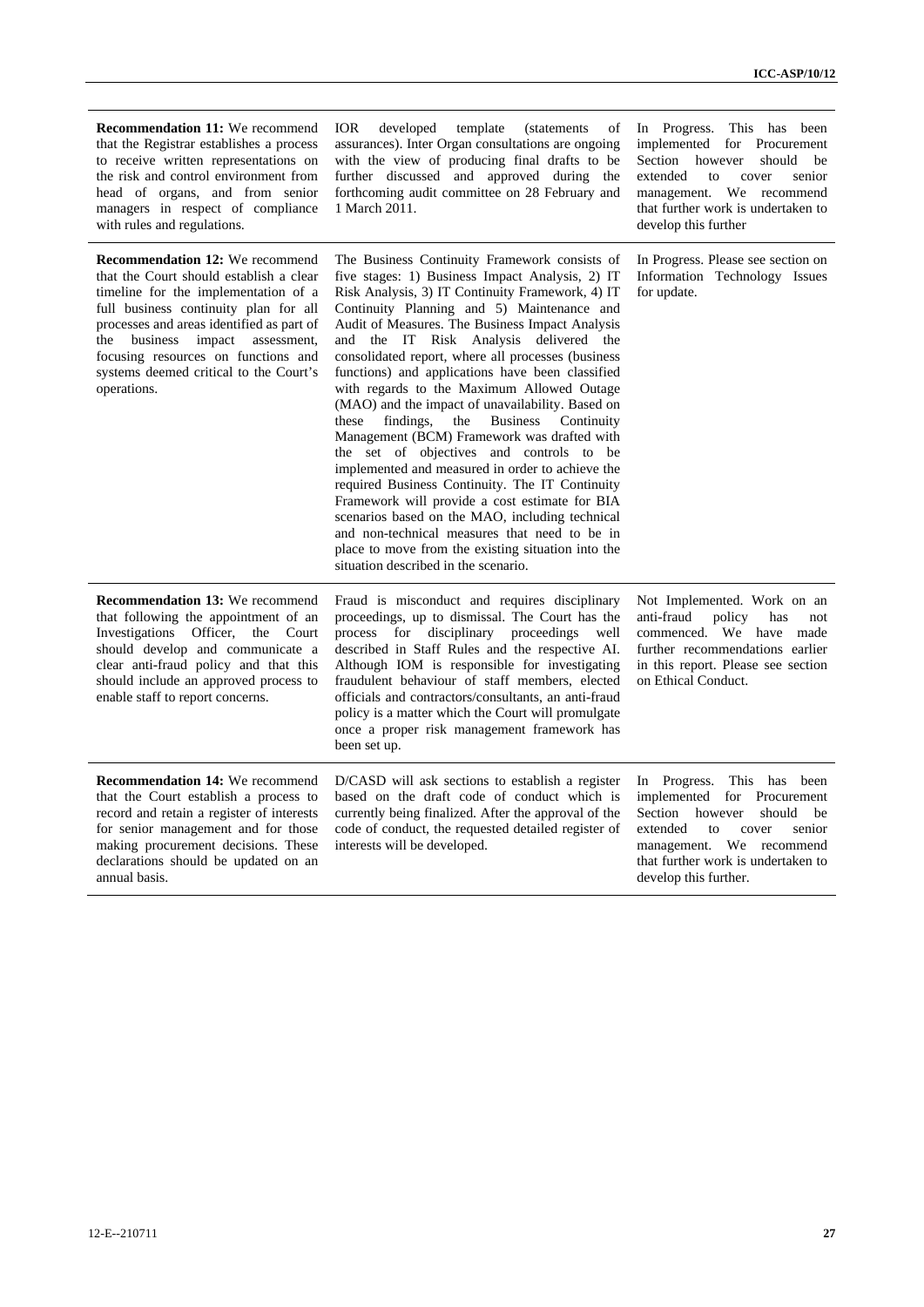| <b>Recommendation 11:</b> We recommend<br>that the Registrar establishes a process<br>to receive written representations on<br>the risk and control environment from<br>head of organs, and from senior<br>managers in respect of compliance<br>with rules and regulations.                                                                                 | IOR.<br>developed<br>template<br><i>(statements)</i><br>οf<br>assurances). Inter Organ consultations are ongoing<br>with the view of producing final drafts to be<br>further discussed and approved during the<br>forthcoming audit committee on 28 February and<br>1 March 2011.                                                                                                                                                                                                                                                                                                                                                                                                                                                                                                                                                                                                                                                                                                                                               | In Progress. This has been<br>implemented for Procurement<br>Section however<br>should be<br>extended<br>senior<br>to<br>cover<br>management. We recommend<br>that further work is undertaken to<br>develop this further     |
|-------------------------------------------------------------------------------------------------------------------------------------------------------------------------------------------------------------------------------------------------------------------------------------------------------------------------------------------------------------|---------------------------------------------------------------------------------------------------------------------------------------------------------------------------------------------------------------------------------------------------------------------------------------------------------------------------------------------------------------------------------------------------------------------------------------------------------------------------------------------------------------------------------------------------------------------------------------------------------------------------------------------------------------------------------------------------------------------------------------------------------------------------------------------------------------------------------------------------------------------------------------------------------------------------------------------------------------------------------------------------------------------------------|------------------------------------------------------------------------------------------------------------------------------------------------------------------------------------------------------------------------------|
| <b>Recommendation 12:</b> We recommend<br>that the Court should establish a clear<br>timeline for the implementation of a<br>full business continuity plan for all<br>processes and areas identified as part of<br>business<br>impact<br>assessment,<br>the<br>focusing resources on functions and<br>systems deemed critical to the Court's<br>operations. | The Business Continuity Framework consists of<br>five stages: 1) Business Impact Analysis, 2) IT<br>Risk Analysis, 3) IT Continuity Framework, 4) IT<br>Continuity Planning and 5) Maintenance and<br>Audit of Measures. The Business Impact Analysis<br>and the IT Risk Analysis delivered the<br>consolidated report, where all processes (business<br>functions) and applications have been classified<br>with regards to the Maximum Allowed Outage<br>(MAO) and the impact of unavailability. Based on<br><b>Business</b><br>findings,<br>the<br>Continuity<br>these<br>Management (BCM) Framework was drafted with<br>the set of objectives and controls to be<br>implemented and measured in order to achieve the<br>required Business Continuity. The IT Continuity<br>Framework will provide a cost estimate for BIA<br>scenarios based on the MAO, including technical<br>and non-technical measures that need to be in<br>place to move from the existing situation into the<br>situation described in the scenario. | In Progress. Please see section on<br>Information Technology Issues<br>for update.                                                                                                                                           |
| <b>Recommendation 13: We recommend</b><br>that following the appointment of an<br>Investigations Officer, the Court<br>should develop and communicate a<br>clear anti-fraud policy and that this<br>should include an approved process to<br>enable staff to report concerns.                                                                               | Fraud is misconduct and requires disciplinary<br>proceedings, up to dismissal. The Court has the<br>process for disciplinary proceedings well<br>described in Staff Rules and the respective AI.<br>Although IOM is responsible for investigating<br>fraudulent behaviour of staff members, elected<br>officials and contractors/consultants, an anti-fraud<br>policy is a matter which the Court will promulgate<br>once a proper risk management framework has<br>been set up.                                                                                                                                                                                                                                                                                                                                                                                                                                                                                                                                                | Not Implemented. Work on an<br>anti-fraud<br>policy<br>has<br>not<br>commenced. We have made<br>further recommendations earlier<br>in this report. Please see section<br>on Ethical Conduct.                                 |
| <b>Recommendation 14: We recommend</b><br>that the Court establish a process to<br>record and retain a register of interests<br>for senior management and for those<br>making procurement decisions. These<br>declarations should be updated on an<br>annual basis.                                                                                         | D/CASD will ask sections to establish a register<br>based on the draft code of conduct which is<br>currently being finalized. After the approval of the<br>code of conduct, the requested detailed register of<br>interests will be developed.                                                                                                                                                                                                                                                                                                                                                                                                                                                                                                                                                                                                                                                                                                                                                                                  | In Progress. This has been<br>implemented for Procurement<br>Section however<br>should<br>be<br>extended<br>to<br>cover<br>senior<br>management. We recommend<br>that further work is undertaken to<br>develop this further. |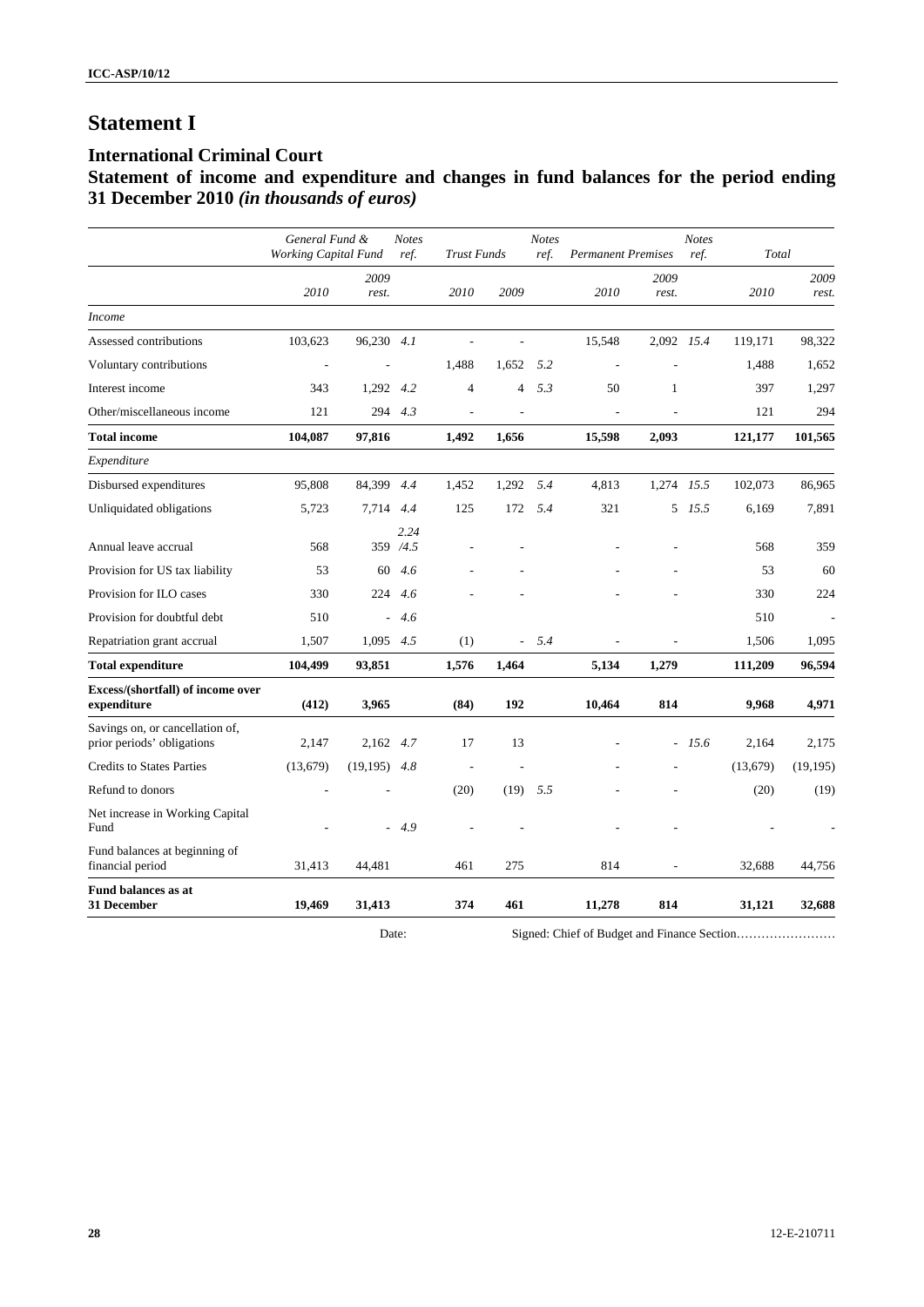# **Statement I**

# **International Criminal Court**

# **Statement of income and expenditure and changes in fund balances for the period ending 31 December 2010** *(in thousands of euros)*

|                                                               | General Fund &<br><b>Working Capital Fund</b> |               | <b>Notes</b><br>ref. | <b>Trust Funds</b> |                          | <b>Notes</b><br>ref. | <b>Permanent Premises</b> |               | <b>Notes</b><br>ref. | Total    |               |
|---------------------------------------------------------------|-----------------------------------------------|---------------|----------------------|--------------------|--------------------------|----------------------|---------------------------|---------------|----------------------|----------|---------------|
|                                                               | 2010                                          | 2009<br>rest. |                      | 2010               | 2009                     |                      | 2010                      | 2009<br>rest. |                      | 2010     | 2009<br>rest. |
| <i>Income</i>                                                 |                                               |               |                      |                    |                          |                      |                           |               |                      |          |               |
| Assessed contributions                                        | 103,623                                       | 96,230 4.1    |                      |                    |                          |                      | 15,548                    | 2,092 15.4    |                      | 119,171  | 98,322        |
| Voluntary contributions                                       | $\overline{a}$                                |               |                      | 1,488              | 1,652                    | 5.2                  |                           |               |                      | 1,488    | 1,652         |
| Interest income                                               | 343                                           | 1,292 4.2     |                      | 4                  | $\overline{4}$           | 5.3                  | 50                        | $\mathbf{1}$  |                      | 397      | 1,297         |
| Other/miscellaneous income                                    | 121                                           | 294           | 4.3                  |                    |                          |                      |                           |               |                      | 121      | 294           |
| <b>Total income</b>                                           | 104,087                                       | 97,816        |                      | 1,492              | 1.656                    |                      | 15,598                    | 2,093         |                      | 121,177  | 101,565       |
| Expenditure                                                   |                                               |               |                      |                    |                          |                      |                           |               |                      |          |               |
| Disbursed expenditures                                        | 95,808                                        | 84,399        | 4.4                  | 1,452              | 1,292                    | 5.4                  | 4,813                     | 1,274 15.5    |                      | 102,073  | 86,965        |
| Unliquidated obligations                                      | 5,723                                         | 7,714         | 4.4                  | 125                | 172                      | 5.4                  | 321                       |               | 5 15.5               | 6,169    | 7,891         |
| Annual leave accrual                                          | 568                                           |               | 2.24<br>359 /4.5     |                    |                          |                      |                           |               |                      | 568      | 359           |
| Provision for US tax liability                                | 53                                            | 60            | 4.6                  |                    |                          |                      |                           |               |                      | 53       | 60            |
| Provision for ILO cases                                       | 330                                           | 224           | 4.6                  |                    |                          |                      |                           |               |                      | 330      | 224           |
| Provision for doubtful debt                                   | 510                                           | ÷.            | 4.6                  |                    |                          |                      |                           |               |                      | 510      |               |
| Repatriation grant accrual                                    | 1,507                                         | 1,095         | 4.5                  | (1)                | $\overline{\phantom{a}}$ | 5.4                  |                           |               |                      | 1,506    | 1,095         |
| <b>Total expenditure</b>                                      | 104,499                                       | 93,851        |                      | 1,576              | 1,464                    |                      | 5,134                     | 1,279         |                      | 111,209  | 96,594        |
| Excess/(shortfall) of income over<br>expenditure              | (412)                                         | 3,965         |                      | (84)               | 192                      |                      | 10,464                    | 814           |                      | 9,968    | 4,971         |
| Savings on, or cancellation of,<br>prior periods' obligations | 2,147                                         | 2,162 4.7     |                      | 17                 | 13                       |                      |                           |               | $-15.6$              | 2,164    | 2,175         |
| <b>Credits to States Parties</b>                              | (13,679)                                      | (19, 195)     | 4.8                  |                    |                          |                      |                           |               |                      | (13,679) | (19, 195)     |
| Refund to donors                                              |                                               |               |                      | (20)               | (19)                     | 5.5                  |                           |               |                      | (20)     | (19)          |
| Net increase in Working Capital<br>Fund                       |                                               |               | 4.9                  |                    |                          |                      |                           |               |                      |          |               |
| Fund balances at beginning of<br>financial period             | 31,413                                        | 44,481        |                      | 461                | 275                      |                      | 814                       |               |                      | 32,688   | 44,756        |
| <b>Fund balances as at</b><br><b>31 December</b>              | 19.469                                        | 31,413        |                      | 374                | 461                      |                      | 11,278                    | 814           |                      | 31,121   | 32.688        |

Date: Signed: Chief of Budget and Finance Section……………………………………………………………………………………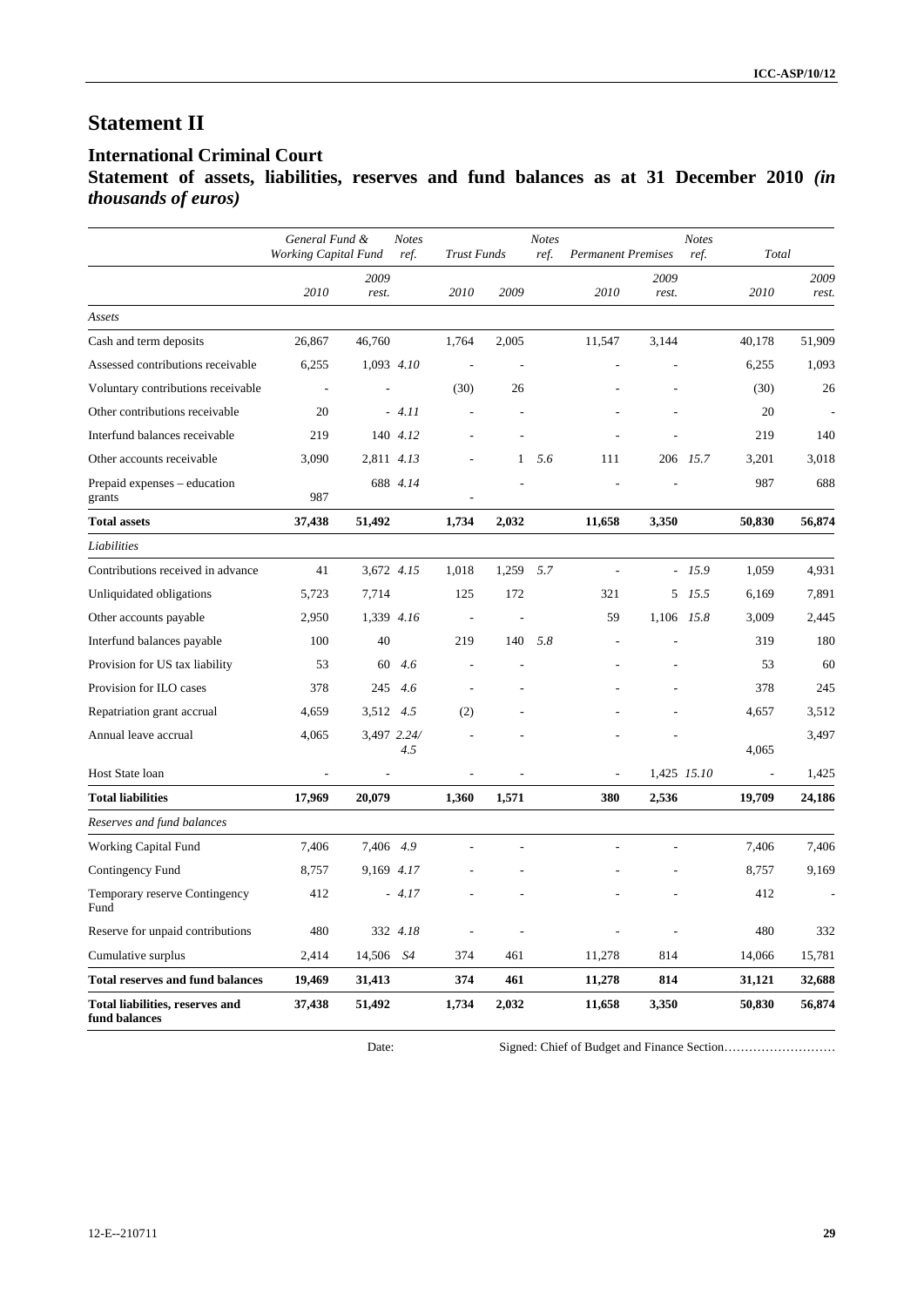# **Statement II**

# **International Criminal Court**

**Statement of assets, liabilities, reserves and fund balances as at 31 December 2010** *(in thousands of euros)*

|                                                  | General Fund &<br>Working Capital Fund |               | <b>Notes</b><br>ref. | <b>Trust Funds</b> |              | <b>Notes</b><br>ref. | <b>Permanent Premises</b> |               | <b>Notes</b><br>ref. | Total          |               |
|--------------------------------------------------|----------------------------------------|---------------|----------------------|--------------------|--------------|----------------------|---------------------------|---------------|----------------------|----------------|---------------|
|                                                  | 2010                                   | 2009<br>rest. |                      | 2010               | 2009         |                      | 2010                      | 2009<br>rest. |                      | 2010           | 2009<br>rest. |
| Assets                                           |                                        |               |                      |                    |              |                      |                           |               |                      |                |               |
| Cash and term deposits                           | 26,867                                 | 46,760        |                      | 1,764              | 2,005        |                      | 11,547                    | 3,144         |                      | 40,178         | 51,909        |
| Assessed contributions receivable                | 6,255                                  |               | 1,093 4.10           | $\sim$             |              |                      |                           |               |                      | 6,255          | 1,093         |
| Voluntary contributions receivable               | $\overline{\phantom{a}}$               |               |                      | (30)               | 26           |                      |                           |               |                      | (30)           | 26            |
| Other contributions receivable                   | 20                                     |               | $-4.11$              |                    |              |                      |                           |               |                      | 20             |               |
| Interfund balances receivable                    | 219                                    |               | 140 4.12             |                    |              |                      |                           |               |                      | 219            | 140           |
| Other accounts receivable                        | 3,090                                  |               | 2,811 4.13           |                    | $\mathbf{1}$ | 5.6                  | 111                       |               | 206 15.7             | 3,201          | 3,018         |
| Prepaid expenses – education<br>grants           | 987                                    |               | 688 4.14             |                    |              |                      |                           |               |                      | 987            | 688           |
| <b>Total assets</b>                              | 37,438                                 | 51,492        |                      | 1,734              | 2,032        |                      | 11,658                    | 3,350         |                      | 50,830         | 56,874        |
| Liabilities                                      |                                        |               |                      |                    |              |                      |                           |               |                      |                |               |
| Contributions received in advance                | 41                                     |               | 3,672 4.15           | 1,018              | 1,259        | 5.7                  | $\overline{a}$            |               | $-15.9$              | 1,059          | 4.931         |
| Unliquidated obligations                         | 5,723                                  | 7,714         |                      | 125                | 172          |                      | 321                       |               | 5 15.5               | 6,169          | 7,891         |
| Other accounts payable                           | 2,950                                  |               | 1,339 4.16           | $\overline{a}$     |              |                      | 59                        | 1,106 15.8    |                      | 3,009          | 2,445         |
| Interfund balances payable                       | 100                                    | 40            |                      | 219                | 140          | 5.8                  |                           |               |                      | 319            | 180           |
| Provision for US tax liability                   | 53                                     | 60            | 4.6                  |                    |              |                      |                           |               |                      | 53             | 60            |
| Provision for ILO cases                          | 378                                    | 245           | 4.6                  |                    |              |                      |                           |               |                      | 378            | 245           |
| Repatriation grant accrual                       | 4,659                                  | 3,512 4.5     |                      | (2)                |              |                      |                           |               |                      | 4,657          | 3,512         |
| Annual leave accrual                             | 4,065                                  |               | 3,497 2.24/<br>4.5   |                    |              |                      |                           |               |                      | 4,065          | 3,497         |
| Host State loan                                  |                                        |               |                      |                    |              |                      |                           |               | 1,425 15.10          | $\overline{a}$ | 1,425         |
| <b>Total liabilities</b>                         | 17,969                                 | 20,079        |                      | 1,360              | 1,571        |                      | 380                       | 2,536         |                      | 19,709         | 24,186        |
| Reserves and fund balances                       |                                        |               |                      |                    |              |                      |                           |               |                      |                |               |
| Working Capital Fund                             | 7,406                                  | 7,406 4.9     |                      |                    |              |                      |                           |               |                      | 7,406          | 7,406         |
| Contingency Fund                                 | 8,757                                  |               | 9,169 4.17           |                    |              |                      |                           |               |                      | 8,757          | 9,169         |
| Temporary reserve Contingency<br>Fund            | 412                                    |               | $-4.17$              |                    |              |                      |                           |               |                      | 412            |               |
| Reserve for unpaid contributions                 | 480                                    |               | 332 4.18             |                    |              |                      |                           |               |                      | 480            | 332           |
| Cumulative surplus                               | 2,414                                  | 14,506        | S4                   | 374                | 461          |                      | 11,278                    | 814           |                      | 14,066         | 15,781        |
| <b>Total reserves and fund balances</b>          | 19,469                                 | 31,413        |                      | 374                | 461          |                      | 11,278                    | 814           |                      | 31,121         | 32,688        |
| Total liabilities, reserves and<br>fund balances | 37,438                                 | 51,492        |                      | 1,734              | 2,032        |                      | 11,658                    | 3,350         |                      | 50,830         | 56,874        |

Date: Signed: Chief of Budget and Finance Section……………………………………………………………………………………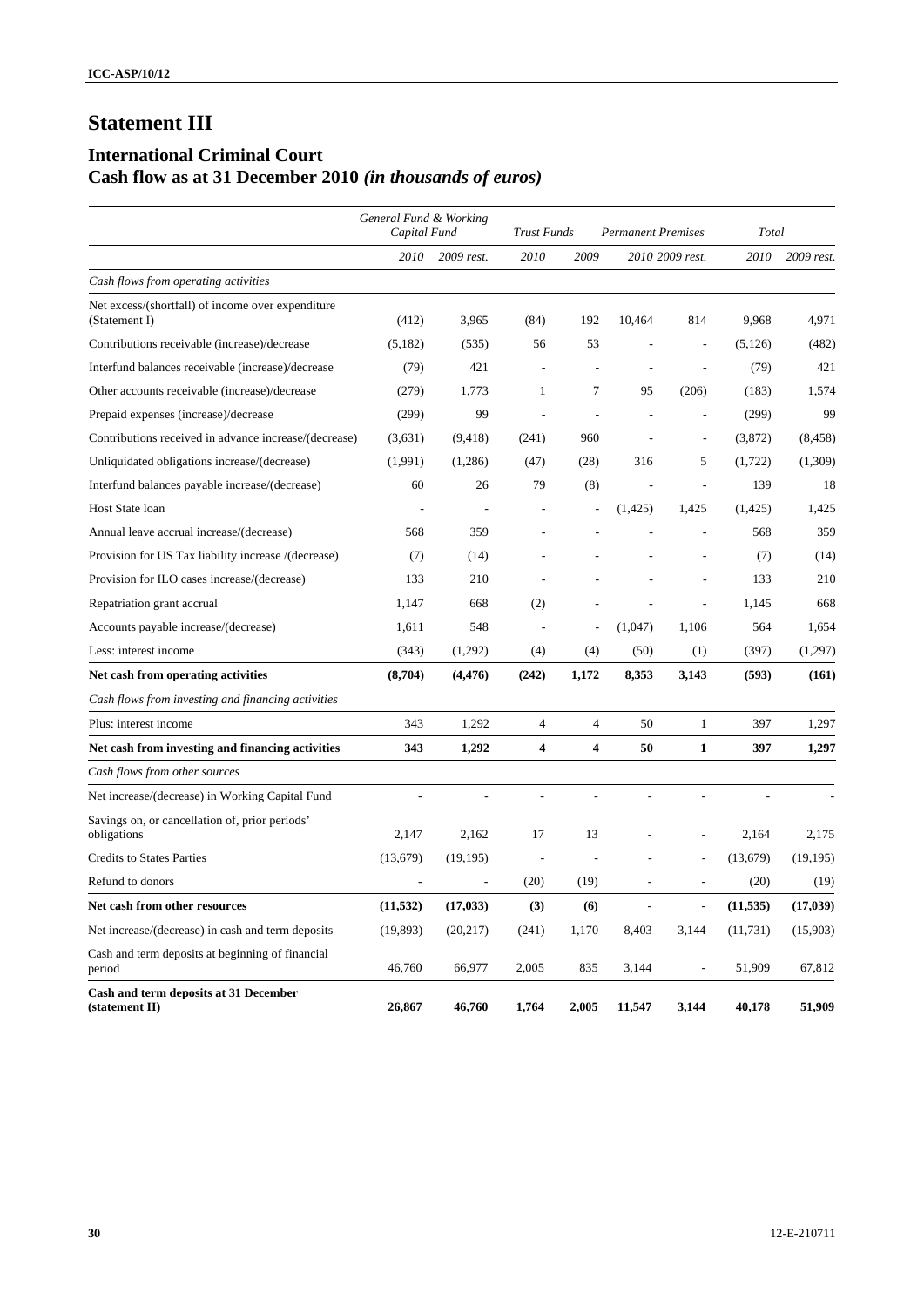# **Statement III**

# **International Criminal Court Cash flow as at 31 December 2010** *(in thousands of euros)*

|                                                                    | General Fund & Working<br>Capital Fund |                          |                          | Trust Funds<br><b>Permanent Premises</b> |          |                          |           | Total      |  |  |
|--------------------------------------------------------------------|----------------------------------------|--------------------------|--------------------------|------------------------------------------|----------|--------------------------|-----------|------------|--|--|
|                                                                    | 2010                                   | 2009 rest.               | 2010                     | 2009                                     |          | 2010 2009 rest.          | 2010      | 2009 rest. |  |  |
| Cash flows from operating activities                               |                                        |                          |                          |                                          |          |                          |           |            |  |  |
| Net excess/(shortfall) of income over expenditure<br>(Statement I) | (412)                                  | 3,965                    | (84)                     | 192                                      | 10,464   | 814                      | 9,968     | 4,971      |  |  |
| Contributions receivable (increase)/decrease                       | (5,182)                                | (535)                    | 56                       | 53                                       |          |                          | (5, 126)  | (482)      |  |  |
| Interfund balances receivable (increase)/decrease                  | (79)                                   | 421                      | $\overline{\phantom{a}}$ |                                          |          |                          | (79)      | 421        |  |  |
| Other accounts receivable (increase)/decrease                      | (279)                                  | 1,773                    | $\mathbf{1}$             | 7                                        | 95       | (206)                    | (183)     | 1,574      |  |  |
| Prepaid expenses (increase)/decrease                               | (299)                                  | 99                       |                          |                                          |          |                          | (299)     | 99         |  |  |
| Contributions received in advance increase/(decrease)              | (3,631)                                | (9, 418)                 | (241)                    | 960                                      |          | $\overline{a}$           | (3,872)   | (8, 458)   |  |  |
| Unliquidated obligations increase/(decrease)                       | (1,991)                                | (1,286)                  | (47)                     | (28)                                     | 316      | 5                        | (1,722)   | (1, 309)   |  |  |
| Interfund balances payable increase/(decrease)                     | 60                                     | 26                       | 79                       | (8)                                      |          | $\overline{a}$           | 139       | 18         |  |  |
| <b>Host State loan</b>                                             | ÷,                                     | $\overline{\phantom{a}}$ | $\overline{a}$           |                                          | (1, 425) | 1,425                    | (1,425)   | 1,425      |  |  |
| Annual leave accrual increase/(decrease)                           | 568                                    | 359                      |                          |                                          |          |                          | 568       | 359        |  |  |
| Provision for US Tax liability increase /(decrease)                | (7)                                    | (14)                     |                          |                                          |          |                          | (7)       | (14)       |  |  |
| Provision for ILO cases increase/(decrease)                        | 133                                    | 210                      |                          |                                          |          |                          | 133       | 210        |  |  |
| Repatriation grant accrual                                         | 1,147                                  | 668                      | (2)                      |                                          |          |                          | 1,145     | 668        |  |  |
| Accounts payable increase/(decrease)                               | 1,611                                  | 548                      | $\overline{\phantom{a}}$ |                                          | (1,047)  | 1,106                    | 564       | 1,654      |  |  |
| Less: interest income                                              | (343)                                  | (1,292)                  | (4)                      | (4)                                      | (50)     | (1)                      | (397)     | (1,297)    |  |  |
| Net cash from operating activities                                 | (8,704)                                | (4, 476)                 | (242)                    | 1,172                                    | 8,353    | 3,143                    | (593)     | (161)      |  |  |
| Cash flows from investing and financing activities                 |                                        |                          |                          |                                          |          |                          |           |            |  |  |
| Plus: interest income                                              | 343                                    | 1,292                    | $\overline{4}$           | $\overline{4}$                           | 50       | $\mathbf{1}$             | 397       | 1,297      |  |  |
| Net cash from investing and financing activities                   | 343                                    | 1,292                    | 4                        | 4                                        | 50       | $\mathbf{1}$             | 397       | 1,297      |  |  |
| Cash flows from other sources                                      |                                        |                          |                          |                                          |          |                          |           |            |  |  |
| Net increase/(decrease) in Working Capital Fund                    | ÷,                                     |                          | $\overline{a}$           | $\overline{a}$                           | ÷,       | L,                       |           |            |  |  |
| Savings on, or cancellation of, prior periods'<br>obligations      | 2,147                                  | 2,162                    | 17                       | 13                                       |          |                          | 2,164     | 2,175      |  |  |
| <b>Credits to States Parties</b>                                   | (13,679)                               | (19, 195)                |                          |                                          |          |                          | (13,679)  | (19, 195)  |  |  |
| Refund to donors                                                   | $\overline{\phantom{a}}$               | $\overline{\phantom{a}}$ | (20)                     | (19)                                     |          | $\overline{\phantom{a}}$ | (20)      | (19)       |  |  |
| Net cash from other resources                                      | (11, 532)                              | (17, 033)                | (3)                      | (6)                                      | ÷,       | $\overline{\phantom{a}}$ | (11, 535) | (17, 039)  |  |  |
| Net increase/(decrease) in cash and term deposits                  | (19, 893)                              | (20,217)                 | (241)                    | 1,170                                    | 8,403    | 3,144                    | (11, 731) | (15,903)   |  |  |
| Cash and term deposits at beginning of financial<br>period         | 46,760                                 | 66,977                   | 2,005                    | 835                                      | 3,144    | $\overline{a}$           | 51,909    | 67,812     |  |  |
| Cash and term deposits at 31 December<br>(statement II)            | 26,867                                 | 46,760                   | 1,764                    | 2,005                                    | 11,547   | 3,144                    | 40,178    | 51,909     |  |  |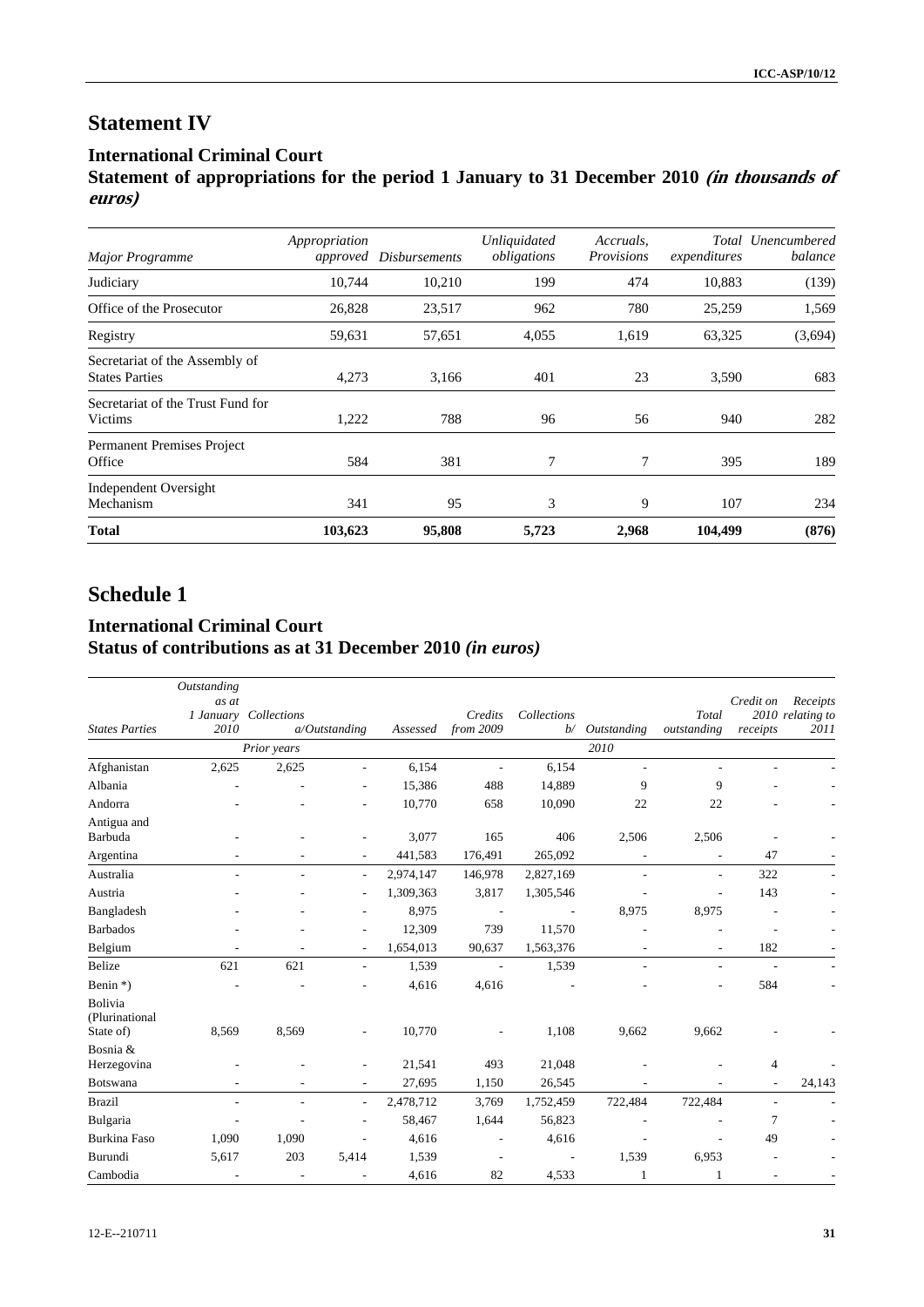# **Statement IV**

# **International Criminal Court**

**Statement of appropriations for the period 1 January to 31 December 2010 (in thousands of euros)**

| <b>Major Programme</b>                                  | Appropriation | approved Disbursements | <b>Unliquidated</b><br>obligations | Accruals,<br>Provisions | expenditures | Total Unencumbered<br>balance |
|---------------------------------------------------------|---------------|------------------------|------------------------------------|-------------------------|--------------|-------------------------------|
| Judiciary                                               | 10,744        | 10,210                 | 199                                | 474                     | 10,883       | (139)                         |
| Office of the Prosecutor                                | 26,828        | 23,517                 | 962                                | 780                     | 25,259       | 1,569                         |
| Registry                                                | 59,631        | 57,651                 | 4,055                              | 1,619                   | 63,325       | (3,694)                       |
| Secretariat of the Assembly of<br><b>States Parties</b> | 4,273         | 3,166                  | 401                                | 23                      | 3,590        | 683                           |
| Secretariat of the Trust Fund for<br>Victims            | 1,222         | 788                    | 96                                 | 56                      | 940          | 282                           |
| Permanent Premises Project<br>Office                    | 584           | 381                    | 7                                  | 7                       | 395          | 189                           |
| <b>Independent Oversight</b><br>Mechanism               | 341           | 95                     | 3                                  | 9                       | 107          | 234                           |
| <b>Total</b>                                            | 103,623       | 95,808                 | 5,723                              | 2,968                   | 104,499      | (876)                         |

# **Schedule 1**

# **International Criminal Court Status of contributions as at 31 December 2010** *(in euros)*

|                                        | Outstanding    |                          |                          |           |                      |                          |                          |                          |                          |                                      |
|----------------------------------------|----------------|--------------------------|--------------------------|-----------|----------------------|--------------------------|--------------------------|--------------------------|--------------------------|--------------------------------------|
| <b>States Parties</b>                  | as at<br>2010  | 1 January Collections    | $a/O$ utstanding         | Assessed  | Credits<br>from 2009 | Collections<br>b/        | Outstanding              | Total<br>outstanding     | Credit on<br>receipts    | Receipts<br>2010 relating to<br>2011 |
|                                        |                | Prior years              |                          |           |                      |                          | 2010                     |                          |                          |                                      |
| Afghanistan                            | 2,625          | 2,625                    | $\overline{\phantom{a}}$ | 6,154     | $\blacksquare$       | 6,154                    | $\overline{a}$           |                          |                          |                                      |
| Albania                                |                |                          | ÷,                       | 15,386    | 488                  | 14,889                   | 9                        | 9                        |                          |                                      |
| Andorra                                |                |                          | ÷,                       | 10,770    | 658                  | 10,090                   | 22                       | 22                       |                          |                                      |
| Antigua and<br>Barbuda                 |                |                          |                          | 3,077     | 165                  | 406                      | 2,506                    | 2,506                    |                          |                                      |
| Argentina                              |                |                          |                          | 441,583   | 176,491              | 265,092                  |                          |                          | 47                       |                                      |
| Australia                              | ٠              | ٠                        | $\sim$                   | 2,974,147 | 146,978              | 2,827,169                | $\overline{\phantom{a}}$ | $\overline{a}$           | 322                      |                                      |
| Austria                                |                |                          | ÷,                       | 1,309,363 | 3,817                | 1,305,546                |                          |                          | 143                      |                                      |
| Bangladesh                             |                |                          |                          | 8,975     |                      |                          | 8,975                    | 8,975                    |                          |                                      |
| <b>Barbados</b>                        |                |                          |                          | 12,309    | 739                  | 11,570                   |                          |                          | ٠                        |                                      |
| Belgium                                |                | ÷,                       | ٠                        | 1,654,013 | 90,637               | 1,563,376                |                          |                          | 182                      |                                      |
| Belize                                 | 621            | 621                      | $\overline{\phantom{a}}$ | 1,539     | $\blacksquare$       | 1,539                    | $\overline{\phantom{a}}$ | $\overline{\phantom{a}}$ | $\overline{\phantom{a}}$ |                                      |
| Benin *)                               |                |                          |                          | 4,616     | 4,616                |                          |                          |                          | 584                      |                                      |
| Bolivia<br>(Plurinational<br>State of) | 8,569          | 8,569                    |                          | 10,770    |                      | 1,108                    | 9,662                    | 9,662                    |                          |                                      |
| Bosnia &<br>Herzegovina                |                |                          |                          | 21,541    | 493                  | 21,048                   |                          |                          | 4                        |                                      |
| Botswana                               |                |                          |                          | 27,695    | 1,150                | 26,545                   |                          |                          |                          | 24,143                               |
| <b>Brazil</b>                          | $\overline{a}$ | ٠                        | $\overline{\phantom{a}}$ | 2,478,712 | 3,769                | 1,752,459                | 722,484                  | 722,484                  | $\overline{\phantom{a}}$ |                                      |
| Bulgaria                               | $\overline{a}$ |                          | ٠                        | 58,467    | 1,644                | 56,823                   |                          |                          | 7                        |                                      |
| Burkina Faso                           | 1,090          | 1,090                    |                          | 4,616     |                      | 4,616                    |                          |                          | 49                       |                                      |
| Burundi                                | 5,617          | 203                      | 5,414                    | 1,539     |                      | $\overline{\phantom{a}}$ | 1,539                    | 6,953                    |                          |                                      |
| Cambodia                               |                | $\overline{\phantom{a}}$ |                          | 4,616     | 82                   | 4,533                    | 1                        |                          |                          |                                      |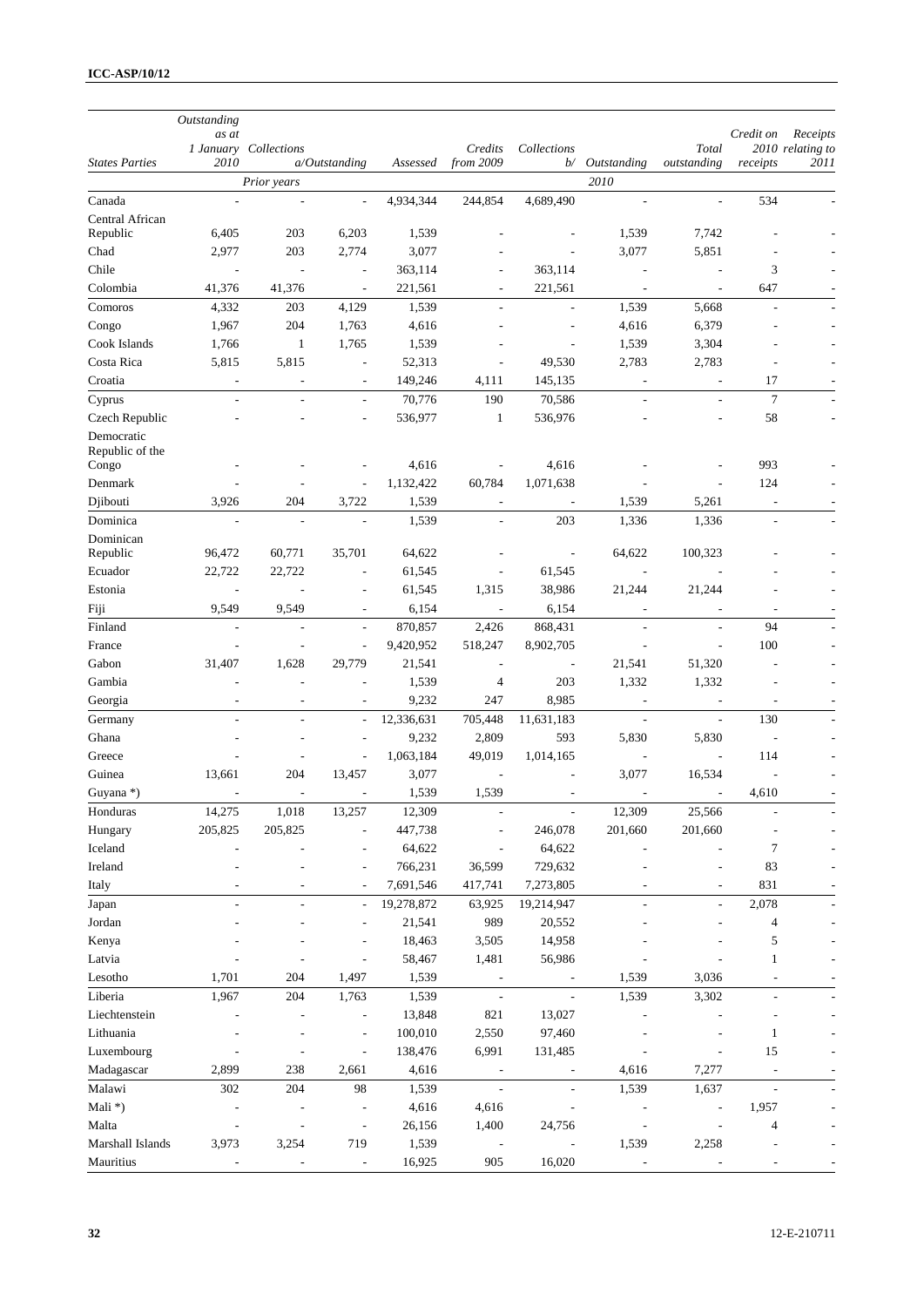|                          | Outstanding<br>as at     | 1 January Collections    |                              |                   | Credits                  | Collections              |                          | Total                    | Credit on                | Receipts<br>2010 relating to |
|--------------------------|--------------------------|--------------------------|------------------------------|-------------------|--------------------------|--------------------------|--------------------------|--------------------------|--------------------------|------------------------------|
| <b>States Parties</b>    | 2010                     |                          | $a$ Outstanding              | Assessed          | from 2009                | b/                       | Outstanding              | outstanding              | receipts                 | 2011                         |
|                          |                          | Prior years              |                              |                   |                          |                          | 2010                     |                          |                          |                              |
| Canada                   |                          |                          |                              | 4,934,344         | 244,854                  | 4,689,490                |                          |                          | 534                      |                              |
| Central African          |                          |                          |                              |                   |                          |                          |                          |                          |                          |                              |
| Republic                 | 6,405                    | 203                      | 6,203                        | 1,539             |                          |                          | 1,539                    | 7,742                    |                          |                              |
| Chad                     | 2,977                    | 203                      | 2,774                        | 3,077             |                          |                          | 3,077                    | 5,851                    |                          |                              |
| Chile                    | $\overline{\phantom{a}}$ | $\overline{\phantom{a}}$ | $\overline{\phantom{a}}$     | 363,114           | ٠                        | 363,114                  | $\overline{a}$           | L,                       | 3                        |                              |
| Colombia                 | 41,376                   | 41,376                   | $\overline{\phantom{a}}$     | 221,561           | $\overline{\phantom{a}}$ | 221,561                  | $\overline{\phantom{a}}$ | $\overline{\phantom{a}}$ | 647                      |                              |
| Comoros                  | 4,332                    | 203                      | 4,129                        | 1,539             | $\overline{a}$           | $\overline{a}$           | 1,539                    | 5,668<br>6,379           |                          |                              |
| Congo<br>Cook Islands    | 1,967<br>1,766           | 204<br>$\mathbf{1}$      | 1,763<br>1,765               | 4,616<br>1,539    |                          | $\overline{\phantom{a}}$ | 4,616<br>1,539           | 3,304                    |                          |                              |
| Costa Rica               | 5,815                    | 5,815                    | $\overline{\phantom{a}}$     | 52,313            | $\overline{a}$           | 49,530                   | 2,783                    | 2,783                    | $\overline{a}$           |                              |
| Croatia                  | ۰                        | $\overline{\phantom{a}}$ | $\overline{\phantom{a}}$     | 149,246           | 4,111                    | 145,135                  | $\overline{\phantom{a}}$ | $\overline{\phantom{a}}$ | 17                       |                              |
| Cyprus                   | $\overline{a}$           | $\overline{a}$           | $\overline{\phantom{a}}$     | 70,776            | 190                      | 70,586                   | $\overline{a}$           | $\overline{a}$           | $\tau$                   |                              |
| Czech Republic           |                          |                          | $\overline{\phantom{a}}$     | 536,977           | $\mathbf{1}$             | 536,976                  |                          | $\overline{a}$           | 58                       |                              |
| Democratic               |                          |                          |                              |                   |                          |                          |                          |                          |                          |                              |
| Republic of the<br>Congo |                          |                          |                              | 4,616             | $\overline{\phantom{a}}$ | 4,616                    |                          |                          | 993                      |                              |
| Denmark                  |                          |                          | Ĭ.                           | 1,132,422         | 60,784                   | 1,071,638                |                          |                          | 124                      |                              |
| Djibouti                 | 3,926                    | 204                      | 3,722                        | 1,539             | $\overline{\phantom{a}}$ | $\overline{\phantom{a}}$ | 1,539                    | 5,261                    | $\overline{a}$           |                              |
| Dominica                 | $\overline{a}$           | $\overline{\phantom{a}}$ | $\overline{\phantom{a}}$     | 1,539             | $\overline{\phantom{a}}$ | 203                      | 1,336                    | 1,336                    | ÷,                       |                              |
| Dominican<br>Republic    | 96,472                   | 60,771                   | 35,701                       | 64,622            |                          | $\overline{\phantom{a}}$ | 64,622                   | 100,323                  |                          |                              |
| Ecuador                  | 22,722                   | 22,722                   | $\overline{\phantom{a}}$     | 61,545            | $\overline{\phantom{a}}$ | 61,545                   | $\overline{\phantom{a}}$ |                          |                          |                              |
| Estonia                  | $\overline{\phantom{a}}$ |                          | $\overline{\phantom{a}}$     | 61,545            | 1,315                    | 38,986                   | 21,244                   | 21,244                   |                          |                              |
| Fiji                     | 9,549                    | 9,549                    |                              | 6,154             | $\overline{\phantom{a}}$ | 6,154                    |                          |                          | $\overline{\phantom{a}}$ |                              |
| Finland                  |                          |                          | $\overline{\phantom{a}}$     | 870,857           | 2,426                    | 868,431                  |                          |                          | 94                       |                              |
| France                   | $\overline{a}$           | L,                       | $\overline{\phantom{a}}$     | 9,420,952         | 518,247                  | 8,902,705                |                          | L,                       | 100                      |                              |
| Gabon                    | 31,407                   | 1,628                    | 29,779                       | 21,541            | $\overline{\phantom{a}}$ | $\overline{\phantom{a}}$ | 21,541                   | 51,320                   |                          |                              |
| Gambia                   |                          |                          | $\overline{a}$               | 1,539             | $\overline{4}$           | 203                      | 1,332                    | 1,332                    |                          |                              |
| Georgia                  | ÷,                       | $\overline{\phantom{a}}$ | $\overline{a}$               | 9,232             | 247                      | 8,985                    |                          | $\sim$                   | $\overline{\phantom{a}}$ |                              |
| Germany                  | $\overline{a}$           | $\overline{a}$           | $\blacksquare$               | 12,336,631        | 705,448                  | 11,631,183               | $\overline{\phantom{a}}$ | $\overline{\phantom{a}}$ | 130                      |                              |
| Ghana                    |                          | ÷,                       | $\overline{\phantom{a}}$     | 9,232             | 2,809                    | 593                      | 5,830                    | 5,830                    | $\overline{\phantom{a}}$ |                              |
| Greece                   | L,                       |                          | ÷,                           | 1,063,184         | 49,019                   | 1,014,165                | $\overline{\phantom{a}}$ | $\overline{a}$           | 114                      |                              |
| Guinea                   | 13,661                   | 204                      | 13,457                       | 3,077             | $\overline{\phantom{a}}$ |                          | 3,077                    | 16,534                   | $\overline{a}$           |                              |
| Guyana *)                |                          | $\overline{a}$           | ÷,                           | 1,539             | 1,539                    | $\overline{a}$           | $\overline{a}$           | $\sim$                   | 4,610                    |                              |
| Honduras                 | 14,275                   | 1,018                    | 13,257                       | 12,309            |                          |                          | 12,309                   | 25,566                   |                          |                              |
| Hungary                  | 205,825                  | 205,825                  |                              | 447,738           |                          | 246,078                  | 201,660                  | 201,660                  |                          |                              |
| Iceland<br>Ireland       |                          |                          |                              | 64,622<br>766,231 | L,<br>36,599             | 64,622<br>729,632        |                          |                          | 7<br>83                  |                              |
| Italy                    |                          |                          |                              | 7,691,546         | 417,741                  | 7,273,805                |                          |                          | 831                      |                              |
| Japan                    | $\overline{a}$           | ÷,                       | $\overline{\phantom{a}}$     | 19,278,872        | 63,925                   | 19,214,947               | $\overline{\phantom{a}}$ | $\overline{\phantom{a}}$ | 2,078                    |                              |
| Jordan                   |                          |                          |                              | 21,541            | 989                      | 20,552                   |                          |                          | $\overline{\mathcal{L}}$ |                              |
| Kenya                    |                          |                          |                              | 18,463            | 3,505                    | 14,958                   |                          |                          | 5                        |                              |
| Latvia                   |                          |                          | $\overline{a}$               | 58,467            | 1,481                    | 56,986                   |                          |                          | $\mathbf{1}$             |                              |
| Lesotho                  | 1,701                    | 204                      | 1,497                        | 1,539             | $\overline{\phantom{a}}$ | $\overline{\phantom{a}}$ | 1,539                    | 3,036                    |                          |                              |
| Liberia                  | 1,967                    | 204                      | 1,763                        | 1,539             | $\blacksquare$           | $\overline{\phantom{a}}$ | 1,539                    | 3,302                    | ÷,                       |                              |
| Liechtenstein            |                          |                          | $\overline{\phantom{a}}$     | 13,848            | 821                      | 13,027                   |                          |                          |                          |                              |
| Lithuania                |                          |                          |                              | 100,010           | 2,550                    | 97,460                   |                          |                          | $\mathbf{1}$             |                              |
| Luxembourg               |                          |                          | $\overline{a}$               | 138,476           | 6,991                    | 131,485                  |                          |                          | 15                       |                              |
| Madagascar               | 2,899                    | 238                      | 2,661                        | 4,616             | $\overline{\phantom{a}}$ | $\overline{\phantom{a}}$ | 4,616                    | 7,277                    | $\overline{\phantom{a}}$ |                              |
| Malawi                   | 302                      | 204                      | 98                           | 1,539             | $\overline{\phantom{a}}$ | $\overline{\phantom{a}}$ | 1,539                    | 1,637                    | ÷,                       |                              |
| Mali*)                   |                          |                          |                              | 4,616             | 4,616                    | $\overline{a}$           |                          |                          | 1,957                    |                              |
| Malta                    |                          |                          | $\qquad \qquad \blacksquare$ | 26,156            | 1,400                    | 24,756                   |                          |                          | $\overline{4}$           |                              |
| Marshall Islands         | 3,973                    | 3,254                    | 719                          | 1,539             |                          |                          | 1,539                    | 2,258                    |                          |                              |
| Mauritius                |                          |                          | $\blacksquare$               | 16,925            | 905                      | 16,020                   |                          |                          |                          |                              |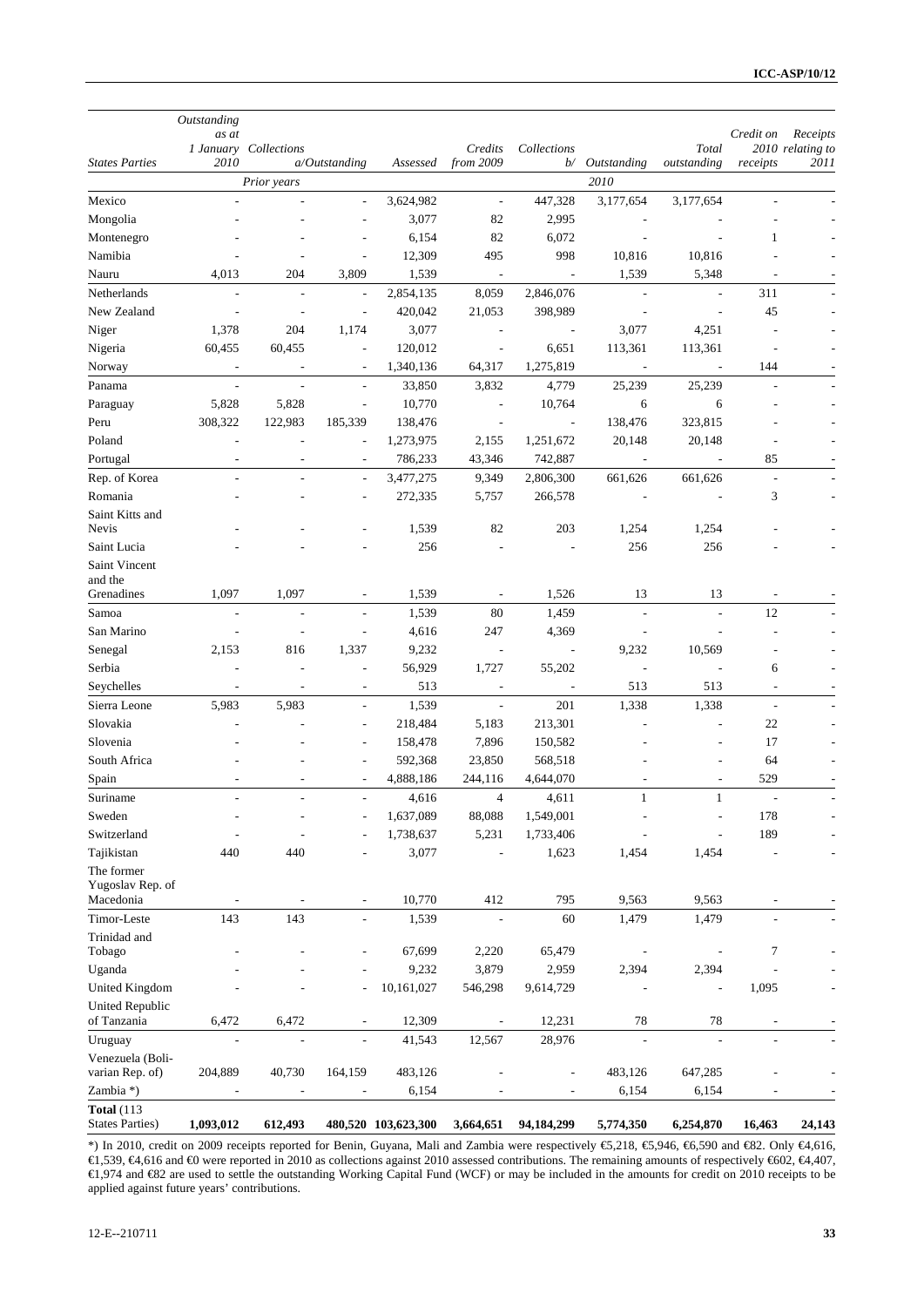|                                     | Outstanding                  |                              |                                  |                      |                          |                                 |                                 |                                    |                                 |                              |
|-------------------------------------|------------------------------|------------------------------|----------------------------------|----------------------|--------------------------|---------------------------------|---------------------------------|------------------------------------|---------------------------------|------------------------------|
|                                     | as at                        | 1 January Collections        |                                  |                      | Credits                  | Collections                     |                                 | Total                              | Credit on                       | Receipts<br>2010 relating to |
| <b>States Parties</b>               | 2010                         |                              | $a/O$ utstanding                 | Assessed             | from 2009                | b/                              | Outstanding                     | outstanding                        | receipts                        | 2011                         |
|                                     |                              | Prior years                  |                                  |                      |                          |                                 | 2010                            |                                    |                                 |                              |
| Mexico                              |                              |                              | $\overline{\phantom{a}}$         | 3,624,982            | $\overline{\phantom{a}}$ | 447,328                         | 3,177,654                       | 3,177,654                          |                                 |                              |
| Mongolia                            |                              |                              | ÷,                               | 3,077                | 82                       | 2,995                           |                                 |                                    |                                 |                              |
| Montenegro                          |                              |                              | ÷,                               | 6,154                | 82                       | 6,072                           |                                 |                                    | $\mathbf{1}$                    |                              |
| Namibia                             |                              |                              | $\overline{a}$                   | 12,309               | 495                      | 998                             | 10,816                          | 10,816                             |                                 |                              |
| Nauru                               | 4,013                        | 204                          | 3,809                            | 1,539                | $\overline{\phantom{a}}$ |                                 | 1,539                           | 5,348                              | $\overline{\phantom{a}}$        |                              |
| Netherlands                         |                              |                              | $\overline{\phantom{a}}$         | 2,854,135            | 8,059                    | 2,846,076                       |                                 | $\overline{\phantom{a}}$           | 311                             |                              |
| New Zealand                         | $\overline{a}$               | $\overline{\phantom{a}}$     | $\overline{\phantom{a}}$         | 420,042              | 21,053                   | 398,989                         |                                 | $\overline{\phantom{a}}$           | 45                              |                              |
| Niger                               | 1,378                        | 204                          | 1,174                            | 3,077                | $\overline{\phantom{a}}$ | $\overline{\phantom{a}}$        | 3,077                           | 4,251                              | ÷,                              |                              |
| Nigeria                             | 60,455                       | 60,455                       | $\overline{\phantom{a}}$         | 120,012              | $\overline{\phantom{a}}$ | 6,651                           | 113,361                         | 113,361                            | $\overline{\phantom{a}}$        |                              |
| Norway                              |                              |                              |                                  | 1,340,136            | 64,317                   | 1,275,819                       |                                 |                                    | 144                             |                              |
| Panama                              | $\overline{a}$               | $\overline{a}$               | $\overline{\phantom{a}}$         | 33,850               | 3,832                    | 4,779                           | 25,239                          | 25,239                             | $\overline{\phantom{a}}$        |                              |
| Paraguay                            | 5,828                        | 5,828                        | $\overline{\phantom{a}}$         | 10,770               | $\overline{a}$           | 10,764                          | 6                               | 6                                  |                                 |                              |
| Peru                                | 308,322                      | 122,983                      | 185,339                          | 138,476              | $\overline{\phantom{a}}$ |                                 | 138,476                         | 323,815                            |                                 |                              |
| Poland                              |                              | L,                           | $\overline{\phantom{a}}$         | 1,273,975            | 2,155                    | 1,251,672                       | 20,148                          | 20,148                             | J.                              |                              |
| Portugal                            |                              |                              | ÷,                               | 786,233              | 43,346                   | 742,887                         | $\overline{\phantom{a}}$        |                                    | 85                              |                              |
| Rep. of Korea                       | $\overline{\phantom{a}}$     | ÷,                           | $\overline{\phantom{a}}$         | 3,477,275            | 9,349                    | 2,806,300                       | 661,626                         | 661,626                            | $\overline{\phantom{a}}$        |                              |
| Romania                             |                              |                              |                                  | 272,335              | 5,757                    | 266,578                         |                                 | $\overline{\phantom{a}}$           | 3                               |                              |
| Saint Kitts and                     |                              |                              |                                  |                      |                          |                                 |                                 |                                    |                                 |                              |
| Nevis                               |                              |                              |                                  | 1,539                | 82                       | 203                             | 1,254                           | 1,254                              |                                 |                              |
| Saint Lucia                         |                              |                              |                                  | 256                  |                          |                                 | 256                             | 256                                |                                 |                              |
| Saint Vincent                       |                              |                              |                                  |                      |                          |                                 |                                 |                                    |                                 |                              |
| and the                             | 1,097                        |                              |                                  |                      | $\frac{1}{2}$            |                                 | 13                              | 13                                 |                                 |                              |
| Grenadines                          |                              | 1,097                        |                                  | 1,539                |                          | 1,526                           |                                 |                                    |                                 |                              |
| Samoa<br>San Marino                 | L,                           | L,<br>Ĭ.                     | $\overline{a}$<br>$\overline{a}$ | 1,539<br>4,616       | 80<br>247                | 1,459                           | $\overline{\phantom{a}}$        | $\overline{\phantom{a}}$           | 12                              |                              |
|                                     | $\qquad \qquad \blacksquare$ |                              |                                  |                      |                          | 4,369                           | $\overline{a}$                  |                                    |                                 |                              |
| Senegal<br>Serbia                   | 2,153                        | 816<br>÷,                    | 1,337<br>Ĭ.                      | 9,232<br>56,929      |                          | $\overline{\phantom{a}}$        | 9,232                           | 10,569<br>$\overline{\phantom{a}}$ |                                 |                              |
|                                     |                              |                              |                                  | 513                  | 1,727                    | 55,202                          | $\overline{\phantom{a}}$<br>513 | 513                                | 6                               |                              |
| Seychelles                          | $\overline{a}$               | $\overline{a}$               |                                  |                      |                          | $\overline{\phantom{a}}$<br>201 |                                 |                                    |                                 |                              |
| Sierra Leone<br>Slovakia            | 5,983                        | 5,983                        | $\sim$                           | 1,539                | $\overline{\phantom{a}}$ |                                 | 1,338                           | 1,338<br>$\overline{a}$            | $\overline{\phantom{a}}$<br>22  |                              |
| Slovenia                            |                              |                              | $\overline{\phantom{a}}$<br>÷,   | 218,484              | 5,183                    | 213,301                         |                                 |                                    | 17                              |                              |
| South Africa                        |                              |                              |                                  | 158,478              | 7,896                    | 150,582                         |                                 | $\overline{a}$<br>÷,               | 64                              |                              |
|                                     | $\overline{a}$               | ٠                            |                                  | 592,368<br>4,888,186 | 23,850<br>244,116        | 568,518<br>4,644,070            |                                 | $\overline{a}$                     |                                 |                              |
| Spain<br>Suriname                   | $\overline{a}$               |                              | $\overline{a}$                   |                      | $\overline{4}$           |                                 | $\mathbf{1}$                    | $\mathbf{1}$                       | 529<br>$\overline{\phantom{a}}$ |                              |
| Sweden                              |                              |                              |                                  | 4,616                |                          | 4,611                           |                                 |                                    | 178                             |                              |
| Switzerland                         | $\overline{a}$               | ÷,                           |                                  | 1,637,089            | 88,088                   | 1,549,001                       |                                 |                                    | 189                             |                              |
|                                     | 440                          | 440                          |                                  | 1,738,637<br>3,077   | 5,231                    | 1,733,406                       |                                 |                                    |                                 |                              |
| Tajikistan<br>The former            |                              |                              |                                  |                      |                          | 1,623                           | 1,454                           | 1,454                              |                                 |                              |
| Yugoslav Rep. of                    |                              |                              |                                  |                      |                          |                                 |                                 |                                    |                                 |                              |
| Macedonia                           |                              |                              | $\overline{\phantom{a}}$         | 10,770               | 412                      | 795                             | 9,563                           | 9,563                              |                                 |                              |
| Timor-Leste                         | 143                          | 143                          |                                  | 1,539                |                          | 60                              | 1,479                           | 1,479                              |                                 |                              |
| Trinidad and                        |                              |                              |                                  |                      |                          |                                 |                                 |                                    |                                 |                              |
| Tobago                              |                              |                              |                                  | 67,699               | 2,220                    | 65,479                          |                                 |                                    | $\tau$                          |                              |
| Uganda                              |                              |                              |                                  | 9,232                | 3,879                    | 2,959                           | 2,394                           | 2,394                              |                                 |                              |
| <b>United Kingdom</b>               |                              |                              | L,                               | 10,161,027           | 546,298                  | 9,614,729                       |                                 |                                    | 1,095                           |                              |
| <b>United Republic</b>              |                              |                              |                                  |                      |                          |                                 |                                 |                                    |                                 |                              |
| of Tanzania                         | 6,472                        | 6,472                        | $\overline{\phantom{a}}$         | 12,309               | $\frac{1}{2}$            | 12,231                          | 78                              | 78                                 |                                 |                              |
| Uruguay                             |                              |                              |                                  | 41,543               | 12,567                   | 28,976                          |                                 |                                    |                                 |                              |
| Venezuela (Boli-<br>varian Rep. of) | 204,889                      | 40,730                       | 164,159                          | 483,126              |                          | $\overline{\phantom{a}}$        | 483,126                         | 647,285                            |                                 |                              |
| Zambia *)                           | $\qquad \qquad \blacksquare$ | $\qquad \qquad \blacksquare$ | $\overline{\phantom{a}}$         | 6,154                |                          |                                 | 6,154                           | 6,154                              |                                 |                              |
| <b>Total</b> (113                   |                              |                              |                                  |                      |                          |                                 |                                 |                                    |                                 |                              |
| <b>States Parties)</b>              | 1,093,012                    | 612,493                      |                                  | 480,520 103,623,300  | 3,664,651                | 94,184,299                      | 5,774,350                       | 6,254,870                          | 16,463                          | 24,143                       |

\*) In 2010, credit on 2009 receipts reported for Benin, Guyana, Mali and Zambia were respectively €5,218, €5,946, €6,590 and €82. Only €4,616, €1,539, €4,616 and €0 were reported in 2010 as collections against 2010 assessed contributions. The remaining amounts of respectively €602, €4,407, €1,974 and €82 are used to settle the outstanding Working Capital Fund (WCF) or may be included in the amounts for credit on 2010 receipts to be applied against future years' contributions.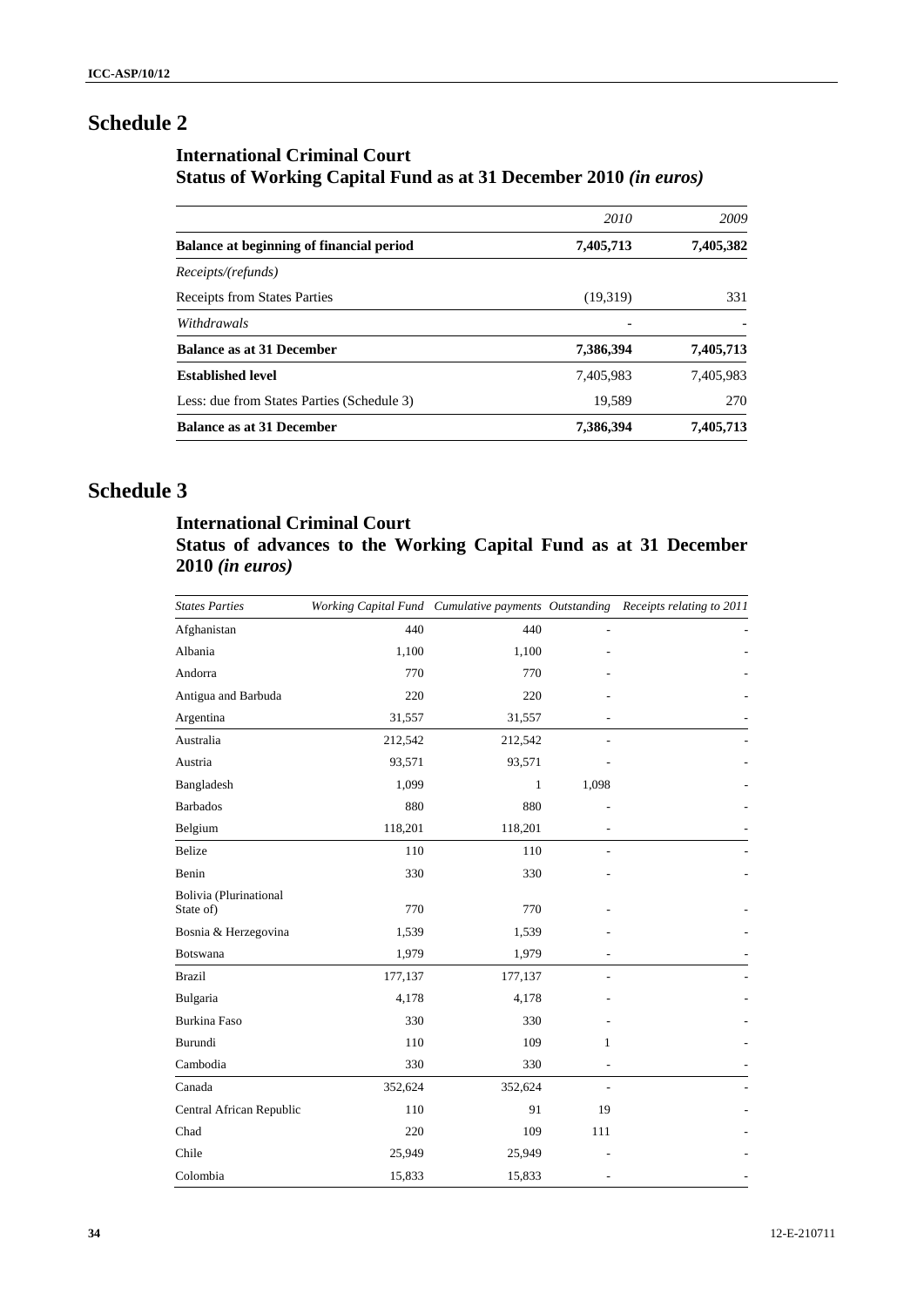# **Schedule 2**

# **International Criminal Court Status of Working Capital Fund as at 31 December 2010** *(in euros)*

|                                            | 2010      | 2009      |
|--------------------------------------------|-----------|-----------|
| Balance at beginning of financial period   | 7,405,713 | 7,405,382 |
| Receipts/(refunds)                         |           |           |
| <b>Receipts from States Parties</b>        | (19,319)  | 331       |
| Withdrawals                                |           |           |
| <b>Balance as at 31 December</b>           | 7,386,394 | 7,405,713 |
| <b>Established level</b>                   | 7,405,983 | 7,405,983 |
| Less: due from States Parties (Schedule 3) | 19,589    | 270       |
| <b>Balance as at 31 December</b>           | 7,386,394 | 7,405,713 |

# **Schedule 3**

# **International Criminal Court Status of advances to the Working Capital Fund as at 31 December 2010** *(in euros)*

| <b>States Parties</b>               |         |         |                | Working Capital Fund Cumulative payments Outstanding Receipts relating to 2011 |
|-------------------------------------|---------|---------|----------------|--------------------------------------------------------------------------------|
| Afghanistan                         | 440     | 440     |                |                                                                                |
| Albania                             | 1,100   | 1,100   |                |                                                                                |
| Andorra                             | 770     | 770     |                |                                                                                |
| Antigua and Barbuda                 | 220     | 220     |                |                                                                                |
| Argentina                           | 31,557  | 31,557  |                |                                                                                |
| Australia                           | 212,542 | 212,542 |                |                                                                                |
| Austria                             | 93,571  | 93,571  |                |                                                                                |
| Bangladesh                          | 1,099   | 1       | 1,098          |                                                                                |
| <b>Barbados</b>                     | 880     | 880     |                |                                                                                |
| Belgium                             | 118,201 | 118,201 |                |                                                                                |
| <b>Belize</b>                       | 110     | 110     |                |                                                                                |
| Benin                               | 330     | 330     |                |                                                                                |
| Bolivia (Plurinational<br>State of) | 770     | 770     |                |                                                                                |
| Bosnia & Herzegovina                | 1,539   | 1,539   |                |                                                                                |
| Botswana                            | 1,979   | 1,979   |                |                                                                                |
| <b>Brazil</b>                       | 177,137 | 177,137 |                |                                                                                |
| Bulgaria                            | 4,178   | 4,178   |                |                                                                                |
| Burkina Faso                        | 330     | 330     |                |                                                                                |
| Burundi                             | 110     | 109     | 1              |                                                                                |
| Cambodia                            | 330     | 330     |                |                                                                                |
| Canada                              | 352,624 | 352,624 | $\overline{a}$ |                                                                                |
| Central African Republic            | 110     | 91      | 19             |                                                                                |
| Chad                                | 220     | 109     | 111            |                                                                                |
| Chile                               | 25,949  | 25,949  |                |                                                                                |
| Colombia                            | 15,833  | 15,833  |                |                                                                                |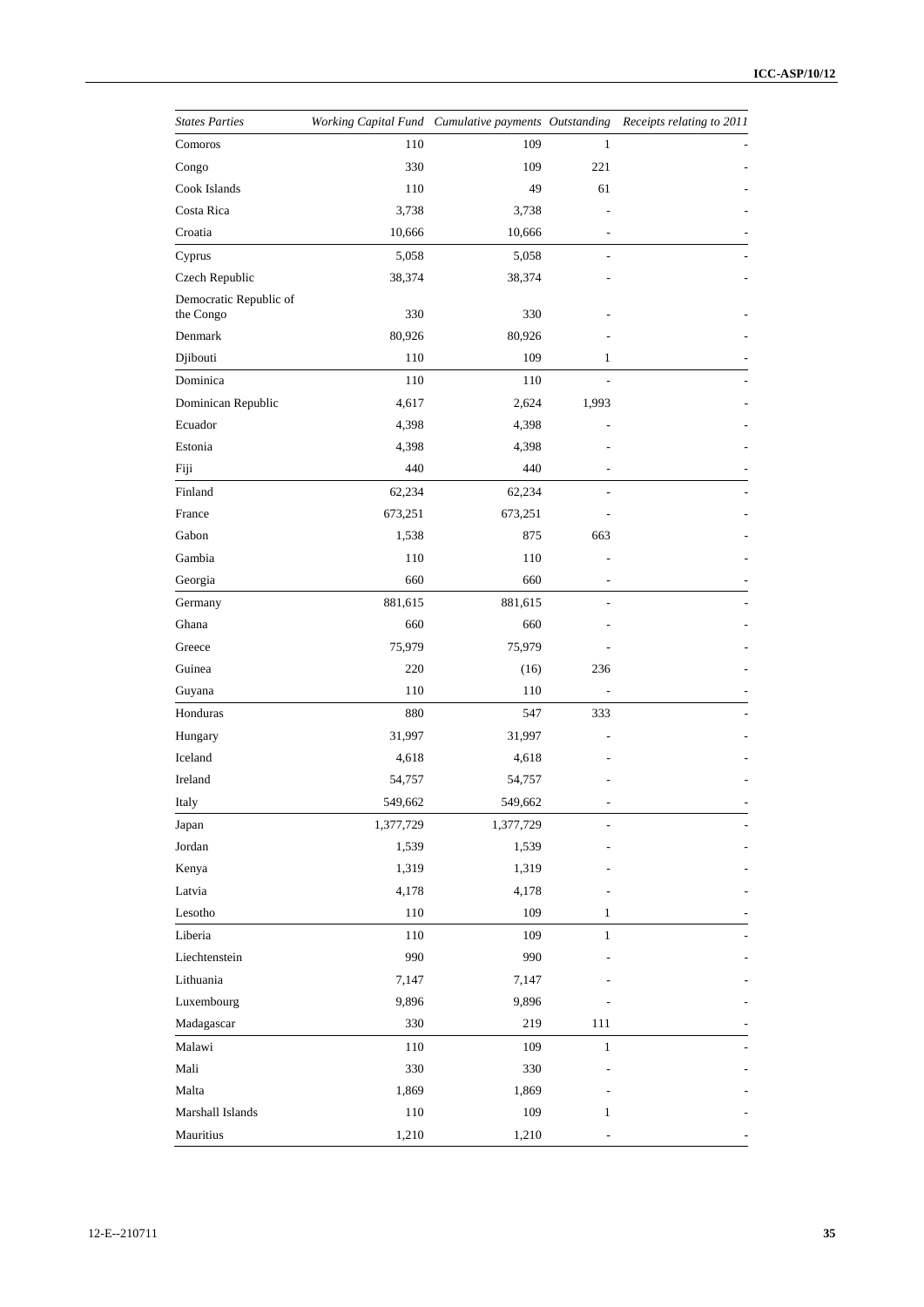| <b>States Parties</b>               |           |           |              | Working Capital Fund Cumulative payments Outstanding Receipts relating to 2011 |
|-------------------------------------|-----------|-----------|--------------|--------------------------------------------------------------------------------|
| Comoros                             | 110       | 109       | $\mathbf{1}$ |                                                                                |
| Congo                               | 330       | 109       | 221          |                                                                                |
| Cook Islands                        | 110       | 49        | 61           |                                                                                |
| Costa Rica                          | 3,738     | 3,738     |              |                                                                                |
| Croatia                             | 10,666    | 10,666    |              |                                                                                |
| Cyprus                              | 5,058     | 5,058     |              |                                                                                |
| Czech Republic                      | 38,374    | 38,374    |              |                                                                                |
| Democratic Republic of<br>the Congo | 330       | 330       |              |                                                                                |
| Denmark                             | 80,926    | 80,926    |              |                                                                                |
| Djibouti                            | 110       | 109       | 1            |                                                                                |
| Dominica                            | 110       | 110       |              |                                                                                |
| Dominican Republic                  | 4,617     | 2,624     | 1,993        |                                                                                |
| Ecuador                             | 4,398     | 4,398     |              |                                                                                |
| Estonia                             | 4,398     | 4,398     |              |                                                                                |
| Fiji                                | 440       | 440       |              |                                                                                |
| Finland                             | 62,234    | 62,234    |              |                                                                                |
| France                              | 673,251   | 673,251   |              |                                                                                |
| Gabon                               | 1,538     | 875       | 663          |                                                                                |
| Gambia                              | 110       | 110       |              |                                                                                |
| Georgia                             | 660       | 660       |              |                                                                                |
| Germany                             | 881,615   | 881,615   |              |                                                                                |
| Ghana                               | 660       | 660       |              |                                                                                |
| Greece                              | 75,979    | 75,979    |              |                                                                                |
| Guinea                              | 220       | (16)      | 236          |                                                                                |
| Guyana                              | 110       | 110       |              |                                                                                |
| Honduras                            | 880       | 547       | 333          |                                                                                |
| Hungary                             | 31,997    | 31,997    |              |                                                                                |
| Iceland                             | 4,618     | 4,618     |              |                                                                                |
| Ireland                             | 54,757    | 54,757    |              |                                                                                |
| Italy                               | 549,662   | 549,662   |              |                                                                                |
| Japan                               | 1,377,729 | 1,377,729 |              |                                                                                |
| Jordan                              | 1,539     | 1,539     |              |                                                                                |
| Kenya                               | 1,319     | 1,319     |              |                                                                                |
| Latvia                              | 4,178     | 4,178     |              |                                                                                |
| Lesotho                             | 110       | 109       | 1            |                                                                                |
| Liberia                             | 110       | 109       | $\mathbf{1}$ |                                                                                |
| Liechtenstein                       | 990       | 990       |              |                                                                                |
| Lithuania                           | 7,147     | 7,147     |              |                                                                                |
| Luxembourg                          | 9,896     | 9,896     |              |                                                                                |
| Madagascar                          | 330       | 219       | 111          |                                                                                |
| Malawi                              | 110       | 109       | $\mathbf{1}$ |                                                                                |
| Mali                                | 330       | 330       |              |                                                                                |
| Malta                               | 1,869     | 1,869     |              |                                                                                |
| Marshall Islands                    | 110       | 109       | $\mathbf{1}$ |                                                                                |
| Mauritius                           | 1,210     | 1,210     |              |                                                                                |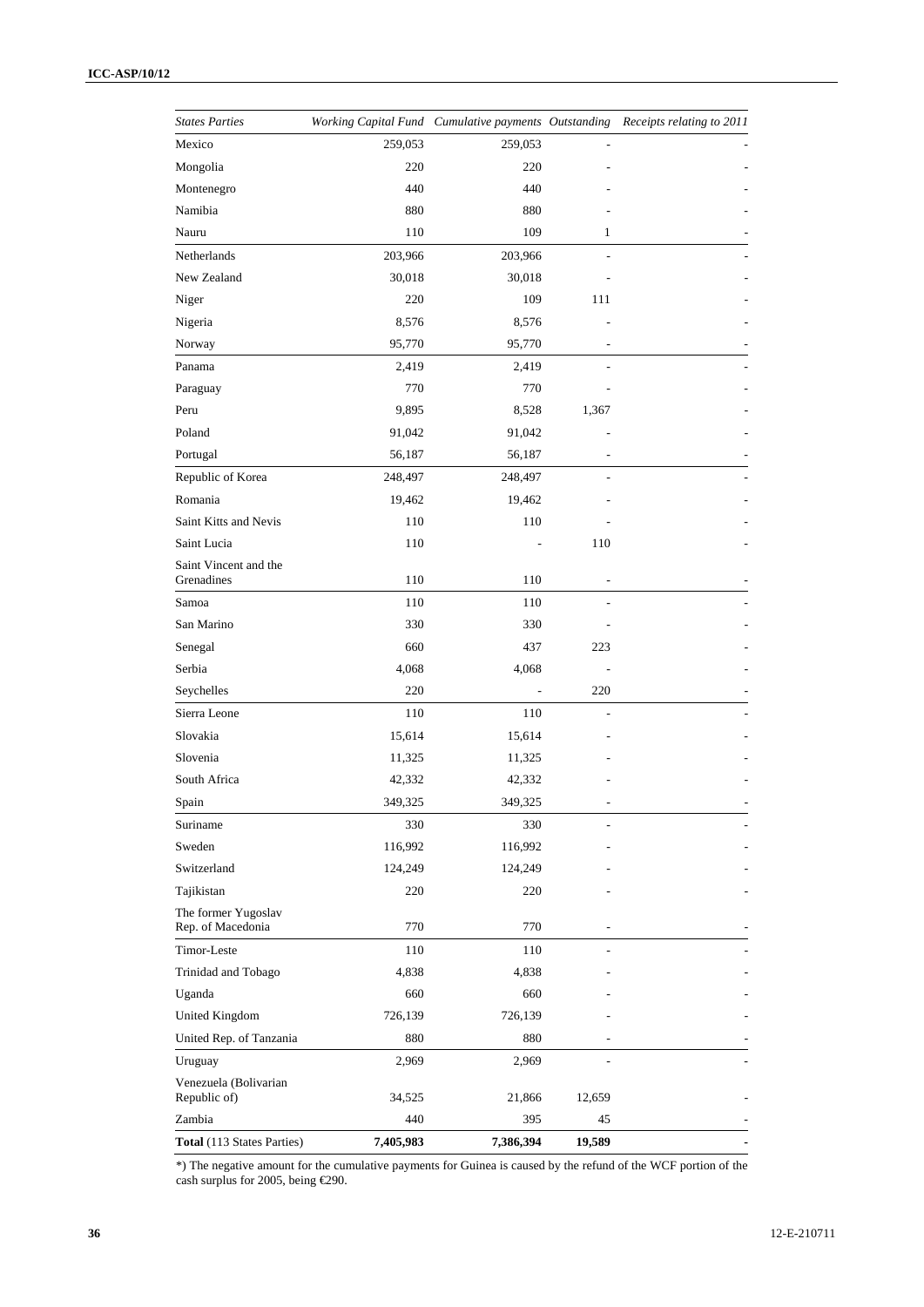| <b>States Parties</b>                    |           |           |        | Working Capital Fund Cumulative payments Outstanding Receipts relating to 2011 |
|------------------------------------------|-----------|-----------|--------|--------------------------------------------------------------------------------|
| Mexico                                   | 259,053   | 259,053   |        |                                                                                |
| Mongolia                                 | 220       | 220       |        |                                                                                |
| Montenegro                               | 440       | 440       |        |                                                                                |
| Namibia                                  | 880       | 880       |        |                                                                                |
| Nauru                                    | 110       | 109       | 1      |                                                                                |
| Netherlands                              | 203,966   | 203,966   |        |                                                                                |
| New Zealand                              | 30,018    | 30,018    |        |                                                                                |
| Niger                                    | 220       | 109       | 111    |                                                                                |
| Nigeria                                  | 8,576     | 8,576     |        |                                                                                |
| Norway                                   | 95,770    | 95,770    |        |                                                                                |
| Panama                                   | 2,419     | 2,419     |        |                                                                                |
| Paraguay                                 | 770       | 770       |        |                                                                                |
| Peru                                     | 9,895     | 8,528     | 1,367  |                                                                                |
| Poland                                   | 91,042    | 91,042    |        |                                                                                |
| Portugal                                 | 56,187    | 56,187    |        |                                                                                |
| Republic of Korea                        | 248,497   | 248,497   |        |                                                                                |
| Romania                                  | 19,462    | 19,462    |        |                                                                                |
| Saint Kitts and Nevis                    | 110       | 110       |        |                                                                                |
| Saint Lucia                              | 110       |           | 110    |                                                                                |
| Saint Vincent and the<br>Grenadines      | 110       | 110       |        |                                                                                |
| Samoa                                    | 110       | 110       |        |                                                                                |
| San Marino                               | 330       | 330       |        |                                                                                |
| Senegal                                  | 660       | 437       | 223    |                                                                                |
| Serbia                                   | 4,068     | 4,068     |        |                                                                                |
| Seychelles                               | 220       |           | 220    |                                                                                |
| Sierra Leone                             | 110       | 110       |        |                                                                                |
| Slovakia                                 | 15,614    | 15,614    |        |                                                                                |
| Slovenia                                 | 11,325    | 11,325    |        |                                                                                |
| South Africa                             | 42,332    | 42,332    |        |                                                                                |
| Spain                                    | 349,325   | 349,325   |        |                                                                                |
| Suriname                                 | 330       | 330       |        |                                                                                |
| Sweden                                   | 116,992   | 116,992   |        |                                                                                |
| Switzerland                              | 124,249   | 124,249   |        |                                                                                |
| Tajikistan                               | 220       | 220       |        |                                                                                |
| The former Yugoslav<br>Rep. of Macedonia | 770       | 770       |        |                                                                                |
| Timor-Leste                              | 110       | 110       |        |                                                                                |
| Trinidad and Tobago                      | 4,838     | 4,838     |        |                                                                                |
| Uganda                                   | 660       | 660       |        |                                                                                |
| United Kingdom                           | 726,139   | 726,139   |        |                                                                                |
| United Rep. of Tanzania                  | 880       | 880       |        |                                                                                |
| Uruguay                                  | 2,969     | 2,969     |        |                                                                                |
| Venezuela (Bolivarian<br>Republic of)    | 34,525    | 21,866    | 12,659 |                                                                                |
| Zambia                                   | 440       | 395       | 45     |                                                                                |
| <b>Total</b> (113 States Parties)        | 7,405,983 | 7,386,394 | 19,589 |                                                                                |

\*) The negative amount for the cumulative payments for Guinea is caused by the refund of the WCF portion of the cash surplus for 2005, being €290.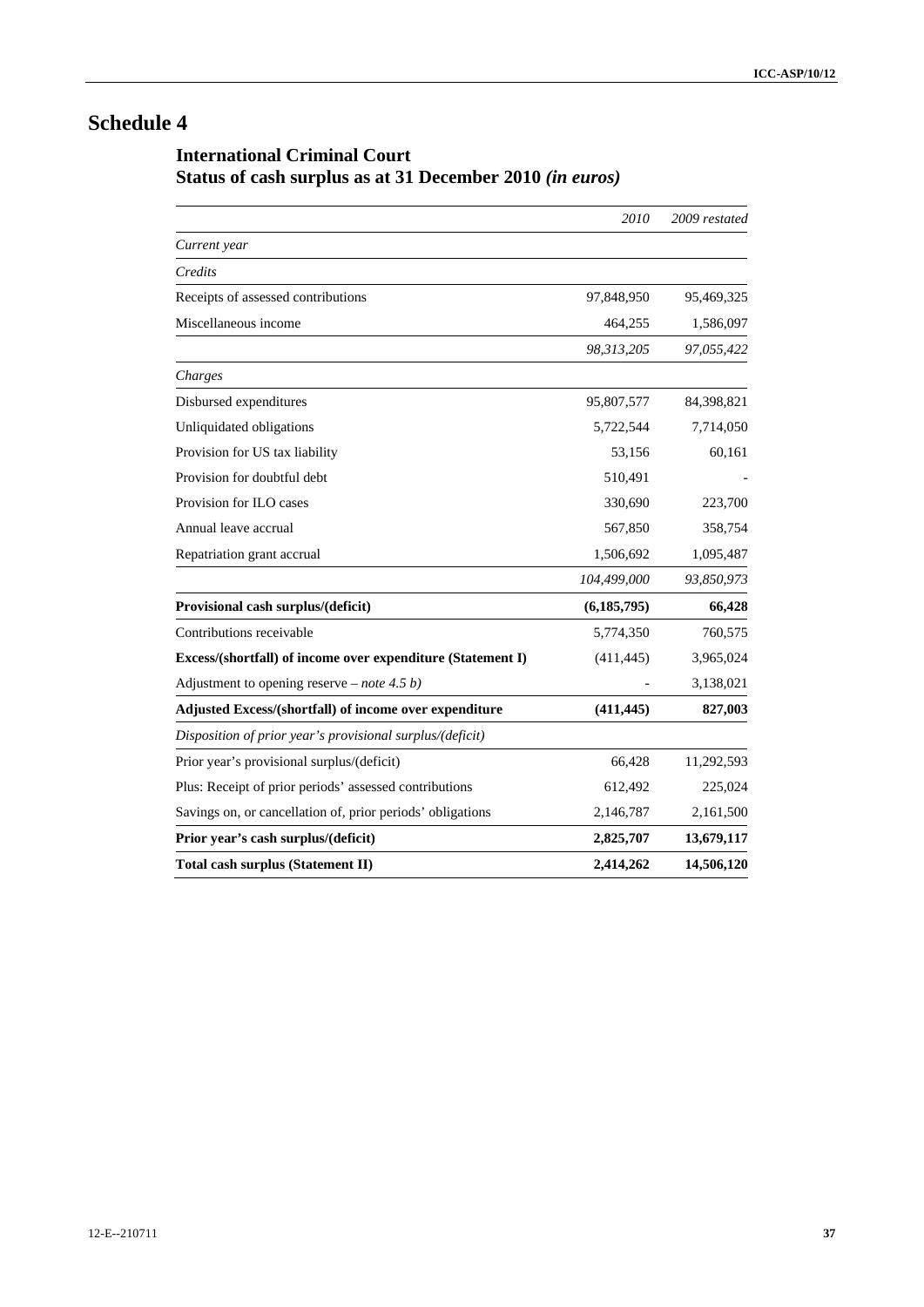# **Schedule 4**

# **International Criminal Court Status of cash surplus as at 31 December 2010** *(in euros)*

|                                                             | 2010          | 2009 restated |
|-------------------------------------------------------------|---------------|---------------|
| Current year                                                |               |               |
| Credits                                                     |               |               |
| Receipts of assessed contributions                          | 97,848,950    | 95,469,325    |
| Miscellaneous income                                        | 464,255       | 1,586,097     |
|                                                             | 98,313,205    | 97,055,422    |
| Charges                                                     |               |               |
| Disbursed expenditures                                      | 95,807,577    | 84,398,821    |
| Unliquidated obligations                                    | 5,722,544     | 7,714,050     |
| Provision for US tax liability                              | 53,156        | 60,161        |
| Provision for doubtful debt                                 | 510,491       |               |
| Provision for ILO cases                                     | 330,690       | 223,700       |
| Annual leave accrual                                        | 567,850       | 358,754       |
| Repatriation grant accrual                                  | 1,506,692     | 1,095,487     |
|                                                             | 104,499,000   | 93,850,973    |
| Provisional cash surplus/(deficit)                          | (6, 185, 795) | 66,428        |
| Contributions receivable                                    | 5,774,350     | 760,575       |
| Excess/(shortfall) of income over expenditure (Statement I) | (411, 445)    | 3,965,024     |
| Adjustment to opening reserve – <i>note</i> 4.5 <i>b</i> )  |               | 3,138,021     |
| Adjusted Excess/(shortfall) of income over expenditure      | (411, 445)    | 827,003       |
| Disposition of prior year's provisional surplus/(deficit)   |               |               |
| Prior year's provisional surplus/(deficit)                  | 66,428        | 11,292,593    |
| Plus: Receipt of prior periods' assessed contributions      | 612,492       | 225,024       |
| Savings on, or cancellation of, prior periods' obligations  | 2,146,787     | 2,161,500     |
| Prior year's cash surplus/(deficit)                         | 2,825,707     | 13,679,117    |
| Total cash surplus (Statement II)                           | 2,414,262     | 14,506,120    |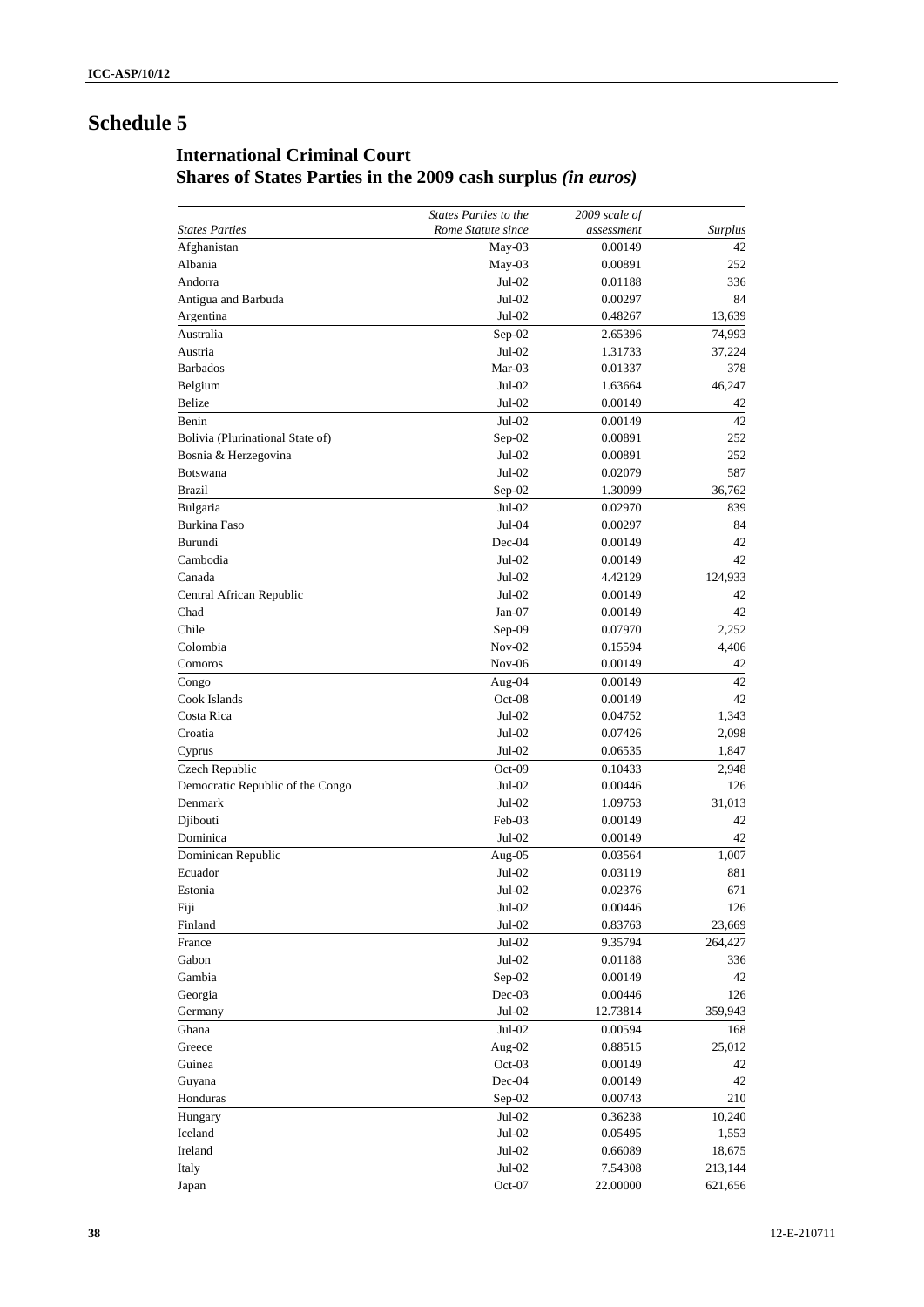# **Schedule 5**

# **International Criminal Court Shares of States Parties in the 2009 cash surplus** *(in euros)*

|                                  | <b>States Parties to the</b> | 2009 scale of      |              |
|----------------------------------|------------------------------|--------------------|--------------|
| <b>States Parties</b>            | Rome Statute since           | assessment         | Surplus      |
| Afghanistan                      | May-03                       | 0.00149            | 42           |
| Albania                          | May-03                       | 0.00891            | 252          |
| Andorra                          | Jul-02                       | 0.01188            | 336          |
| Antigua and Barbuda              | $Jul-02$                     | 0.00297            | 84           |
| Argentina                        | $Jul-02$                     | 0.48267            | 13,639       |
| Australia                        | Sep-02                       | 2.65396            | 74,993       |
| Austria                          | $Jul-02$                     | 1.31733            | 37,224       |
| <b>Barbados</b>                  | Mar-03                       | 0.01337            | 378          |
| Belgium                          | $Jul-02$                     | 1.63664            | 46,247       |
| Belize                           | $Jul-02$                     | 0.00149            | 42           |
| Benin                            | $Jul-02$                     | 0.00149            | 42           |
| Bolivia (Plurinational State of) | Sep-02                       | 0.00891            | 252          |
| Bosnia & Herzegovina             | $Jul-02$                     | 0.00891            | 252          |
| <b>Botswana</b>                  | $Jul-02$                     | 0.02079            | 587          |
| <b>Brazil</b>                    | $Sep-02$                     | 1.30099            | 36,762       |
| Bulgaria                         | $Jul-02$                     | 0.02970            | 839          |
| Burkina Faso                     | $Jul-04$                     | 0.00297            | 84           |
| Burundi                          | $Dec-04$                     | 0.00149            | 42           |
| Cambodia                         | $Jul-02$                     | 0.00149            | 42           |
| Canada                           | $Jul-02$                     | 4.42129            | 124,933      |
| Central African Republic         | $Jul-02$                     | 0.00149            | 42           |
| Chad                             | Jan-07                       | 0.00149            | 42           |
| Chile                            | Sep-09                       | 0.07970            | 2,252        |
| Colombia                         | $Nov-02$                     |                    |              |
|                                  | $Nov-06$                     | 0.15594            | 4,406        |
| Comoros                          |                              | 0.00149            | 42<br>42     |
| Congo                            | Aug-04                       | 0.00149            |              |
| Cook Islands<br>Costa Rica       | $Oct-08$                     | 0.00149            | 42           |
|                                  | $Jul-02$                     | 0.04752            | 1,343        |
| Croatia                          | Jul-02                       | 0.07426            | 2,098        |
| Cyprus                           | $Jul-02$                     | 0.06535            | 1,847        |
| Czech Republic                   | $Oct-09$                     | 0.10433            | 2,948        |
| Democratic Republic of the Congo | $Jul-02$                     | 0.00446            | 126          |
| Denmark                          | $Jul-02$                     | 1.09753<br>0.00149 | 31,013<br>42 |
| Djibouti                         | Feb-03                       |                    |              |
| Dominica                         | Jul-02                       | 0.00149            | 42           |
| Dominican Republic               | Aug-05<br>$Jul-02$           | 0.03564            | 1,007        |
| Ecuador                          |                              | 0.03119            | 881          |
| Estonia                          | $Jul-02$                     | 0.02376            | 671<br>126   |
| Fiji                             | Jul-02                       | 0.00446            |              |
| Finland                          | Jul-02                       | 0.83763            | 23,669       |
| France                           | Jul-02                       | 9.35794            | 264,427      |
| Gabon                            | $Jul-02$                     | 0.01188            | 336          |
| Gambia                           | Sep-02                       | 0.00149            | 42           |
| Georgia                          | Dec-03                       | 0.00446            | 126          |
| Germany                          | $Jul-02$                     | 12.73814           | 359,943      |
| Ghana                            | Jul-02                       | 0.00594            | 168          |
| Greece                           | Aug-02                       | 0.88515            | 25,012       |
| Guinea                           | Oct-03                       | 0.00149            | 42           |
| Guyana                           | Dec-04                       | 0.00149            | 42           |
| Honduras                         | $Sep-02$                     | 0.00743            | 210          |
| Hungary                          | $Jul-02$                     | 0.36238            | 10,240       |
| Iceland                          | $Jul-02$                     | 0.05495            | 1,553        |
| Ireland                          | $Jul-02$                     | 0.66089            | 18,675       |
| Italy                            | $Jul-02$                     | 7.54308            | 213,144      |
| Japan                            | Oct-07                       | 22.00000           | 621,656      |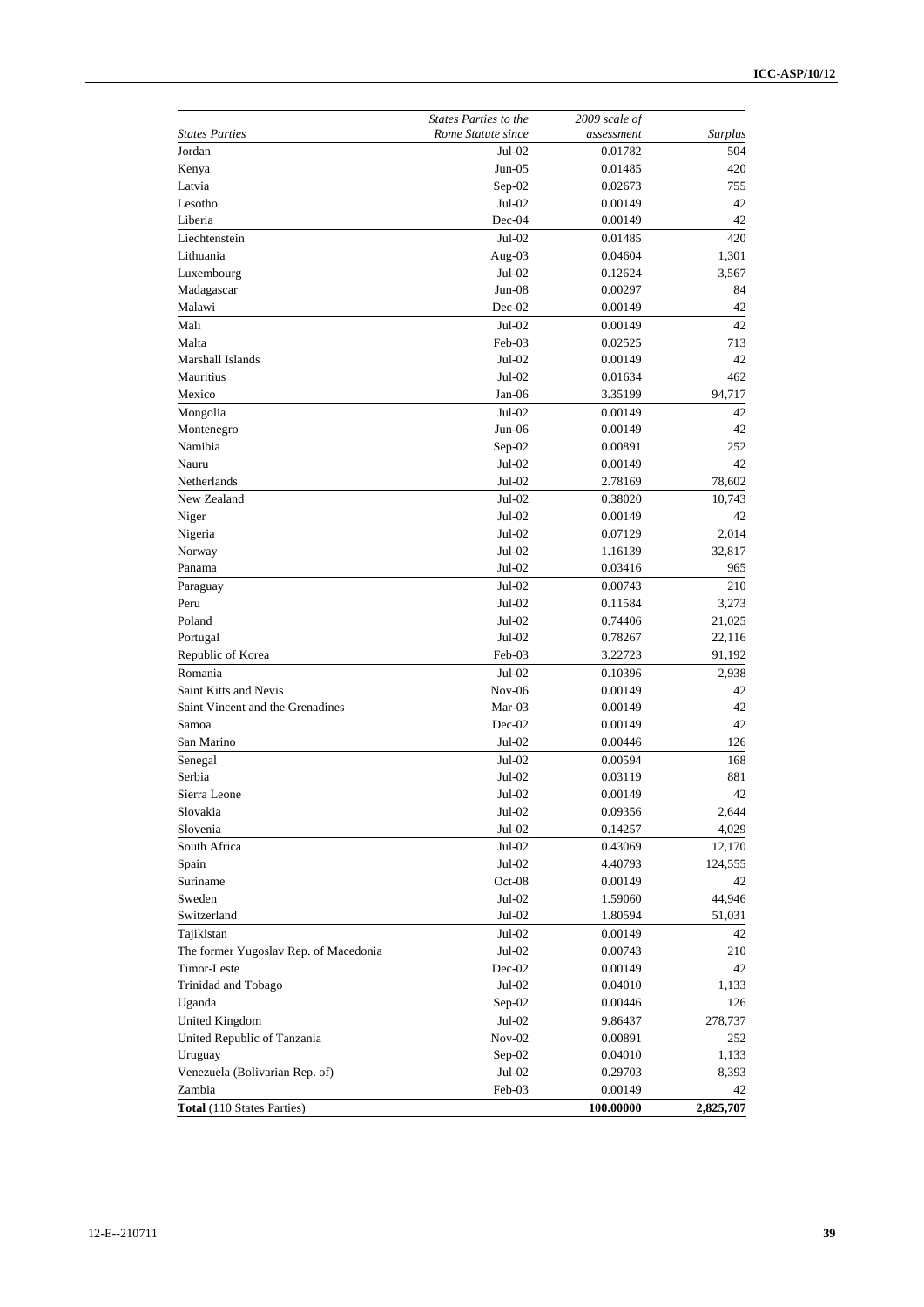|                                       | <b>States Parties to the</b> | 2009 scale of |                |
|---------------------------------------|------------------------------|---------------|----------------|
| <b>States Parties</b>                 | Rome Statute since           | assessment    | <b>Surplus</b> |
| Jordan                                | $Jul-02$                     | 0.01782       | 504            |
| Kenya                                 | $Jun-05$                     | 0.01485       | 420            |
| Latvia                                | $Sep-02$                     | 0.02673       | 755            |
| Lesotho                               | $Jul-02$                     | 0.00149       | 42             |
| Liberia                               | $Dec-04$                     | 0.00149       | 42             |
| Liechtenstein                         | $Jul-02$                     | 0.01485       | 420            |
| Lithuania                             | Aug- $03$                    | 0.04604       | 1,301          |
| Luxembourg                            | $Jul-02$                     | 0.12624       | 3,567          |
| Madagascar                            | $Jun-08$                     | 0.00297       | 84             |
| Malawi                                | $Dec-02$                     | 0.00149       | 42             |
| Mali                                  | $Jul-02$                     | 0.00149       | 42             |
| Malta                                 | Feb-03                       | 0.02525       | 713            |
| Marshall Islands                      | $Jul-02$                     | 0.00149       | 42             |
| Mauritius                             | $Jul-02$                     | 0.01634       | 462            |
| Mexico                                | Jan-06                       | 3.35199       | 94,717         |
| Mongolia                              | $Jul-02$                     | 0.00149       | 42             |
| Montenegro                            | $Jun-06$                     | 0.00149       | 42             |
| Namibia                               | $Sep-02$                     | 0.00891       | 252            |
| Nauru                                 | $Jul-02$                     | 0.00149       | 42             |
| Netherlands                           | $Jul-02$                     | 2.78169       | 78,602         |
| New Zealand                           | $Jul-02$                     | 0.38020       | 10,743         |
| Niger                                 | $Jul-02$                     | 0.00149       | 42             |
| Nigeria                               | $Jul-02$                     | 0.07129       | 2,014          |
| Norway                                | $Jul-02$                     | 1.16139       | 32,817         |
| Panama                                | Jul-02                       | 0.03416       | 965            |
| Paraguay                              | $Jul-02$                     | 0.00743       | 210            |
| Peru                                  | $Jul-02$                     | 0.11584       | 3,273          |
| Poland                                | $Jul-02$                     | 0.74406       | 21,025         |
| Portugal                              | $Jul-02$                     | 0.78267       | 22,116         |
| Republic of Korea                     | Feb-03                       | 3.22723       | 91,192         |
| Romania                               | $Jul-02$                     | 0.10396       | 2,938          |
| Saint Kitts and Nevis                 | $Nov-06$                     | 0.00149       | 42             |
| Saint Vincent and the Grenadines      | $Mar-03$                     | 0.00149       | 42             |
| Samoa                                 | $Dec-02$                     | 0.00149       | 42             |
| San Marino                            | $Jul-02$                     | 0.00446       | 126            |
| Senegal                               | $Jul-02$                     | 0.00594       | 168            |
| Serbia                                | Jul-02                       | 0.03119       | 881            |
| Sierra Leone                          | $Jul-02$                     | 0.00149       | 42             |
| Slovakia                              | Jul-02                       | 0.09356       | 2,644          |
| Slovenia                              | $Jul-02$                     | 0.14257       | 4,029          |
| South Africa                          | $Jul-02$                     | 0.43069       | 12,170         |
| Spain                                 | $Jul-02$                     | 4.40793       | 124,555        |
| Suriname                              | $Oct-08$                     | 0.00149       | 42             |
| Sweden                                | $Jul-02$                     | 1.59060       | 44,946         |
| Switzerland                           | $Jul-02$                     | 1.80594       | 51,031         |
| Tajikistan                            | $Jul-02$                     | 0.00149       | 42             |
| The former Yugoslav Rep. of Macedonia | $Jul-02$                     | 0.00743       | 210            |
| Timor-Leste                           | $Dec-02$                     | 0.00149       | 42             |
| Trinidad and Tobago                   | $Jul-02$                     | 0.04010       | 1,133          |
| Uganda                                | Sep-02                       | 0.00446       | 126            |
| United Kingdom                        | Jul-02                       | 9.86437       | 278,737        |
| United Republic of Tanzania           | $Nov-02$                     | 0.00891       | 252            |
| Uruguay                               | $Sep-02$                     | 0.04010       | 1,133          |
| Venezuela (Bolivarian Rep. of)        | $Jul-02$                     | 0.29703       | 8,393          |
| Zambia                                | Feb-03                       | 0.00149       | 42             |
| <b>Total</b> (110 States Parties)     |                              | 100.00000     | 2,825,707      |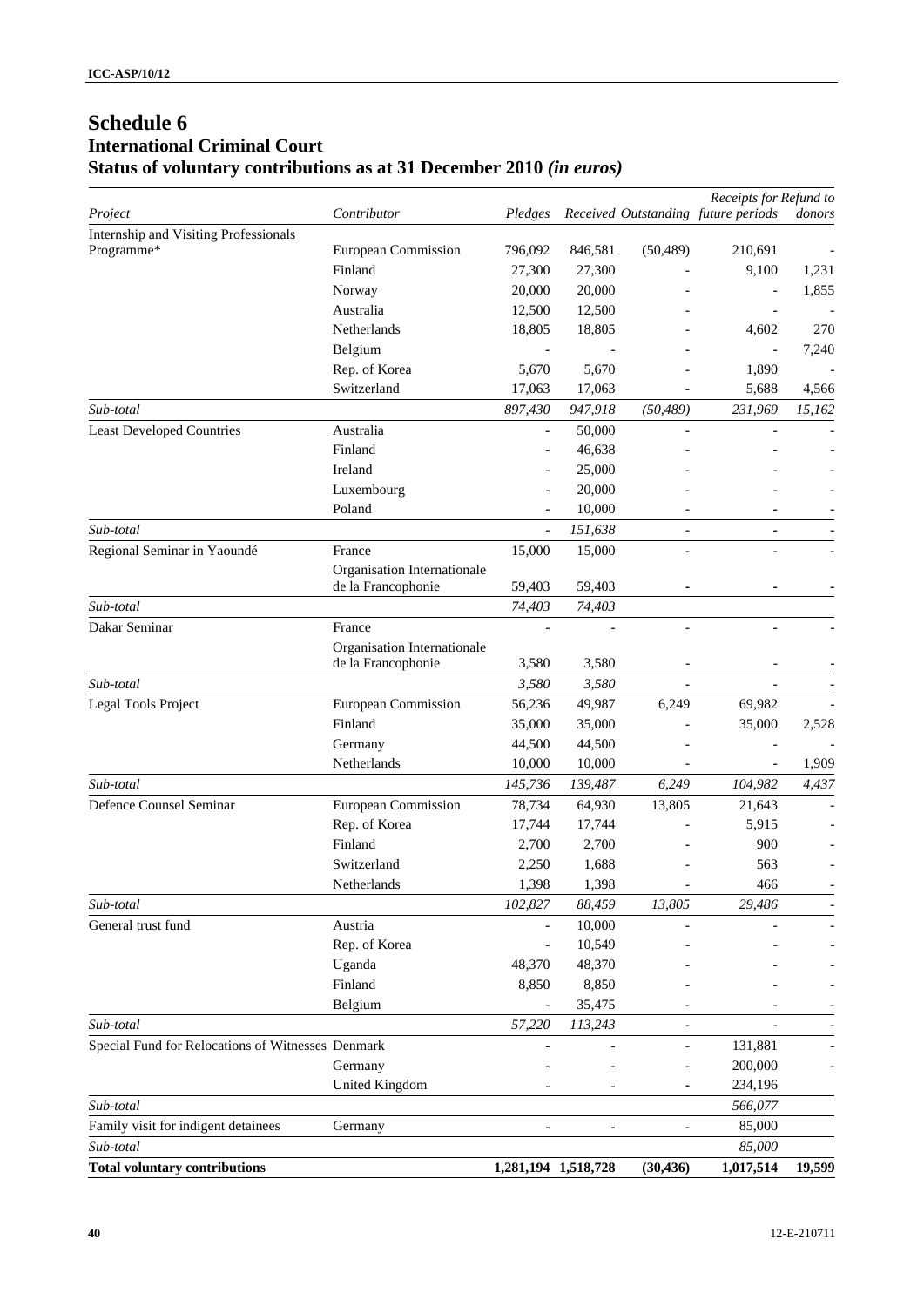# **Schedule 6 International Criminal Court Status of voluntary contributions as at 31 December 2010** *(in euros)*

|                                                   |                             |         |                     |                          | Receipts for Refund to              |        |
|---------------------------------------------------|-----------------------------|---------|---------------------|--------------------------|-------------------------------------|--------|
| Project                                           | Contributor                 | Pledges |                     |                          | Received Outstanding future periods | donors |
| Internship and Visiting Professionals             |                             |         |                     |                          |                                     |        |
| Programme*                                        | European Commission         | 796,092 | 846,581             | (50, 489)                | 210,691                             |        |
|                                                   | Finland                     | 27,300  | 27,300              |                          | 9,100                               | 1,231  |
|                                                   | Norway                      | 20,000  | 20,000              |                          |                                     | 1,855  |
|                                                   | Australia                   | 12,500  | 12,500              |                          |                                     |        |
|                                                   | Netherlands                 | 18,805  | 18,805              |                          | 4,602                               | 270    |
|                                                   | Belgium                     |         |                     |                          |                                     | 7,240  |
|                                                   | Rep. of Korea               | 5,670   | 5,670               |                          | 1,890                               |        |
|                                                   | Switzerland                 | 17,063  | 17,063              |                          | 5,688                               | 4,566  |
| Sub-total                                         |                             | 897,430 | 947,918             | (50, 489)                | 231,969                             | 15,162 |
| <b>Least Developed Countries</b>                  | Australia                   |         | 50,000              |                          |                                     |        |
|                                                   | Finland                     |         | 46,638              |                          |                                     |        |
|                                                   | Ireland                     |         | 25,000              |                          |                                     |        |
|                                                   | Luxembourg                  |         | 20,000              |                          |                                     |        |
|                                                   | Poland                      |         | 10,000              |                          |                                     |        |
| Sub-total                                         |                             |         | 151,638             |                          | $\overline{a}$                      |        |
| Regional Seminar in Yaoundé                       | France                      | 15,000  | 15,000              |                          |                                     |        |
|                                                   | Organisation Internationale |         |                     |                          |                                     |        |
|                                                   | de la Francophonie          | 59,403  | 59,403              |                          |                                     |        |
| Sub-total                                         |                             | 74,403  | 74,403              |                          |                                     |        |
| Dakar Seminar                                     | France                      |         |                     |                          |                                     |        |
|                                                   | Organisation Internationale |         |                     |                          |                                     |        |
|                                                   | de la Francophonie          | 3,580   | 3,580               |                          |                                     |        |
| Sub-total                                         |                             | 3,580   | 3,580               |                          |                                     |        |
| Legal Tools Project                               | European Commission         | 56,236  | 49,987              | 6,249                    | 69,982                              |        |
|                                                   | Finland                     | 35,000  | 35,000              |                          | 35,000                              | 2,528  |
|                                                   | Germany                     | 44,500  | 44,500              |                          |                                     |        |
|                                                   | Netherlands                 | 10,000  | 10,000              |                          | $\overline{a}$                      | 1,909  |
| Sub-total                                         |                             | 145,736 | 139,487             | 6,249                    | 104,982                             | 4,437  |
| Defence Counsel Seminar                           | European Commission         | 78,734  | 64,930              | 13,805                   | 21,643                              |        |
|                                                   | Rep. of Korea               | 17,744  | 17,744              |                          | 5,915                               |        |
|                                                   | Finland                     | 2,700   | 2,700               |                          | 900                                 |        |
|                                                   | Switzerland                 | 2,250   | 1,688               |                          | 563                                 |        |
|                                                   | Netherlands                 | 1,398   | 1,398               |                          | 466                                 |        |
| Sub-total                                         |                             | 102,827 | 88,459              | 13,805                   | 29,486                              |        |
| General trust fund                                | Austria                     |         | 10,000              |                          |                                     |        |
|                                                   | Rep. of Korea               |         | 10,549              |                          |                                     |        |
|                                                   | Uganda                      | 48,370  | 48,370              |                          |                                     |        |
|                                                   | Finland                     | 8,850   | 8,850               |                          |                                     |        |
|                                                   | Belgium                     |         | 35,475              |                          |                                     |        |
| Sub-total                                         |                             | 57,220  | 113,243             |                          |                                     |        |
| Special Fund for Relocations of Witnesses Denmark |                             |         |                     |                          | 131,881                             |        |
|                                                   | Germany                     |         |                     |                          | 200,000                             |        |
|                                                   | United Kingdom              |         |                     | $\overline{\phantom{a}}$ | 234,196                             |        |
| Sub-total                                         |                             |         |                     |                          | 566,077                             |        |
| Family visit for indigent detainees               | Germany                     |         | ۰                   |                          | 85,000                              |        |
| Sub-total                                         |                             |         |                     |                          | 85,000                              |        |
| <b>Total voluntary contributions</b>              |                             |         | 1,281,194 1,518,728 | (30, 436)                | 1,017,514                           | 19,599 |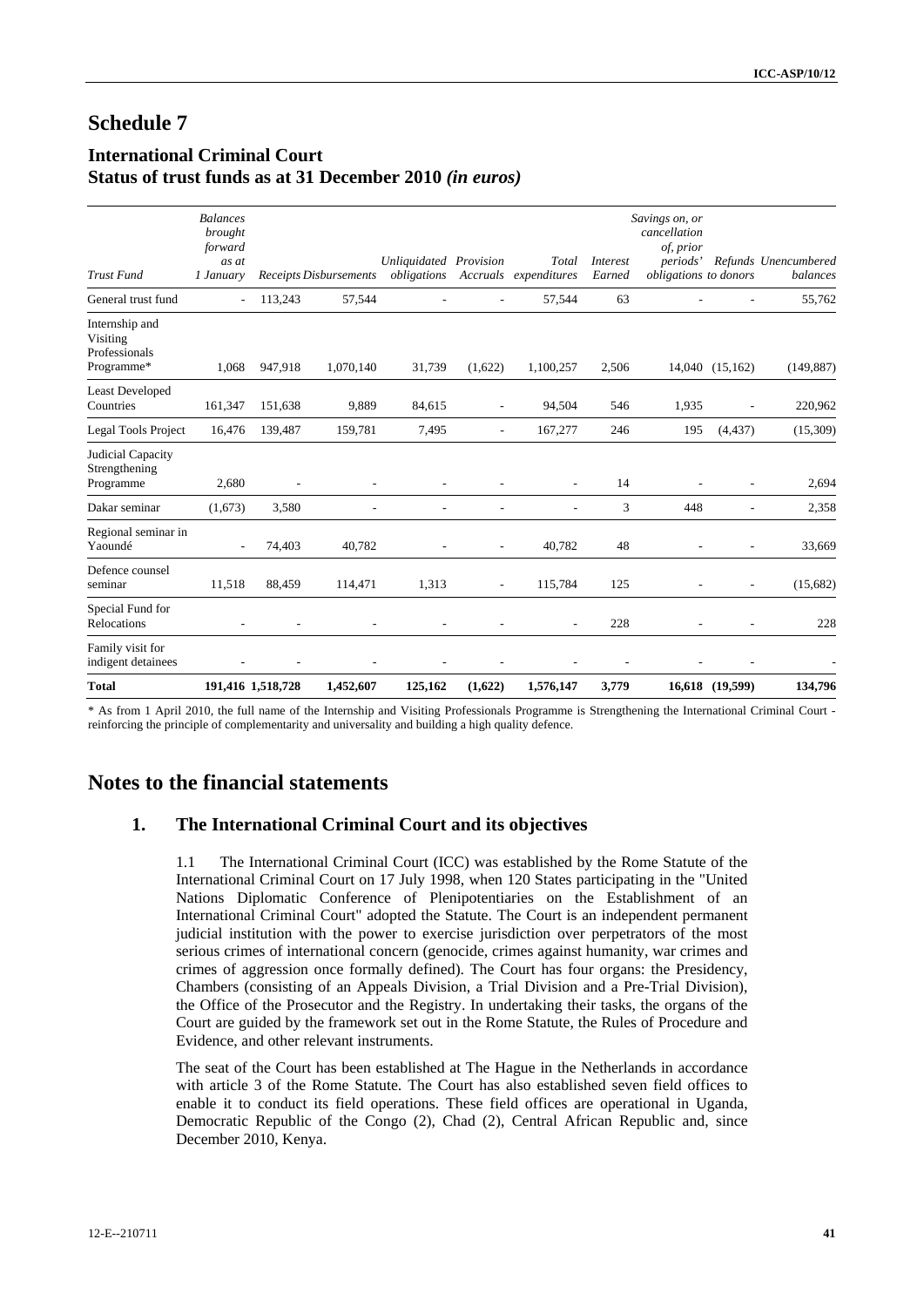# **Schedule 7**

# **International Criminal Court Status of trust funds as at 31 December 2010** *(in euros)*

| <b>Total</b>                                              |                                                             | 191,416 1,518,728 | 1,452,607                     | 125,162                               | (1,622)                  | 1,576,147             | 3,779                     |                                                                                  | 16,618 (19,599)          | 134,796                          |
|-----------------------------------------------------------|-------------------------------------------------------------|-------------------|-------------------------------|---------------------------------------|--------------------------|-----------------------|---------------------------|----------------------------------------------------------------------------------|--------------------------|----------------------------------|
| Family visit for<br>indigent detainees                    |                                                             |                   |                               |                                       |                          |                       |                           |                                                                                  |                          |                                  |
| Special Fund for<br>Relocations                           |                                                             |                   |                               |                                       |                          |                       | 228                       |                                                                                  |                          | 228                              |
| Defence counsel<br>seminar                                | 11,518                                                      | 88,459            | 114,471                       | 1,313                                 | $\overline{\phantom{a}}$ | 115,784               | 125                       | $\overline{\phantom{a}}$                                                         | $\overline{\phantom{a}}$ | (15,682)                         |
| Regional seminar in<br>Yaoundé                            | $\overline{\phantom{a}}$                                    | 74,403            | 40,782                        |                                       | $\overline{\phantom{a}}$ | 40,782                | 48                        | L                                                                                | $\overline{a}$           | 33,669                           |
| Dakar seminar                                             | (1,673)                                                     | 3,580             |                               |                                       |                          |                       | 3                         | 448                                                                              |                          | 2,358                            |
| Judicial Capacity<br>Strengthening<br>Programme           | 2,680                                                       | L,                |                               |                                       |                          |                       | 14                        |                                                                                  |                          | 2,694                            |
| Legal Tools Project                                       | 16,476                                                      | 139,487           | 159,781                       | 7,495                                 |                          | 167,277               | 246                       | 195                                                                              | (4, 437)                 | (15,309)                         |
| <b>Least Developed</b><br>Countries                       | 161,347                                                     | 151,638           | 9,889                         | 84,615                                | ٠                        | 94,504                | 546                       | 1,935                                                                            | ÷,                       | 220,962                          |
| Internship and<br>Visiting<br>Professionals<br>Programme* | 1,068                                                       | 947,918           | 1,070,140                     | 31,739                                | (1,622)                  | 1,100,257             | 2,506                     |                                                                                  | 14,040 (15,162)          | (149, 887)                       |
| General trust fund                                        |                                                             | 113,243           | 57,544                        |                                       |                          | 57,544                | 63                        |                                                                                  |                          | 55,762                           |
| <b>Trust Fund</b>                                         | <b>Balances</b><br>brought<br>forward<br>as at<br>1 January |                   | <b>Receipts Disbursements</b> | Unliquidated Provision<br>obligations | Accruals                 | Total<br>expenditures | <i>Interest</i><br>Earned | Savings on, or<br>cancellation<br>of, prior<br>periods'<br>obligations to donors |                          | Refunds Unencumbered<br>balances |

\* As from 1 April 2010, the full name of the Internship and Visiting Professionals Programme is Strengthening the International Criminal Court reinforcing the principle of complementarity and universality and building a high quality defence.

# **Notes to the financial statements**

# **1. The International Criminal Court and its objectives**

1.1 The International Criminal Court (ICC) was established by the Rome Statute of the International Criminal Court on 17 July 1998, when 120 States participating in the "United Nations Diplomatic Conference of Plenipotentiaries on the Establishment of an International Criminal Court" adopted the Statute. The Court is an independent permanent judicial institution with the power to exercise jurisdiction over perpetrators of the most serious crimes of international concern (genocide, crimes against humanity, war crimes and crimes of aggression once formally defined). The Court has four organs: the Presidency, Chambers (consisting of an Appeals Division, a Trial Division and a Pre-Trial Division), the Office of the Prosecutor and the Registry. In undertaking their tasks, the organs of the Court are guided by the framework set out in the Rome Statute, the Rules of Procedure and Evidence, and other relevant instruments.

The seat of the Court has been established at The Hague in the Netherlands in accordance with article 3 of the Rome Statute. The Court has also established seven field offices to enable it to conduct its field operations. These field offices are operational in Uganda, Democratic Republic of the Congo (2), Chad (2), Central African Republic and, since December 2010, Kenya.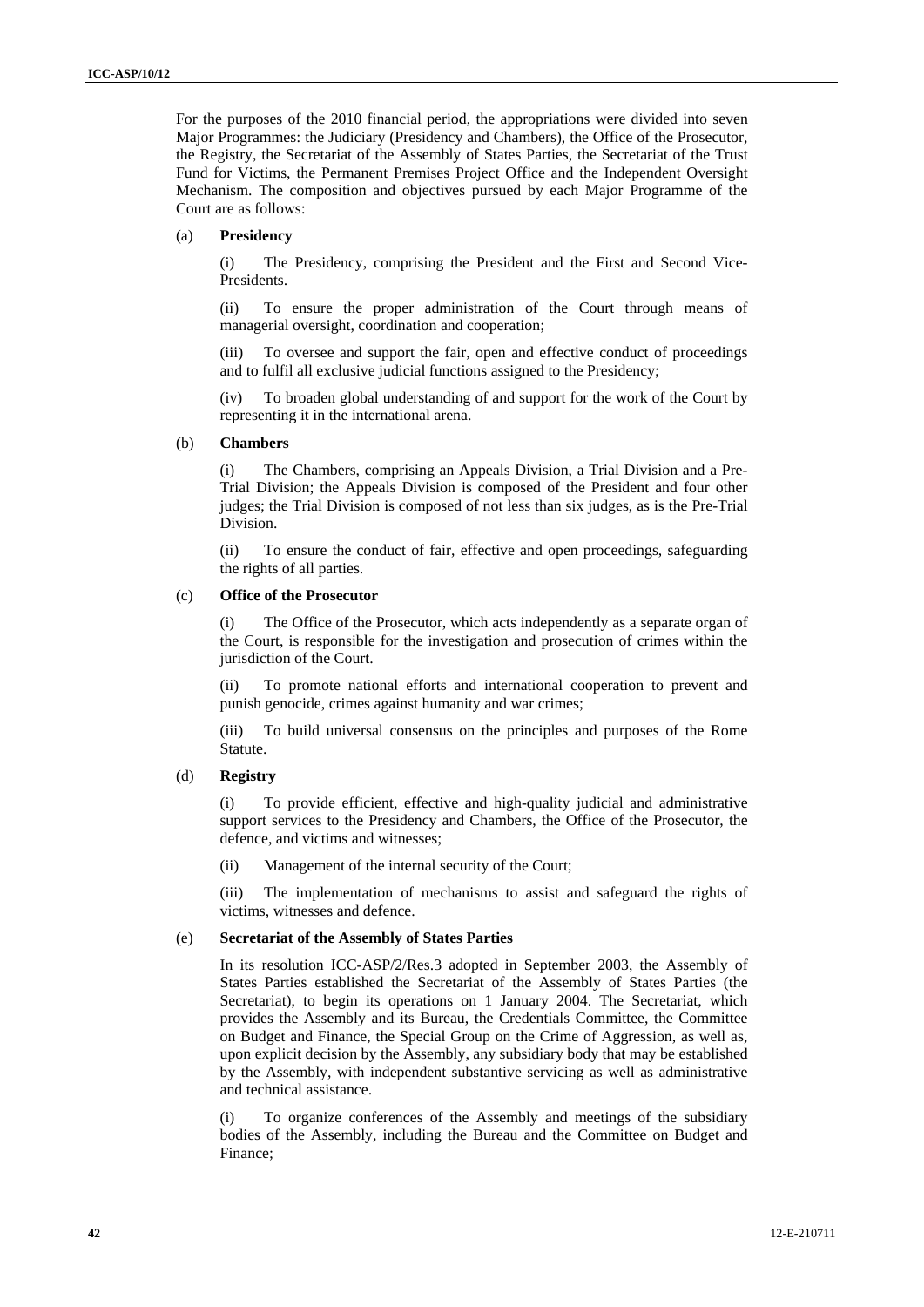For the purposes of the 2010 financial period, the appropriations were divided into seven Major Programmes: the Judiciary (Presidency and Chambers), the Office of the Prosecutor, the Registry, the Secretariat of the Assembly of States Parties, the Secretariat of the Trust Fund for Victims, the Permanent Premises Project Office and the Independent Oversight Mechanism. The composition and objectives pursued by each Major Programme of the Court are as follows:

#### (a) **Presidency**

(i) The Presidency, comprising the President and the First and Second Vice-Presidents.

(ii) To ensure the proper administration of the Court through means of managerial oversight, coordination and cooperation;

(iii) To oversee and support the fair, open and effective conduct of proceedings and to fulfil all exclusive judicial functions assigned to the Presidency;

(iv) To broaden global understanding of and support for the work of the Court by representing it in the international arena.

#### (b) **Chambers**

(i) The Chambers, comprising an Appeals Division, a Trial Division and a Pre-Trial Division; the Appeals Division is composed of the President and four other judges; the Trial Division is composed of not less than six judges, as is the Pre-Trial Division.

(ii) To ensure the conduct of fair, effective and open proceedings, safeguarding the rights of all parties.

#### (c) **Office of the Prosecutor**

The Office of the Prosecutor, which acts independently as a separate organ of the Court, is responsible for the investigation and prosecution of crimes within the jurisdiction of the Court.

(ii) To promote national efforts and international cooperation to prevent and punish genocide, crimes against humanity and war crimes;

(iii) To build universal consensus on the principles and purposes of the Rome Statute.

#### (d) **Registry**

(i) To provide efficient, effective and high-quality judicial and administrative support services to the Presidency and Chambers, the Office of the Prosecutor, the defence, and victims and witnesses;

(ii) Management of the internal security of the Court;

(iii) The implementation of mechanisms to assist and safeguard the rights of victims, witnesses and defence.

#### (e) **Secretariat of the Assembly of States Parties**

In its resolution ICC-ASP/2/Res.3 adopted in September 2003, the Assembly of States Parties established the Secretariat of the Assembly of States Parties (the Secretariat), to begin its operations on 1 January 2004. The Secretariat, which provides the Assembly and its Bureau, the Credentials Committee, the Committee on Budget and Finance, the Special Group on the Crime of Aggression, as well as, upon explicit decision by the Assembly, any subsidiary body that may be established by the Assembly, with independent substantive servicing as well as administrative and technical assistance.

(i) To organize conferences of the Assembly and meetings of the subsidiary bodies of the Assembly, including the Bureau and the Committee on Budget and Finance;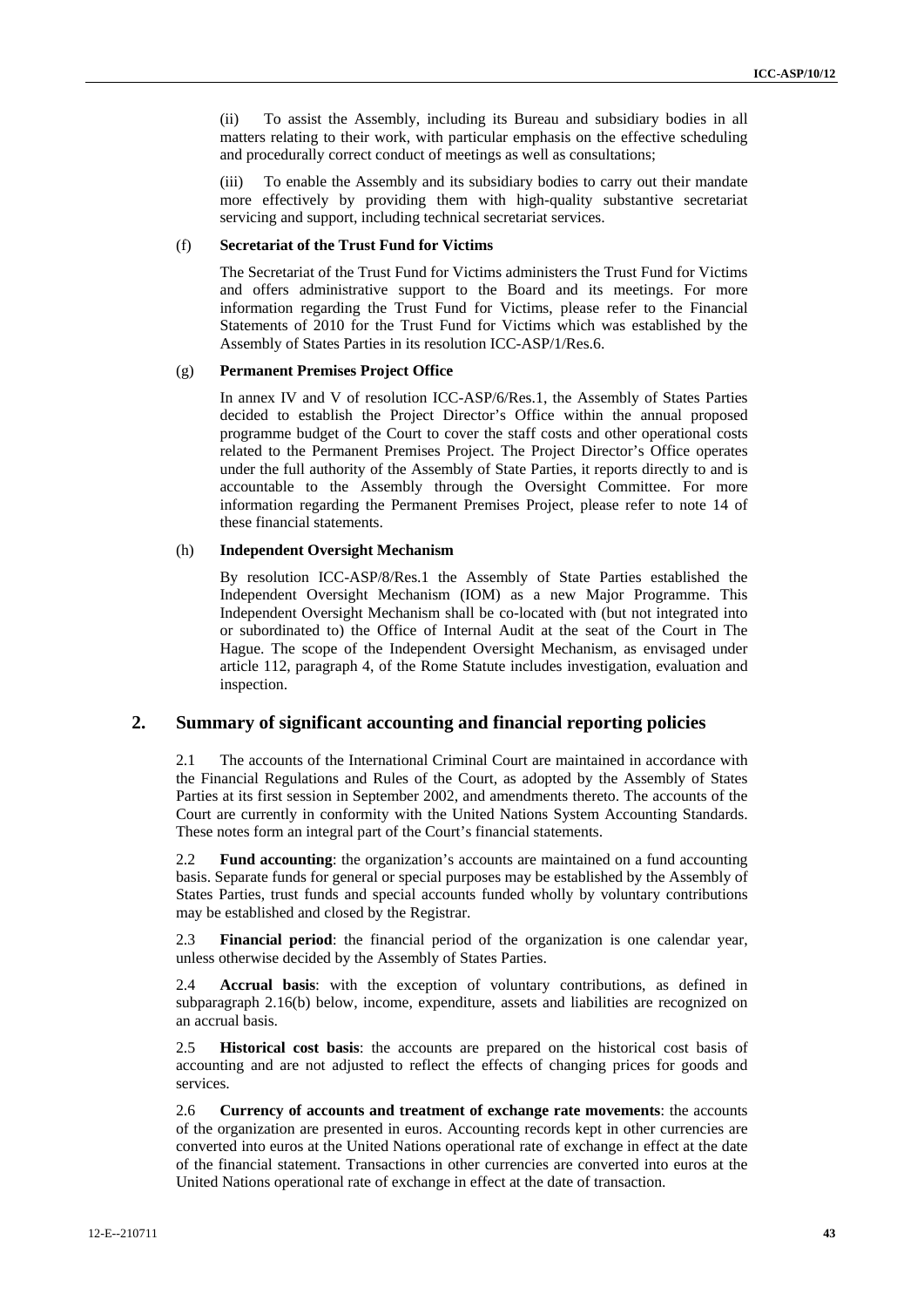(ii) To assist the Assembly, including its Bureau and subsidiary bodies in all matters relating to their work, with particular emphasis on the effective scheduling and procedurally correct conduct of meetings as well as consultations;

(iii) To enable the Assembly and its subsidiary bodies to carry out their mandate more effectively by providing them with high-quality substantive secretariat servicing and support, including technical secretariat services.

### (f) **Secretariat of the Trust Fund for Victims**

The Secretariat of the Trust Fund for Victims administers the Trust Fund for Victims and offers administrative support to the Board and its meetings. For more information regarding the Trust Fund for Victims, please refer to the Financial Statements of 2010 for the Trust Fund for Victims which was established by the Assembly of States Parties in its resolution ICC-ASP/1/Res.6.

#### (g) **Permanent Premises Project Office**

In annex IV and V of resolution ICC-ASP/6/Res.1, the Assembly of States Parties decided to establish the Project Director's Office within the annual proposed programme budget of the Court to cover the staff costs and other operational costs related to the Permanent Premises Project. The Project Director's Office operates under the full authority of the Assembly of State Parties, it reports directly to and is accountable to the Assembly through the Oversight Committee. For more information regarding the Permanent Premises Project, please refer to note 14 of these financial statements.

### (h) **Independent Oversight Mechanism**

By resolution ICC-ASP/8/Res.1 the Assembly of State Parties established the Independent Oversight Mechanism (IOM) as a new Major Programme. This Independent Oversight Mechanism shall be co-located with (but not integrated into or subordinated to) the Office of Internal Audit at the seat of the Court in The Hague. The scope of the Independent Oversight Mechanism, as envisaged under article 112, paragraph 4, of the Rome Statute includes investigation, evaluation and inspection.

# **2. Summary of significant accounting and financial reporting policies**

2.1 The accounts of the International Criminal Court are maintained in accordance with the Financial Regulations and Rules of the Court, as adopted by the Assembly of States Parties at its first session in September 2002, and amendments thereto. The accounts of the Court are currently in conformity with the United Nations System Accounting Standards. These notes form an integral part of the Court's financial statements.

2.2 **Fund accounting**: the organization's accounts are maintained on a fund accounting basis. Separate funds for general or special purposes may be established by the Assembly of States Parties, trust funds and special accounts funded wholly by voluntary contributions may be established and closed by the Registrar.

2.3 **Financial period**: the financial period of the organization is one calendar year, unless otherwise decided by the Assembly of States Parties.

2.4 **Accrual basis**: with the exception of voluntary contributions, as defined in subparagraph 2.16(b) below, income, expenditure, assets and liabilities are recognized on an accrual basis.

2.5 **Historical cost basis**: the accounts are prepared on the historical cost basis of accounting and are not adjusted to reflect the effects of changing prices for goods and services.

2.6 **Currency of accounts and treatment of exchange rate movements**: the accounts of the organization are presented in euros. Accounting records kept in other currencies are converted into euros at the United Nations operational rate of exchange in effect at the date of the financial statement. Transactions in other currencies are converted into euros at the United Nations operational rate of exchange in effect at the date of transaction.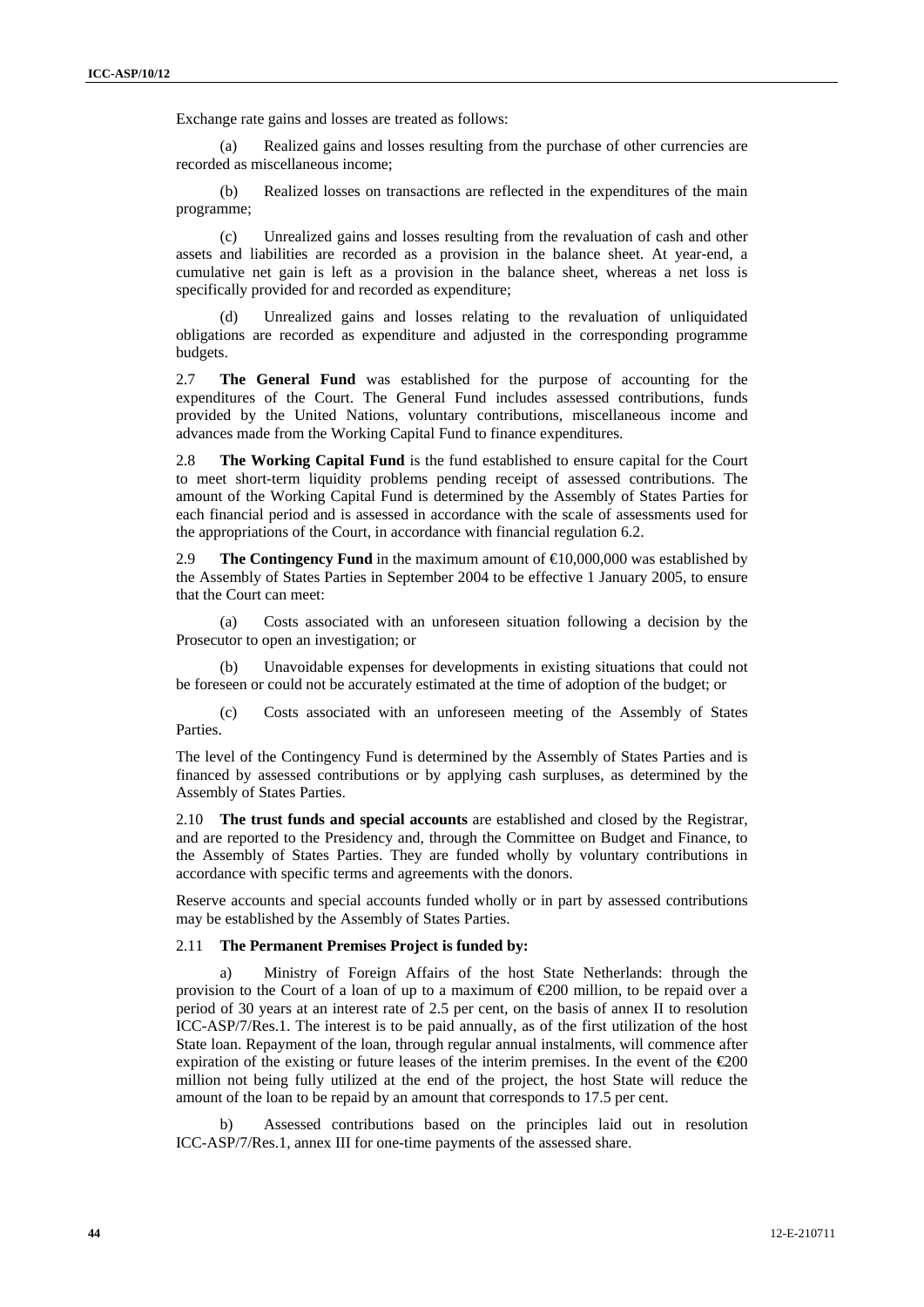Exchange rate gains and losses are treated as follows:

(a) Realized gains and losses resulting from the purchase of other currencies are recorded as miscellaneous income;

(b) Realized losses on transactions are reflected in the expenditures of the main programme;

(c) Unrealized gains and losses resulting from the revaluation of cash and other assets and liabilities are recorded as a provision in the balance sheet. At year-end, a cumulative net gain is left as a provision in the balance sheet, whereas a net loss is specifically provided for and recorded as expenditure;

(d) Unrealized gains and losses relating to the revaluation of unliquidated obligations are recorded as expenditure and adjusted in the corresponding programme budgets.

2.7 **The General Fund** was established for the purpose of accounting for the expenditures of the Court. The General Fund includes assessed contributions, funds provided by the United Nations, voluntary contributions, miscellaneous income and advances made from the Working Capital Fund to finance expenditures.

2.8 **The Working Capital Fund** is the fund established to ensure capital for the Court to meet short-term liquidity problems pending receipt of assessed contributions. The amount of the Working Capital Fund is determined by the Assembly of States Parties for each financial period and is assessed in accordance with the scale of assessments used for the appropriations of the Court, in accordance with financial regulation 6.2.

2.9 **The Contingency Fund** in the maximum amount of €10,000,000 was established by the Assembly of States Parties in September 2004 to be effective 1 January 2005, to ensure that the Court can meet:

(a) Costs associated with an unforeseen situation following a decision by the Prosecutor to open an investigation; or

(b) Unavoidable expenses for developments in existing situations that could not be foreseen or could not be accurately estimated at the time of adoption of the budget; or

(c) Costs associated with an unforeseen meeting of the Assembly of States Parties.

The level of the Contingency Fund is determined by the Assembly of States Parties and is financed by assessed contributions or by applying cash surpluses, as determined by the Assembly of States Parties.

2.10 **The trust funds and special accounts** are established and closed by the Registrar, and are reported to the Presidency and, through the Committee on Budget and Finance, to the Assembly of States Parties. They are funded wholly by voluntary contributions in accordance with specific terms and agreements with the donors.

Reserve accounts and special accounts funded wholly or in part by assessed contributions may be established by the Assembly of States Parties.

#### 2.11 **The Permanent Premises Project is funded by:**

a) Ministry of Foreign Affairs of the host State Netherlands: through the provision to the Court of a loan of up to a maximum of €200 million, to be repaid over a period of 30 years at an interest rate of 2.5 per cent, on the basis of annex II to resolution ICC-ASP/7/Res.1. The interest is to be paid annually, as of the first utilization of the host State loan. Repayment of the loan, through regular annual instalments, will commence after expiration of the existing or future leases of the interim premises. In the event of the  $\epsilon 200$ million not being fully utilized at the end of the project, the host State will reduce the amount of the loan to be repaid by an amount that corresponds to 17.5 per cent.

b) Assessed contributions based on the principles laid out in resolution ICC-ASP/7/Res.1, annex III for one-time payments of the assessed share.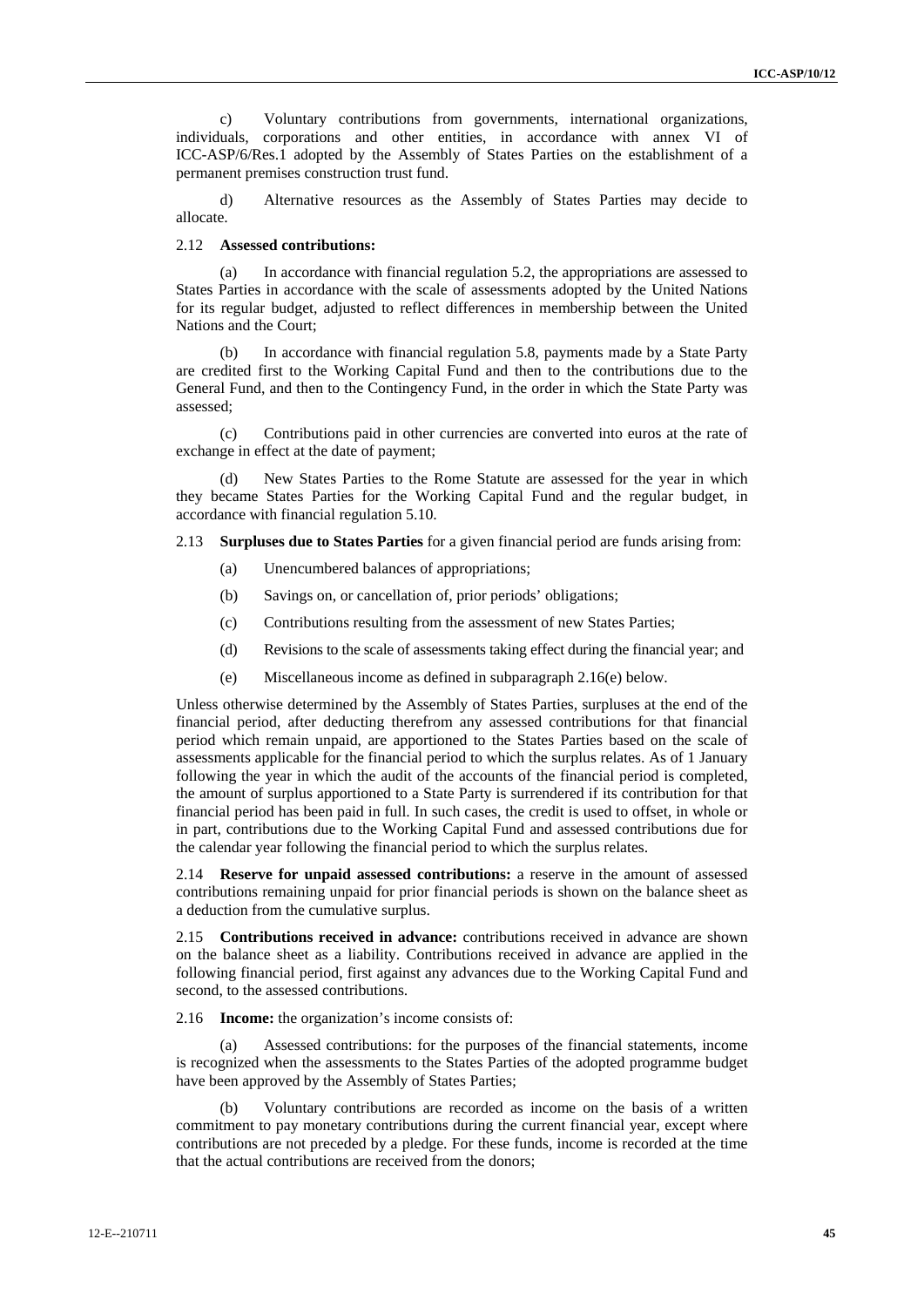c) Voluntary contributions from governments, international organizations, individuals, corporations and other entities, in accordance with annex VI of ICC-ASP/6/Res.1 adopted by the Assembly of States Parties on the establishment of a permanent premises construction trust fund.

d) Alternative resources as the Assembly of States Parties may decide to allocate.

### 2.12 **Assessed contributions:**

(a) In accordance with financial regulation 5.2, the appropriations are assessed to States Parties in accordance with the scale of assessments adopted by the United Nations for its regular budget, adjusted to reflect differences in membership between the United Nations and the Court;

(b) In accordance with financial regulation 5.8, payments made by a State Party are credited first to the Working Capital Fund and then to the contributions due to the General Fund, and then to the Contingency Fund, in the order in which the State Party was assessed;

(c) Contributions paid in other currencies are converted into euros at the rate of exchange in effect at the date of payment;

New States Parties to the Rome Statute are assessed for the year in which they became States Parties for the Working Capital Fund and the regular budget, in accordance with financial regulation 5.10.

2.13 **Surpluses due to States Parties** for a given financial period are funds arising from:

- (a) Unencumbered balances of appropriations;
- (b) Savings on, or cancellation of, prior periods' obligations;
- (c) Contributions resulting from the assessment of new States Parties;
- (d) Revisions to the scale of assessments taking effect during the financial year; and
- (e) Miscellaneous income as defined in subparagraph 2.16(e) below.

Unless otherwise determined by the Assembly of States Parties, surpluses at the end of the financial period, after deducting therefrom any assessed contributions for that financial period which remain unpaid, are apportioned to the States Parties based on the scale of assessments applicable for the financial period to which the surplus relates. As of 1 January following the year in which the audit of the accounts of the financial period is completed, the amount of surplus apportioned to a State Party is surrendered if its contribution for that financial period has been paid in full. In such cases, the credit is used to offset, in whole or in part, contributions due to the Working Capital Fund and assessed contributions due for the calendar year following the financial period to which the surplus relates.

2.14 **Reserve for unpaid assessed contributions:** a reserve in the amount of assessed contributions remaining unpaid for prior financial periods is shown on the balance sheet as a deduction from the cumulative surplus.

2.15 **Contributions received in advance:** contributions received in advance are shown on the balance sheet as a liability. Contributions received in advance are applied in the following financial period, first against any advances due to the Working Capital Fund and second, to the assessed contributions.

2.16 **Income:** the organization's income consists of:

Assessed contributions: for the purposes of the financial statements, income is recognized when the assessments to the States Parties of the adopted programme budget have been approved by the Assembly of States Parties;

Voluntary contributions are recorded as income on the basis of a written commitment to pay monetary contributions during the current financial year, except where contributions are not preceded by a pledge. For these funds, income is recorded at the time that the actual contributions are received from the donors;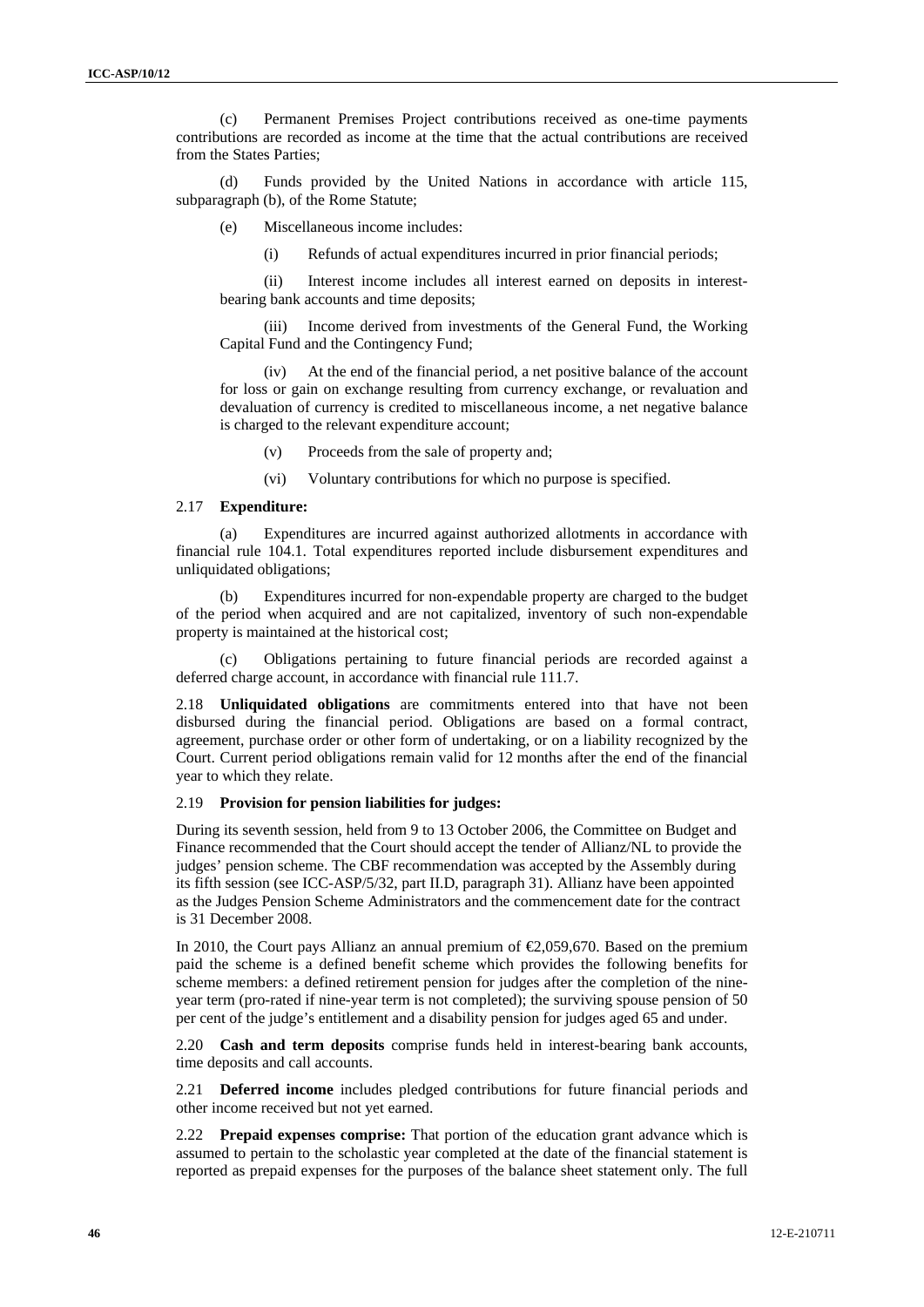(c) Permanent Premises Project contributions received as one-time payments contributions are recorded as income at the time that the actual contributions are received from the States Parties;

(d) Funds provided by the United Nations in accordance with article 115, subparagraph (b), of the Rome Statute;

(e) Miscellaneous income includes:

(i) Refunds of actual expenditures incurred in prior financial periods;

(ii) Interest income includes all interest earned on deposits in interestbearing bank accounts and time deposits;

(iii) Income derived from investments of the General Fund, the Working Capital Fund and the Contingency Fund;

(iv) At the end of the financial period, a net positive balance of the account for loss or gain on exchange resulting from currency exchange, or revaluation and devaluation of currency is credited to miscellaneous income, a net negative balance is charged to the relevant expenditure account;

(v) Proceeds from the sale of property and;

(vi) Voluntary contributions for which no purpose is specified.

#### 2.17 **Expenditure:**

(a) Expenditures are incurred against authorized allotments in accordance with financial rule 104.1. Total expenditures reported include disbursement expenditures and unliquidated obligations;

(b) Expenditures incurred for non-expendable property are charged to the budget of the period when acquired and are not capitalized, inventory of such non-expendable property is maintained at the historical cost;

(c) Obligations pertaining to future financial periods are recorded against a deferred charge account, in accordance with financial rule 111.7.

2.18 **Unliquidated obligations** are commitments entered into that have not been disbursed during the financial period. Obligations are based on a formal contract, agreement, purchase order or other form of undertaking, or on a liability recognized by the Court. Current period obligations remain valid for 12 months after the end of the financial year to which they relate.

#### 2.19 **Provision for pension liabilities for judges:**

During its seventh session, held from 9 to 13 October 2006, the Committee on Budget and Finance recommended that the Court should accept the tender of Allianz/NL to provide the judges' pension scheme. The CBF recommendation was accepted by the Assembly during its fifth session (see ICC-ASP/5/32, part II.D, paragraph 31). Allianz have been appointed as the Judges Pension Scheme Administrators and the commencement date for the contract is 31 December 2008.

In 2010, the Court pays Allianz an annual premium of  $E$ ,059,670. Based on the premium paid the scheme is a defined benefit scheme which provides the following benefits for scheme members: a defined retirement pension for judges after the completion of the nineyear term (pro-rated if nine-year term is not completed); the surviving spouse pension of 50 per cent of the judge's entitlement and a disability pension for judges aged 65 and under.

2.20 **Cash and term deposits** comprise funds held in interest-bearing bank accounts, time deposits and call accounts.

2.21 **Deferred income** includes pledged contributions for future financial periods and other income received but not yet earned.

2.22 **Prepaid expenses comprise:** That portion of the education grant advance which is assumed to pertain to the scholastic year completed at the date of the financial statement is reported as prepaid expenses for the purposes of the balance sheet statement only. The full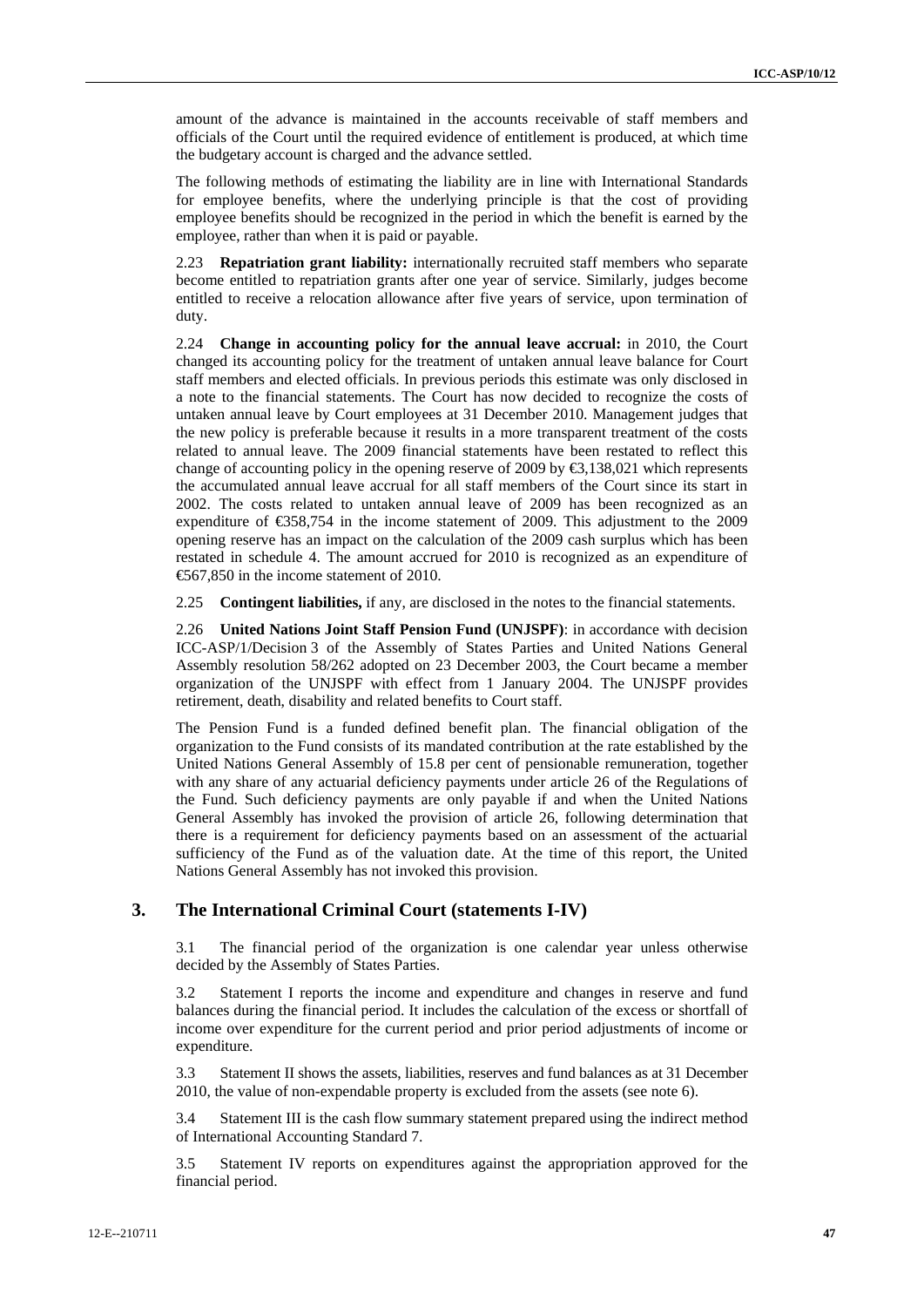amount of the advance is maintained in the accounts receivable of staff members and officials of the Court until the required evidence of entitlement is produced, at which time the budgetary account is charged and the advance settled.

The following methods of estimating the liability are in line with International Standards for employee benefits, where the underlying principle is that the cost of providing employee benefits should be recognized in the period in which the benefit is earned by the employee, rather than when it is paid or payable.

2.23 **Repatriation grant liability:** internationally recruited staff members who separate become entitled to repatriation grants after one year of service. Similarly, judges become entitled to receive a relocation allowance after five years of service, upon termination of duty.

2.24 **Change in accounting policy for the annual leave accrual:** in 2010, the Court changed its accounting policy for the treatment of untaken annual leave balance for Court staff members and elected officials. In previous periods this estimate was only disclosed in a note to the financial statements. The Court has now decided to recognize the costs of untaken annual leave by Court employees at 31 December 2010. Management judges that the new policy is preferable because it results in a more transparent treatment of the costs related to annual leave. The 2009 financial statements have been restated to reflect this change of accounting policy in the opening reserve of 2009 by  $\epsilon$ ,138,021 which represents the accumulated annual leave accrual for all staff members of the Court since its start in 2002. The costs related to untaken annual leave of 2009 has been recognized as an expenditure of  $\text{\textsterling}58,754$  in the income statement of 2009. This adjustment to the 2009 opening reserve has an impact on the calculation of the 2009 cash surplus which has been restated in schedule 4. The amount accrued for 2010 is recognized as an expenditure of €567,850 in the income statement of 2010.

2.25 **Contingent liabilities,** if any, are disclosed in the notes to the financial statements.

2.26 **United Nations Joint Staff Pension Fund (UNJSPF)**: in accordance with decision ICC-ASP/1/Decision 3 of the Assembly of States Parties and United Nations General Assembly resolution 58/262 adopted on 23 December 2003, the Court became a member organization of the UNJSPF with effect from 1 January 2004. The UNJSPF provides retirement, death, disability and related benefits to Court staff.

The Pension Fund is a funded defined benefit plan. The financial obligation of the organization to the Fund consists of its mandated contribution at the rate established by the United Nations General Assembly of 15.8 per cent of pensionable remuneration, together with any share of any actuarial deficiency payments under article 26 of the Regulations of the Fund. Such deficiency payments are only payable if and when the United Nations General Assembly has invoked the provision of article 26, following determination that there is a requirement for deficiency payments based on an assessment of the actuarial sufficiency of the Fund as of the valuation date. At the time of this report, the United Nations General Assembly has not invoked this provision.

# **3. The International Criminal Court (statements I-IV)**

3.1 The financial period of the organization is one calendar year unless otherwise decided by the Assembly of States Parties.

3.2 Statement I reports the income and expenditure and changes in reserve and fund balances during the financial period. It includes the calculation of the excess or shortfall of income over expenditure for the current period and prior period adjustments of income or expenditure.

3.3 Statement II shows the assets, liabilities, reserves and fund balances as at 31 December 2010, the value of non-expendable property is excluded from the assets (see note 6).

3.4 Statement III is the cash flow summary statement prepared using the indirect method of International Accounting Standard 7.

3.5 Statement IV reports on expenditures against the appropriation approved for the financial period.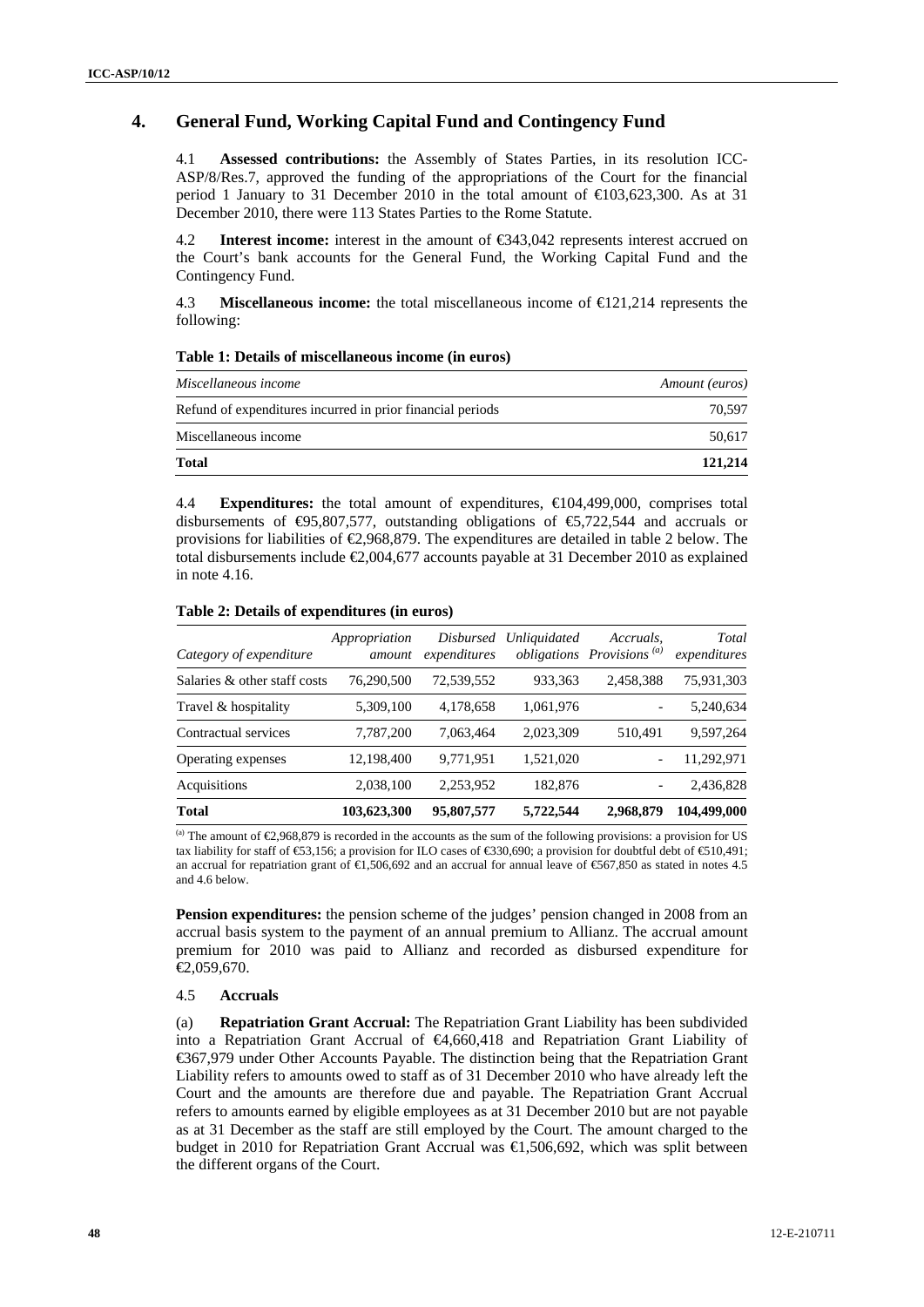# **4. General Fund, Working Capital Fund and Contingency Fund**

4.1 **Assessed contributions:** the Assembly of States Parties, in its resolution ICC-ASP/8/Res.7, approved the funding of the appropriations of the Court for the financial period 1 January to 31 December 2010 in the total amount of €103,623,300. As at 31 December 2010, there were 113 States Parties to the Rome Statute.

4.2 **Interest income:** interest in the amount of €343,042 represents interest accrued on the Court's bank accounts for the General Fund, the Working Capital Fund and the Contingency Fund.

4.3 **Miscellaneous income:** the total miscellaneous income of €121,214 represents the following:

#### **Table 1: Details of miscellaneous income (in euros)**

| Miscellaneous income                                       | Amount (euros) |
|------------------------------------------------------------|----------------|
| Refund of expenditures incurred in prior financial periods | 70.597         |
| Miscellaneous income                                       | 50.617         |
| <b>Total</b>                                               | 121,214        |

4.4 **Expenditures:** the total amount of expenditures, €104,499,000, comprises total disbursements of  $\Theta$ 5,807,577, outstanding obligations of  $\Theta$ ,722,544 and accruals or provisions for liabilities of  $\epsilon$ ,968,879. The expenditures are detailed in table 2 below. The total disbursements include  $\epsilon$  (2004,677 accounts payable at 31 December 2010 as explained in note 4.16.

| Category of expenditure      | Appropriation<br>amount | <b>Disbursed</b><br>expenditures | <i>Unliquidated</i> | Accruals.<br>obligations Provisions <sup>(a)</sup> | Total<br>expenditures |
|------------------------------|-------------------------|----------------------------------|---------------------|----------------------------------------------------|-----------------------|
| Salaries & other staff costs | 76,290,500              | 72,539,552                       | 933, 363            | 2,458,388                                          | 75,931,303            |
| Travel & hospitality         | 5,309,100               | 4,178,658                        | 1,061,976           |                                                    | 5,240,634             |
| Contractual services         | 7,787,200               | 7,063,464                        | 2,023,309           | 510,491                                            | 9,597,264             |
| Operating expenses           | 12,198,400              | 9,771,951                        | 1,521,020           |                                                    | 11,292,971            |
| Acquisitions                 | 2,038,100               | 2,253,952                        | 182,876             |                                                    | 2,436,828             |
| <b>Total</b>                 | 103,623,300             | 95,807,577                       | 5,722,544           | 2,968,879                                          | 104,499,000           |

### **Table 2: Details of expenditures (in euros)**

(a) The amount of  $\epsilon$ 2,968,879 is recorded in the accounts as the sum of the following provisions: a provision for US tax liability for staff of €53,156; a provision for ILO cases of €330,690; a provision for doubtful debt of €510,491; an accrual for repatriation grant of  $\text{ } \infty$ ,506,692 and an accrual for annual leave of  $\text{ } \infty$ 667,850 as stated in notes 4.5 and 4.6 below.

**Pension expenditures:** the pension scheme of the judges' pension changed in 2008 from an accrual basis system to the payment of an annual premium to Allianz. The accrual amount premium for 2010 was paid to Allianz and recorded as disbursed expenditure for  $€2,059,670.$ 

# 4.5 **Accruals**

(a) **Repatriation Grant Accrual:** The Repatriation Grant Liability has been subdivided into a Repatriation Grant Accrual of €4,660,418 and Repatriation Grant Liability of €367,979 under Other Accounts Payable. The distinction being that the Repatriation Grant Liability refers to amounts owed to staff as of 31 December 2010 who have already left the Court and the amounts are therefore due and payable. The Repatriation Grant Accrual refers to amounts earned by eligible employees as at 31 December 2010 but are not payable as at 31 December as the staff are still employed by the Court. The amount charged to the budget in 2010 for Repatriation Grant Accrual was €1,506,692, which was split between the different organs of the Court.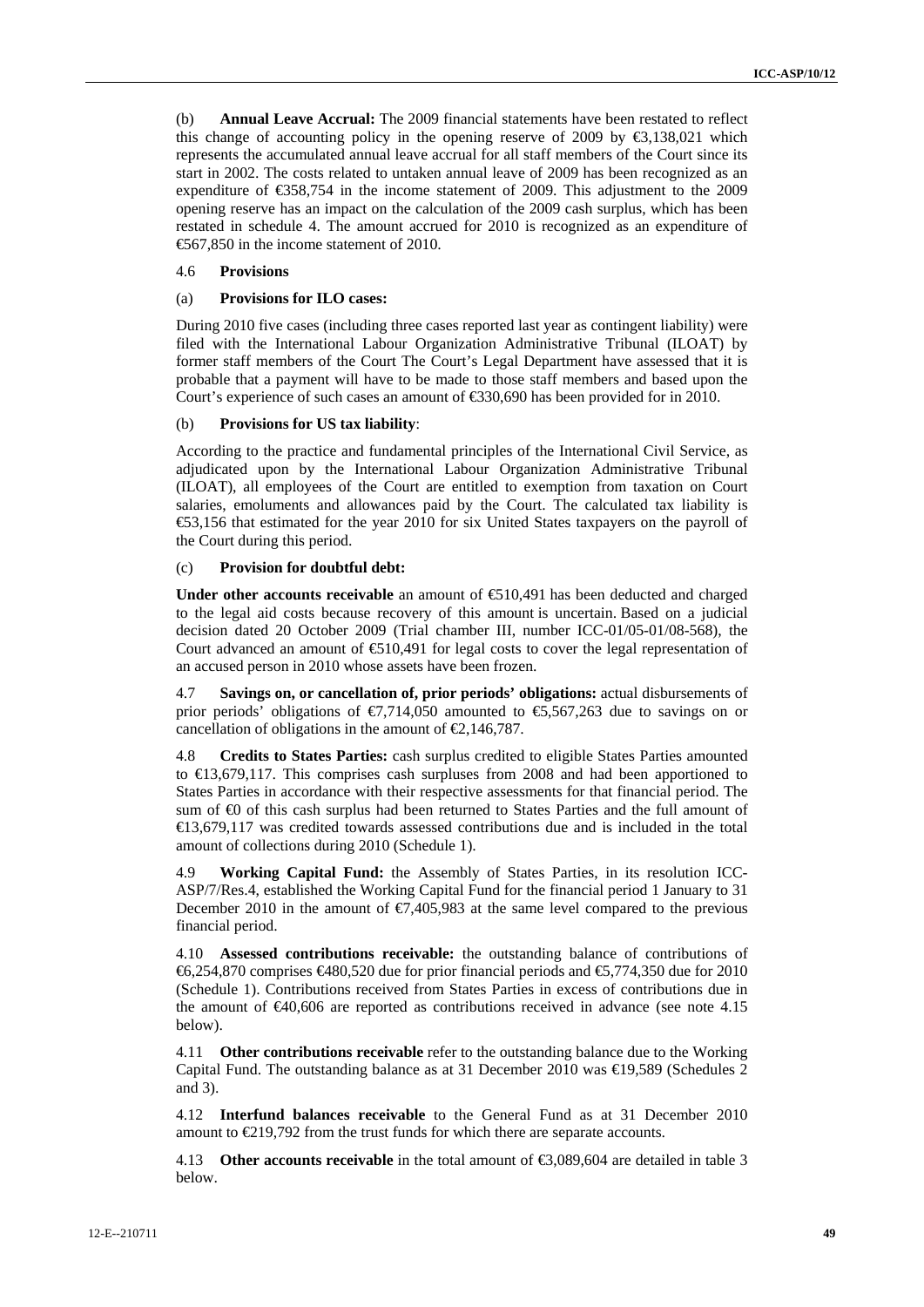(b) **Annual Leave Accrual:** The 2009 financial statements have been restated to reflect this change of accounting policy in the opening reserve of 2009 by  $\epsilon$ 3,138,021 which represents the accumulated annual leave accrual for all staff members of the Court since its start in 2002. The costs related to untaken annual leave of 2009 has been recognized as an expenditure of €358,754 in the income statement of 2009. This adjustment to the 2009 opening reserve has an impact on the calculation of the 2009 cash surplus, which has been restated in schedule 4. The amount accrued for 2010 is recognized as an expenditure of €567,850 in the income statement of 2010.

#### 4.6 **Provisions**

### (a) **Provisions for ILO cases:**

During 2010 five cases (including three cases reported last year as contingent liability) were filed with the International Labour Organization Administrative Tribunal (ILOAT) by former staff members of the Court The Court's Legal Department have assessed that it is probable that a payment will have to be made to those staff members and based upon the Court's experience of such cases an amount of €330,690 has been provided for in 2010.

#### (b) **Provisions for US tax liability**:

According to the practice and fundamental principles of the International Civil Service, as adjudicated upon by the International Labour Organization Administrative Tribunal (ILOAT), all employees of the Court are entitled to exemption from taxation on Court salaries, emoluments and allowances paid by the Court. The calculated tax liability is €53,156 that estimated for the year 2010 for six United States taxpayers on the payroll of the Court during this period.

# (c) **Provision for doubtful debt:**

**Under other accounts receivable** an amount of €510,491 has been deducted and charged to the legal aid costs because recovery of this amount is uncertain. Based on a judicial decision dated 20 October 2009 (Trial chamber III, number ICC-01/05-01/08-568), the Court advanced an amount of  $\epsilon$ 510,491 for legal costs to cover the legal representation of an accused person in 2010 whose assets have been frozen.

4.7 **Savings on, or cancellation of, prior periods' obligations:** actual disbursements of prior periods' obligations of  $\epsilon$ 7,714,050 amounted to  $\epsilon$ 5,567,263 due to savings on or cancellation of obligations in the amount of  $\epsilon$ 2,146,787.

4.8 **Credits to States Parties:** cash surplus credited to eligible States Parties amounted to €13,679,117. This comprises cash surpluses from 2008 and had been apportioned to States Parties in accordance with their respective assessments for that financial period. The sum of  $\bigoplus$  of this cash surplus had been returned to States Parties and the full amount of €13,679,117 was credited towards assessed contributions due and is included in the total amount of collections during 2010 (Schedule 1).

4.9 **Working Capital Fund:** the Assembly of States Parties, in its resolution ICC-ASP/7/Res.4, established the Working Capital Fund for the financial period 1 January to 31 December 2010 in the amount of  $\epsilon$ 7,405,983 at the same level compared to the previous financial period.

4.10 **Assessed contributions receivable:** the outstanding balance of contributions of  $\text{\textsterling}6,254,870$  comprises  $\text{\textsterling}480,520$  due for prior financial periods and  $\text{\textsterling}5,774,350$  due for 2010 (Schedule 1). Contributions received from States Parties in excess of contributions due in the amount of  $\epsilon 40,606$  are reported as contributions received in advance (see note 4.15 below).

4.11 **Other contributions receivable** refer to the outstanding balance due to the Working Capital Fund. The outstanding balance as at 31 December 2010 was €19,589 (Schedules 2 and 3).

4.12 **Interfund balances receivable** to the General Fund as at 31 December 2010 amount to €219,792 from the trust funds for which there are separate accounts.

4.13 **Other accounts receivable** in the total amount of €3,089,604 are detailed in table 3 below.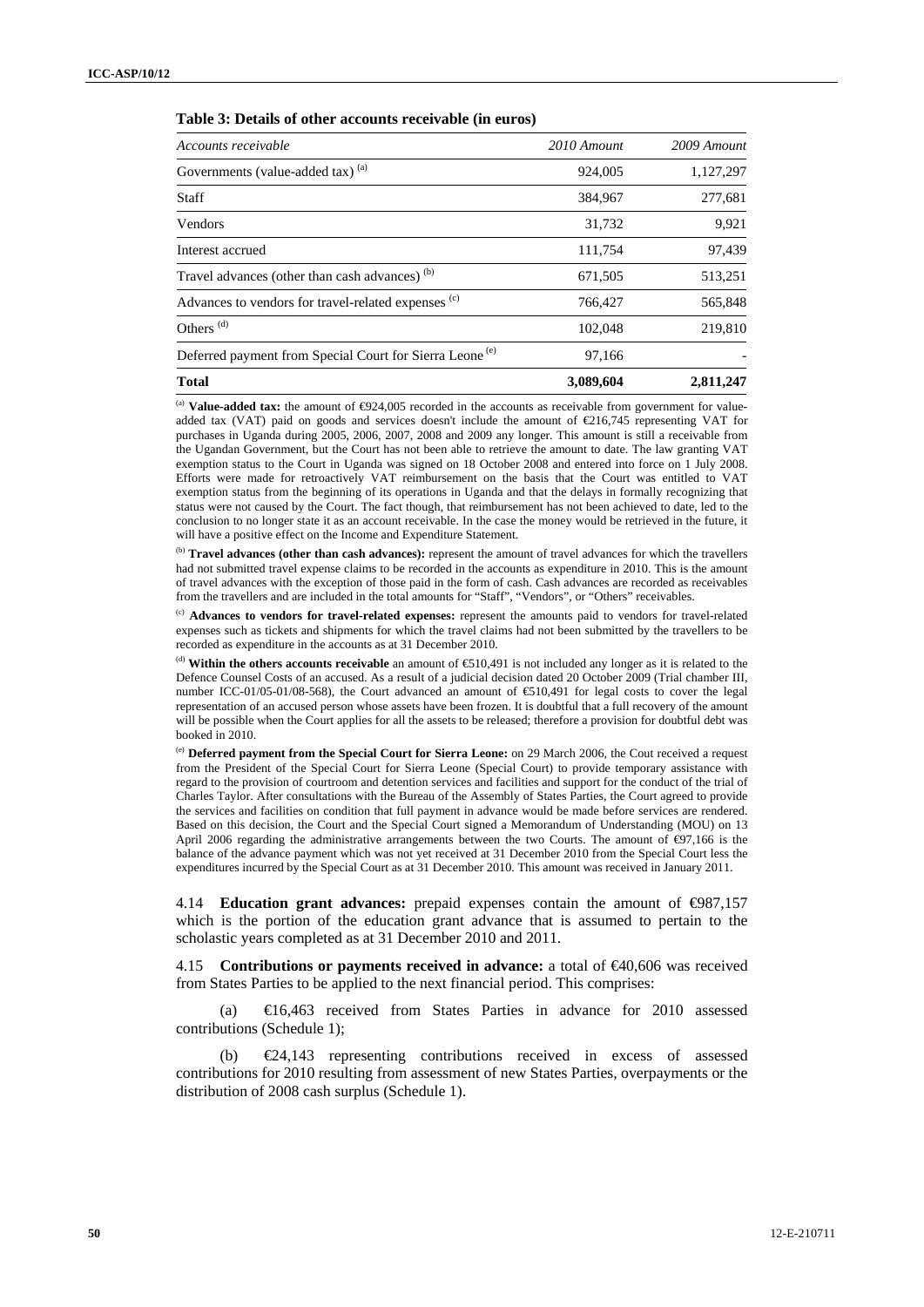#### **Table 3: Details of other accounts receivable (in euros)**

| Accounts receivable                                                 | 2010 Amount | 2009 Amount |
|---------------------------------------------------------------------|-------------|-------------|
| Governments (value-added tax) <sup>(a)</sup>                        | 924,005     | 1,127,297   |
| <b>Staff</b>                                                        | 384,967     | 277,681     |
| Vendors                                                             | 31,732      | 9,921       |
| Interest accrued                                                    | 111.754     | 97,439      |
| Travel advances (other than cash advances) <sup>(b)</sup>           | 671,505     | 513,251     |
| Advances to vendors for travel-related expenses (c)                 | 766,427     | 565,848     |
| Others <sup>(d)</sup>                                               | 102,048     | 219,810     |
| Deferred payment from Special Court for Sierra Leone <sup>(e)</sup> | 97,166      |             |
| <b>Total</b>                                                        | 3,089,604   | 2,811,247   |

<sup>(a)</sup> **Value-added tax:** the amount of ⊕24,005 recorded in the accounts as receivable from government for valueadded tax (VAT) paid on goods and services doesn't include the amount of €216,745 representing VAT for purchases in Uganda during 2005, 2006, 2007, 2008 and 2009 any longer. This amount is still a receivable from the Ugandan Government, but the Court has not been able to retrieve the amount to date. The law granting VAT exemption status to the Court in Uganda was signed on 18 October 2008 and entered into force on 1 July 2008. Efforts were made for retroactively VAT reimbursement on the basis that the Court was entitled to VAT exemption status from the beginning of its operations in Uganda and that the delays in formally recognizing that status were not caused by the Court. The fact though, that reimbursement has not been achieved to date, led to the conclusion to no longer state it as an account receivable. In the case the money would be retrieved in the future, it will have a positive effect on the Income and Expenditure Statement.

(b) Travel advances (other than cash advances): represent the amount of travel advances for which the travellers had not submitted travel expense claims to be recorded in the accounts as expenditure in 2010. This is the amount of travel advances with the exception of those paid in the form of cash. Cash advances are recorded as receivables from the travellers and are included in the total amounts for "Staff", "Vendors", or "Others" receivables.

(c) **Advances to vendors for travel-related expenses:** represent the amounts paid to vendors for travel-related expenses such as tickets and shipments for which the travel claims had not been submitted by the travellers to be recorded as expenditure in the accounts as at 31 December 2010.

(d) **Within the others accounts receivable** an amount of  $\bigoplus$ 10,491 is not included any longer as it is related to the Defence Counsel Costs of an accused. As a result of a judicial decision dated 20 October 2009 (Trial chamber III, number ICC-01/05-01/08-568), the Court advanced an amount of  $$10,491$  for legal costs to cover the legal representation of an accused person whose assets have been frozen. It is doubtful that a full recovery of the amount will be possible when the Court applies for all the assets to be released; therefore a provision for doubtful debt was booked in 2010.

(e) **Deferred payment from the Special Court for Sierra Leone:** on 29 March 2006, the Cout received a request from the President of the Special Court for Sierra Leone (Special Court) to provide temporary assistance with regard to the provision of courtroom and detention services and facilities and support for the conduct of the trial of Charles Taylor. After consultations with the Bureau of the Assembly of States Parties, the Court agreed to provide the services and facilities on condition that full payment in advance would be made before services are rendered. Based on this decision, the Court and the Special Court signed a Memorandum of Understanding (MOU) on 13 April 2006 regarding the administrative arrangements between the two Courts. The amount of ⊕7,166 is the balance of the advance payment which was not yet received at 31 December 2010 from the Special Court less the expenditures incurred by the Special Court as at 31 December 2010. This amount was received in January 2011.

4.14 **Education grant advances:** prepaid expenses contain the amount of €987,157 which is the portion of the education grant advance that is assumed to pertain to the scholastic years completed as at 31 December 2010 and 2011.

4.15 **Contributions or payments received in advance:** a total of €40,606 was received from States Parties to be applied to the next financial period. This comprises:

(a) €16,463 received from States Parties in advance for 2010 assessed contributions (Schedule 1);

(b) €24,143 representing contributions received in excess of assessed contributions for 2010 resulting from assessment of new States Parties, overpayments or the distribution of 2008 cash surplus (Schedule 1).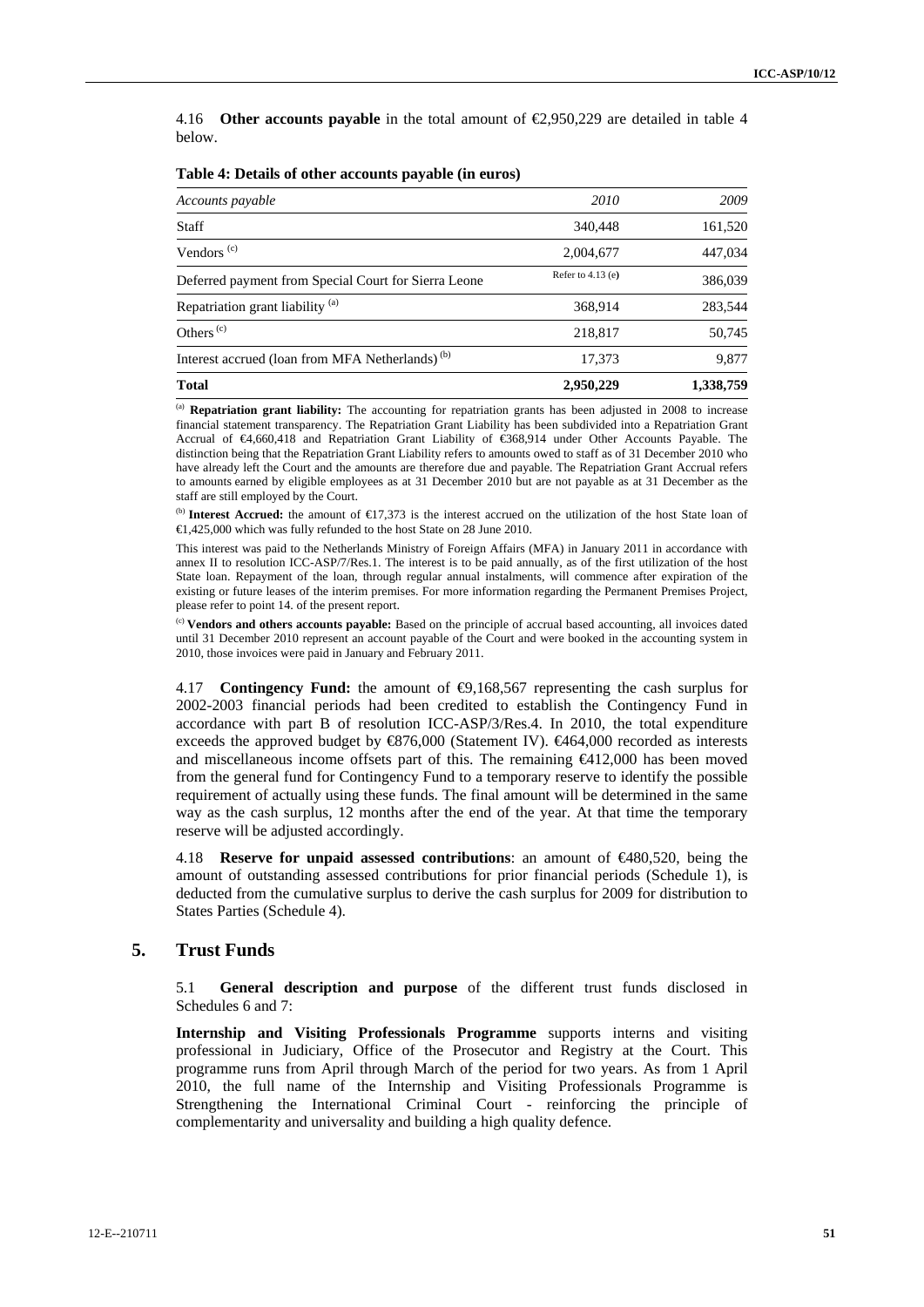4.16 **Other accounts payable** in the total amount of €2,950,229 are detailed in table 4 below.

| Accounts payable                                            | 2010                | 2009      |
|-------------------------------------------------------------|---------------------|-----------|
| <b>Staff</b>                                                | 340,448             | 161,520   |
| Vendors <sup>(c)</sup>                                      | 2,004,677           | 447,034   |
| Deferred payment from Special Court for Sierra Leone        | Refer to $4.13$ (e) | 386,039   |
| Repatriation grant liability <sup>(a)</sup>                 | 368.914             | 283,544   |
| Others <sup><math>(c)</math></sup>                          | 218,817             | 50,745    |
| Interest accrued (loan from MFA Netherlands) <sup>(b)</sup> | 17,373              | 9,877     |
| <b>Total</b>                                                | 2,950,229           | 1,338,759 |

#### **Table 4: Details of other accounts payable (in euros)**

(a) **Repatriation grant liability:** The accounting for repatriation grants has been adjusted in 2008 to increase financial statement transparency. The Repatriation Grant Liability has been subdivided into a Repatriation Grant Accrual of €4,660,418 and Repatriation Grant Liability of €368,914 under Other Accounts Payable. The distinction being that the Repatriation Grant Liability refers to amounts owed to staff as of 31 December 2010 who have already left the Court and the amounts are therefore due and payable. The Repatriation Grant Accrual refers to amounts earned by eligible employees as at 31 December 2010 but are not payable as at 31 December as the staff are still employed by the Court.

(b) **Interest Accrued:** the amount of €17,373 is the interest accrued on the utilization of the host State loan of €1,425,000 which was fully refunded to the host State on 28 June 2010.

This interest was paid to the Netherlands Ministry of Foreign Affairs (MFA) in January 2011 in accordance with annex II to resolution ICC-ASP/7/Res.1. The interest is to be paid annually, as of the first utilization of the host State loan. Repayment of the loan, through regular annual instalments, will commence after expiration of the existing or future leases of the interim premises. For more information regarding the Permanent Premises Project, please refer to point 14. of the present report.

(c) **Vendors and others accounts payable:** Based on the principle of accrual based accounting, all invoices dated until 31 December 2010 represent an account payable of the Court and were booked in the accounting system in 2010, those invoices were paid in January and February 2011.

4.17 **Contingency Fund:** the amount of €9,168,567 representing the cash surplus for 2002-2003 financial periods had been credited to establish the Contingency Fund in accordance with part B of resolution ICC-ASP/3/Res.4. In 2010, the total expenditure exceeds the approved budget by  $\mathcal{R}76,000$  (Statement IV).  $\mathcal{L}464,000$  recorded as interests and miscellaneous income offsets part of this. The remaining €412,000 has been moved from the general fund for Contingency Fund to a temporary reserve to identify the possible requirement of actually using these funds. The final amount will be determined in the same way as the cash surplus, 12 months after the end of the year. At that time the temporary reserve will be adjusted accordingly.

4.18 **Reserve for unpaid assessed contributions**: an amount of €480,520, being the amount of outstanding assessed contributions for prior financial periods (Schedule 1), is deducted from the cumulative surplus to derive the cash surplus for 2009 for distribution to States Parties (Schedule 4).

# **5. Trust Funds**

5.1 **General description and purpose** of the different trust funds disclosed in Schedules 6 and 7:

**Internship and Visiting Professionals Programme** supports interns and visiting professional in Judiciary, Office of the Prosecutor and Registry at the Court. This programme runs from April through March of the period for two years. As from 1 April 2010, the full name of the Internship and Visiting Professionals Programme is Strengthening the International Criminal Court - reinforcing the principle of complementarity and universality and building a high quality defence.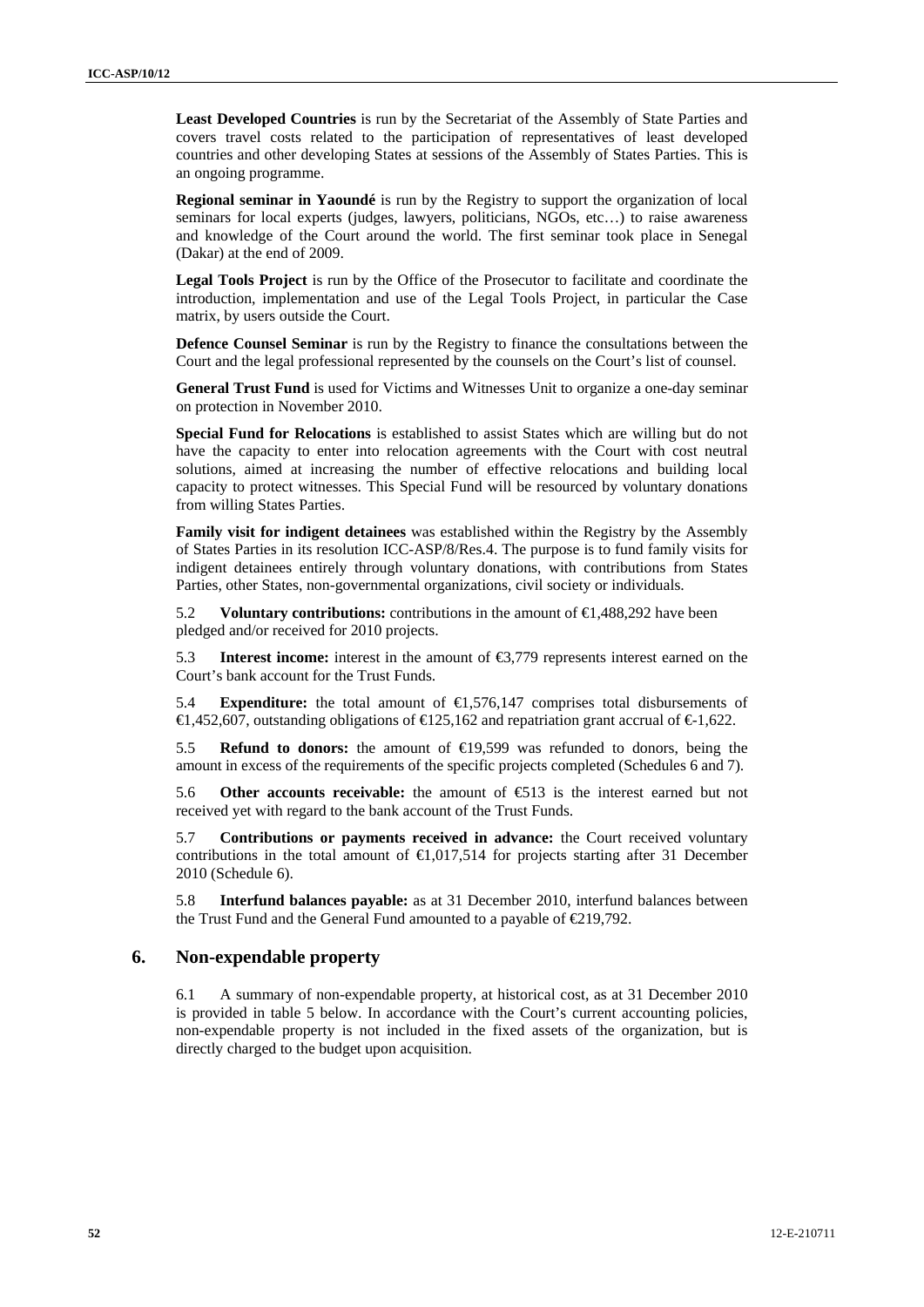**Least Developed Countries** is run by the Secretariat of the Assembly of State Parties and covers travel costs related to the participation of representatives of least developed countries and other developing States at sessions of the Assembly of States Parties. This is an ongoing programme.

**Regional seminar in Yaoundé** is run by the Registry to support the organization of local seminars for local experts (judges, lawyers, politicians, NGOs, etc…) to raise awareness and knowledge of the Court around the world. The first seminar took place in Senegal (Dakar) at the end of 2009.

**Legal Tools Project** is run by the Office of the Prosecutor to facilitate and coordinate the introduction, implementation and use of the Legal Tools Project, in particular the Case matrix, by users outside the Court.

**Defence Counsel Seminar** is run by the Registry to finance the consultations between the Court and the legal professional represented by the counsels on the Court's list of counsel.

**General Trust Fund** is used for Victims and Witnesses Unit to organize a one-day seminar on protection in November 2010.

**Special Fund for Relocations** is established to assist States which are willing but do not have the capacity to enter into relocation agreements with the Court with cost neutral solutions, aimed at increasing the number of effective relocations and building local capacity to protect witnesses. This Special Fund will be resourced by voluntary donations from willing States Parties.

**Family visit for indigent detainees** was established within the Registry by the Assembly of States Parties in its resolution ICC-ASP/8/Res.4. The purpose is to fund family visits for indigent detainees entirely through voluntary donations, with contributions from States Parties, other States, non-governmental organizations, civil society or individuals.

5.2 **Voluntary contributions:** contributions in the amount of €1,488,292 have been pledged and/or received for 2010 projects.

5.3 **Interest income:** interest in the amount of €3,779 represents interest earned on the Court's bank account for the Trust Funds.

5.4 **Expenditure:** the total amount of €1,576,147 comprises total disbursements of €1,452,607, outstanding obligations of €125,162 and repatriation grant accrual of €1,622.

5.5 **Refund to donors:** the amount of €19,599 was refunded to donors, being the amount in excess of the requirements of the specific projects completed (Schedules 6 and 7).

5.6 **Other accounts receivable:** the amount of  $\bigoplus$ 13 is the interest earned but not received yet with regard to the bank account of the Trust Funds.

5.7 **Contributions or payments received in advance:** the Court received voluntary contributions in the total amount of  $\in$  0.017,514 for projects starting after 31 December 2010 (Schedule 6).

5.8 **Interfund balances payable:** as at 31 December 2010, interfund balances between the Trust Fund and the General Fund amounted to a payable of  $\in 219,792$ .

# **6. Non-expendable property**

6.1 A summary of non-expendable property, at historical cost, as at 31 December 2010 is provided in table 5 below. In accordance with the Court's current accounting policies, non-expendable property is not included in the fixed assets of the organization, but is directly charged to the budget upon acquisition.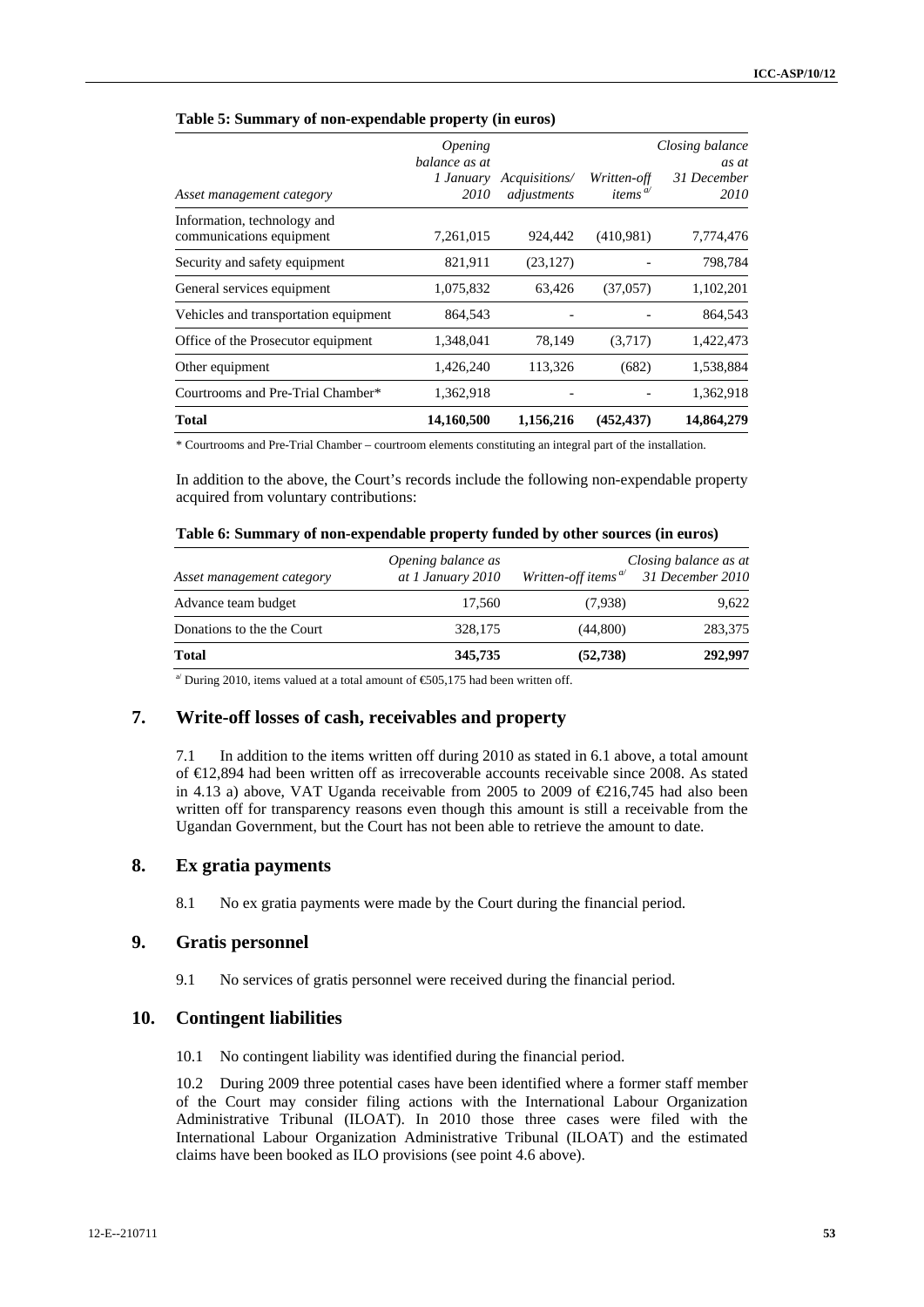|                                                         | <i><b>Opening</b></i><br>balance as at<br>1 January | Acquisitions/ | Written-off                     | Closing balance<br>as at<br>31 December |
|---------------------------------------------------------|-----------------------------------------------------|---------------|---------------------------------|-----------------------------------------|
| Asset management category                               | 2010                                                | adjustments   | items <sup><math>a</math></sup> | 2010                                    |
| Information, technology and<br>communications equipment | 7,261,015                                           | 924,442       | (410,981)                       | 7,774,476                               |
| Security and safety equipment                           | 821,911                                             | (23, 127)     |                                 | 798,784                                 |
| General services equipment                              | 1,075,832                                           | 63,426        | (37,057)                        | 1,102,201                               |
| Vehicles and transportation equipment                   | 864,543                                             |               |                                 | 864,543                                 |
| Office of the Prosecutor equipment                      | 1,348,041                                           | 78,149        | (3,717)                         | 1,422,473                               |
| Other equipment                                         | 1,426,240                                           | 113,326       | (682)                           | 1,538,884                               |
| Courtrooms and Pre-Trial Chamber*                       | 1,362,918                                           |               |                                 | 1,362,918                               |
| <b>Total</b>                                            | 14,160,500                                          | 1,156,216     | (452, 437)                      | 14,864,279                              |

#### **Table 5: Summary of non-expendable property (in euros)**

\* Courtrooms and Pre-Trial Chamber – courtroom elements constituting an integral part of the installation.

In addition to the above, the Court's records include the following non-expendable property acquired from voluntary contributions:

#### **Table 6: Summary of non-expendable property funded by other sources (in euros)**

| Asset management category  | Opening balance as<br>at 1 January 2010 |           | Closing balance as at<br>Written-off items $\alpha$ 31 December 2010 |
|----------------------------|-----------------------------------------|-----------|----------------------------------------------------------------------|
| Advance team budget        | 17.560                                  | (7,938)   | 9.622                                                                |
| Donations to the the Court | 328,175                                 | (44,800)  | 283,375                                                              |
| Total                      | 345,735                                 | (52, 738) | 292,997                                                              |

<sup>a'</sup> During 2010, items valued at a total amount of  $\epsilon$  605,175 had been written off.

# **7. Write-off losses of cash, receivables and property**

7.1 In addition to the items written off during 2010 as stated in 6.1 above, a total amount of €12,894 had been written off as irrecoverable accounts receivable since 2008. As stated in 4.13 a) above, VAT Uganda receivable from 2005 to 2009 of  $\text{\textsterling}16,745$  had also been written off for transparency reasons even though this amount is still a receivable from the Ugandan Government, but the Court has not been able to retrieve the amount to date.

# **8. Ex gratia payments**

8.1 No ex gratia payments were made by the Court during the financial period.

# **9. Gratis personnel**

9.1 No services of gratis personnel were received during the financial period.

# **10. Contingent liabilities**

10.1 No contingent liability was identified during the financial period.

10.2 During 2009 three potential cases have been identified where a former staff member of the Court may consider filing actions with the International Labour Organization Administrative Tribunal (ILOAT). In 2010 those three cases were filed with the International Labour Organization Administrative Tribunal (ILOAT) and the estimated claims have been booked as ILO provisions (see point 4.6 above).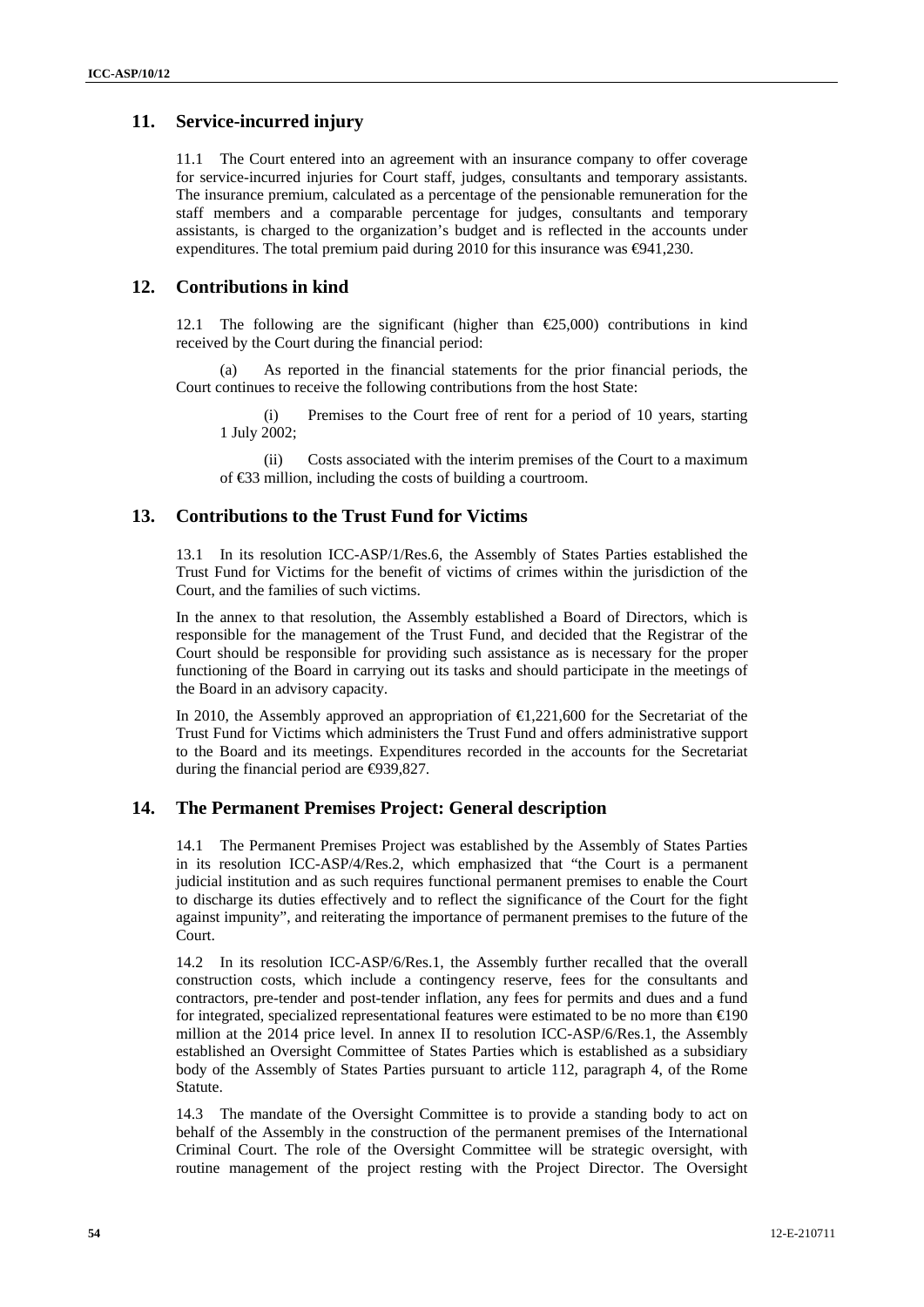# **11. Service-incurred injury**

11.1 The Court entered into an agreement with an insurance company to offer coverage for service-incurred injuries for Court staff, judges, consultants and temporary assistants. The insurance premium, calculated as a percentage of the pensionable remuneration for the staff members and a comparable percentage for judges, consultants and temporary assistants, is charged to the organization's budget and is reflected in the accounts under expenditures. The total premium paid during 2010 for this insurance was  $\Theta$ 41,230.

# **12. Contributions in kind**

12.1 The following are the significant (higher than  $\epsilon$ 25,000) contributions in kind received by the Court during the financial period:

As reported in the financial statements for the prior financial periods, the Court continues to receive the following contributions from the host State:

(i) Premises to the Court free of rent for a period of 10 years, starting 1 July 2002;

(ii) Costs associated with the interim premises of the Court to a maximum of €33 million, including the costs of building a courtroom.

# **13. Contributions to the Trust Fund for Victims**

13.1 In its resolution ICC-ASP/1/Res.6, the Assembly of States Parties established the Trust Fund for Victims for the benefit of victims of crimes within the jurisdiction of the Court, and the families of such victims.

In the annex to that resolution, the Assembly established a Board of Directors, which is responsible for the management of the Trust Fund, and decided that the Registrar of the Court should be responsible for providing such assistance as is necessary for the proper functioning of the Board in carrying out its tasks and should participate in the meetings of the Board in an advisory capacity.

In 2010, the Assembly approved an appropriation of  $\bigoplus$ , 221,600 for the Secretariat of the Trust Fund for Victims which administers the Trust Fund and offers administrative support to the Board and its meetings. Expenditures recorded in the accounts for the Secretariat during the financial period are  $\Theta$ 39,827.

# **14. The Permanent Premises Project: General description**

14.1 The Permanent Premises Project was established by the Assembly of States Parties in its resolution ICC-ASP/4/Res.2, which emphasized that "the Court is a permanent judicial institution and as such requires functional permanent premises to enable the Court to discharge its duties effectively and to reflect the significance of the Court for the fight against impunity", and reiterating the importance of permanent premises to the future of the Court.

14.2 In its resolution ICC-ASP/6/Res.1, the Assembly further recalled that the overall construction costs, which include a contingency reserve, fees for the consultants and contractors, pre-tender and post-tender inflation, any fees for permits and dues and a fund for integrated, specialized representational features were estimated to be no more than  $\epsilon 0$ million at the 2014 price level. In annex II to resolution ICC-ASP/6/Res.1, the Assembly established an Oversight Committee of States Parties which is established as a subsidiary body of the Assembly of States Parties pursuant to article 112, paragraph 4, of the Rome Statute.

14.3 The mandate of the Oversight Committee is to provide a standing body to act on behalf of the Assembly in the construction of the permanent premises of the International Criminal Court. The role of the Oversight Committee will be strategic oversight, with routine management of the project resting with the Project Director. The Oversight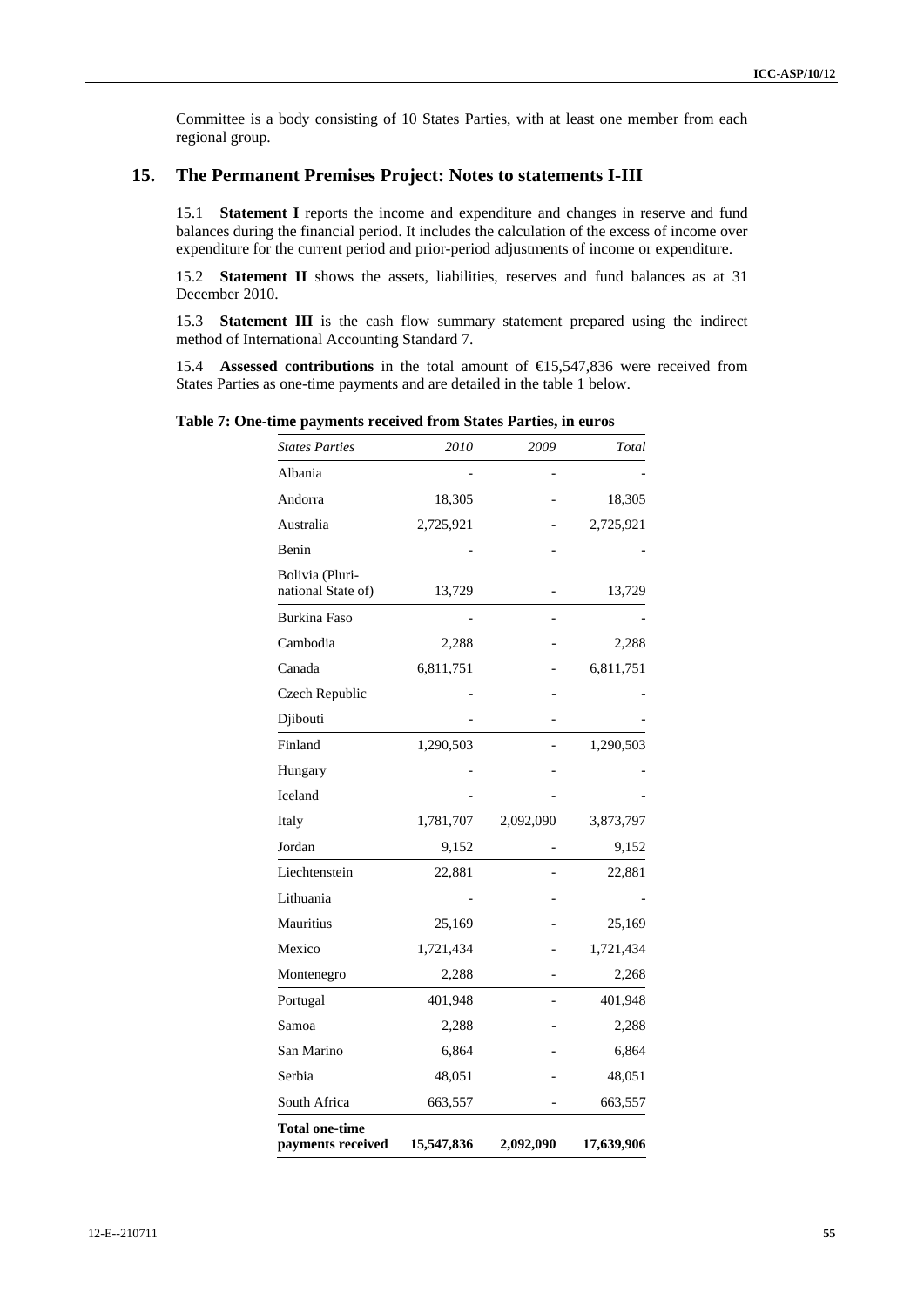Committee is a body consisting of 10 States Parties, with at least one member from each regional group.

# **15. The Permanent Premises Project: Notes to statements I-III**

15.1 **Statement I** reports the income and expenditure and changes in reserve and fund balances during the financial period. It includes the calculation of the excess of income over expenditure for the current period and prior-period adjustments of income or expenditure.

15.2 **Statement II** shows the assets, liabilities, reserves and fund balances as at 31 December 2010.

15.3 **Statement III** is the cash flow summary statement prepared using the indirect method of International Accounting Standard 7.

15.4 **Assessed contributions** in the total amount of €15,547,836 were received from States Parties as one-time payments and are detailed in the table 1 below.

**Table 7: One-time payments received from States Parties, in euros** 

| <b>States Parties</b>                      | 2010       | 2009      | Total      |
|--------------------------------------------|------------|-----------|------------|
|                                            |            |           |            |
| Albania                                    |            |           |            |
| Andorra                                    | 18,305     |           | 18,305     |
| Australia                                  | 2,725,921  |           | 2,725,921  |
| Benin                                      |            |           |            |
| Bolivia (Pluri-<br>national State of)      | 13,729     |           | 13,729     |
| Burkina Faso                               |            |           |            |
| Cambodia                                   | 2,288      |           | 2,288      |
| Canada                                     | 6,811,751  |           | 6,811,751  |
| Czech Republic                             |            |           |            |
| Djibouti                                   |            |           |            |
| Finland                                    | 1,290,503  |           | 1,290,503  |
| Hungary                                    |            |           |            |
| Iceland                                    |            |           |            |
| Italy                                      | 1,781,707  | 2,092,090 | 3,873,797  |
| Jordan                                     | 9,152      |           | 9,152      |
| Liechtenstein                              | 22,881     |           | 22,881     |
| Lithuania                                  |            |           |            |
| Mauritius                                  | 25,169     |           | 25,169     |
| Mexico                                     | 1,721,434  |           | 1,721,434  |
| Montenegro                                 | 2,288      |           | 2,268      |
| Portugal                                   | 401,948    |           | 401,948    |
| Samoa                                      | 2,288      |           | 2,288      |
| San Marino                                 | 6,864      |           | 6,864      |
| Serbia                                     | 48,051     |           | 48,051     |
| South Africa                               | 663,557    |           | 663,557    |
| <b>Total one-time</b><br>payments received | 15,547,836 | 2,092,090 | 17,639,906 |